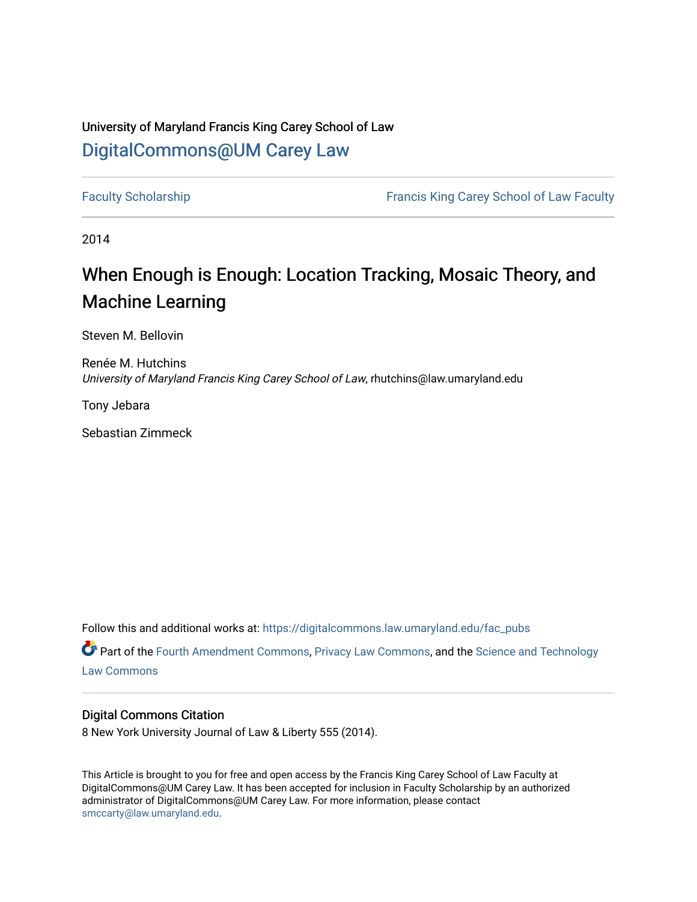# University of Maryland Francis King Carey School of Law [DigitalCommons@UM Carey Law](https://digitalcommons.law.umaryland.edu/)

[Faculty Scholarship](https://digitalcommons.law.umaryland.edu/fac_pubs) **Francis King Carey School of Law Faculty** 

2014

# When Enough is Enough: Location Tracking, Mosaic Theory, and Machine Learning

Steven M. Bellovin

Renée M. Hutchins University of Maryland Francis King Carey School of Law, rhutchins@law.umaryland.edu

Tony Jebara

Sebastian Zimmeck

Follow this and additional works at: [https://digitalcommons.law.umaryland.edu/fac\\_pubs](https://digitalcommons.law.umaryland.edu/fac_pubs?utm_source=digitalcommons.law.umaryland.edu%2Ffac_pubs%2F1375&utm_medium=PDF&utm_campaign=PDFCoverPages) 

Part of the [Fourth Amendment Commons,](http://network.bepress.com/hgg/discipline/1180?utm_source=digitalcommons.law.umaryland.edu%2Ffac_pubs%2F1375&utm_medium=PDF&utm_campaign=PDFCoverPages) [Privacy Law Commons](http://network.bepress.com/hgg/discipline/1234?utm_source=digitalcommons.law.umaryland.edu%2Ffac_pubs%2F1375&utm_medium=PDF&utm_campaign=PDFCoverPages), and the [Science and Technology](http://network.bepress.com/hgg/discipline/875?utm_source=digitalcommons.law.umaryland.edu%2Ffac_pubs%2F1375&utm_medium=PDF&utm_campaign=PDFCoverPages)  [Law Commons](http://network.bepress.com/hgg/discipline/875?utm_source=digitalcommons.law.umaryland.edu%2Ffac_pubs%2F1375&utm_medium=PDF&utm_campaign=PDFCoverPages) 

# Digital Commons Citation

8 New York University Journal of Law & Liberty 555 (2014).

This Article is brought to you for free and open access by the Francis King Carey School of Law Faculty at DigitalCommons@UM Carey Law. It has been accepted for inclusion in Faculty Scholarship by an authorized administrator of DigitalCommons@UM Carey Law. For more information, please contact [smccarty@law.umaryland.edu](mailto:smccarty@law.umaryland.edu).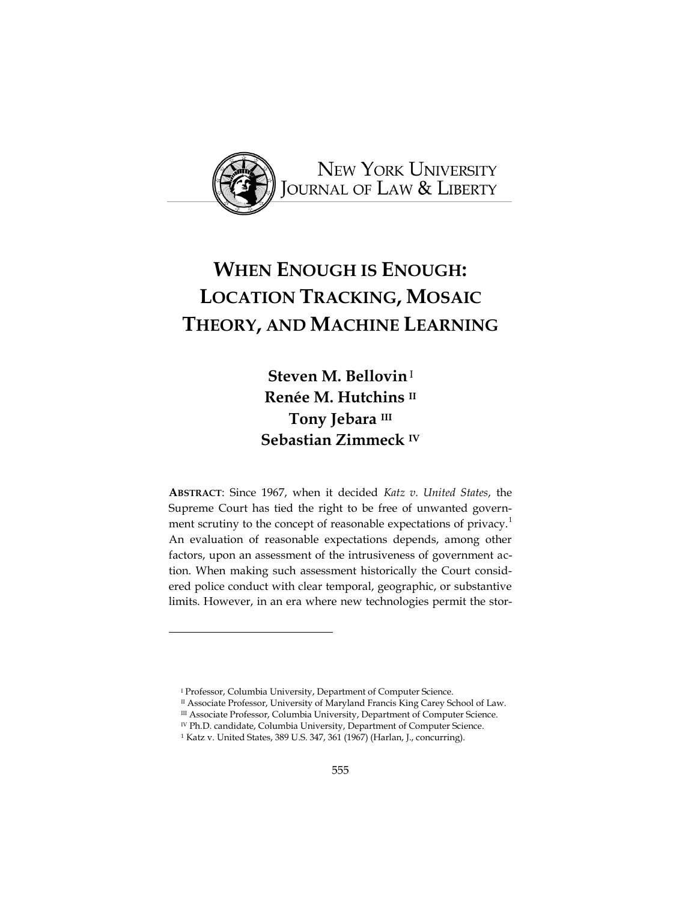

# **WHEN ENOUGH IS ENOUGH: LOCATION TRACKING, MOSAIC THEORY, AND MACHINE LEARNING**

**Steven M. Bellovin**<sup>I</sup> **Renée M. Hutchins II Tony Jebara III Sebastian Zimmeck IV**

**ABSTRACT**: Since 1967, when it decided *Katz v. United States*, the Supreme Court has tied the right to be free of unwanted government scrutiny to the concept of reasonable expectations of privacy.<sup>1</sup> An evaluation of reasonable expectations depends, among other factors, upon an assessment of the intrusiveness of government action. When making such assessment historically the Court considered police conduct with clear temporal, geographic, or substantive limits. However, in an era where new technologies permit the stor-

<sup>&</sup>lt;sup>1</sup> Professor, Columbia University, Department of Computer Science.

II Associate Professor, University of Maryland Francis King Carey School of Law.

 $^{\scriptsize\rm III}$ Associate Professor, Columbia University, Department of Computer Science.

IV Ph.D. candidate, Columbia University, Department of Computer Science.

<sup>1</sup> Katz v. United States, 389 U.S. 347, 361 (1967) (Harlan, J., concurring).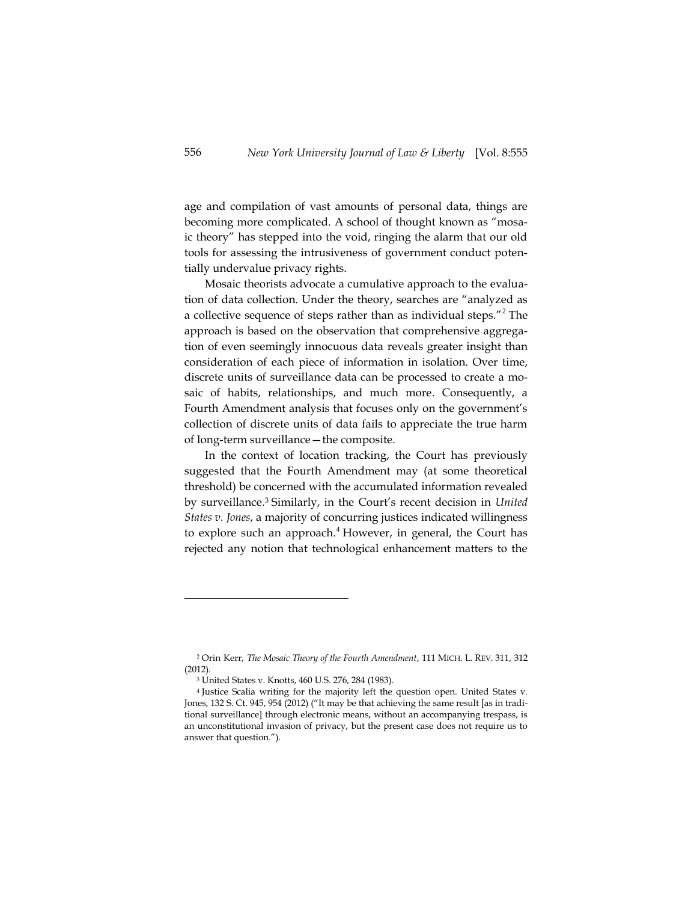age and compilation of vast amounts of personal data, things are becoming more complicated. A school of thought known as "mosaic theory" has stepped into the void, ringing the alarm that our old tools for assessing the intrusiveness of government conduct potentially undervalue privacy rights.

Mosaic theorists advocate a cumulative approach to the evaluation of data collection. Under the theory, searches are "analyzed as a collective sequence of steps rather than as individual steps."<sup>2</sup> The approach is based on the observation that comprehensive aggregation of even seemingly innocuous data reveals greater insight than consideration of each piece of information in isolation. Over time, discrete units of surveillance data can be processed to create a mosaic of habits, relationships, and much more. Consequently, a Fourth Amendment analysis that focuses only on the government's collection of discrete units of data fails to appreciate the true harm of long-term surveillance—the composite.

In the context of location tracking, the Court has previously suggested that the Fourth Amendment may (at some theoretical threshold) be concerned with the accumulated information revealed by surveillance. <sup>3</sup> Similarly, in the Court's recent decision in *United States v. Jones*, a majority of concurring justices indicated willingness to explore such an approach.<sup>4</sup> However, in general, the Court has rejected any notion that technological enhancement matters to the

<sup>2</sup> Orin Kerr, *The Mosaic Theory of the Fourth Amendment*, 111 MICH. L. REV. 311, 312 (2012).

<sup>3</sup> United States v. Knotts, 460 U.S. 276, 284 (1983).

<sup>4</sup> Justice Scalia writing for the majority left the question open. United States v. Jones, 132 S. Ct. 945, 954 (2012) ("It may be that achieving the same result [as in traditional surveillance] through electronic means, without an accompanying trespass, is an unconstitutional invasion of privacy, but the present case does not require us to answer that question.").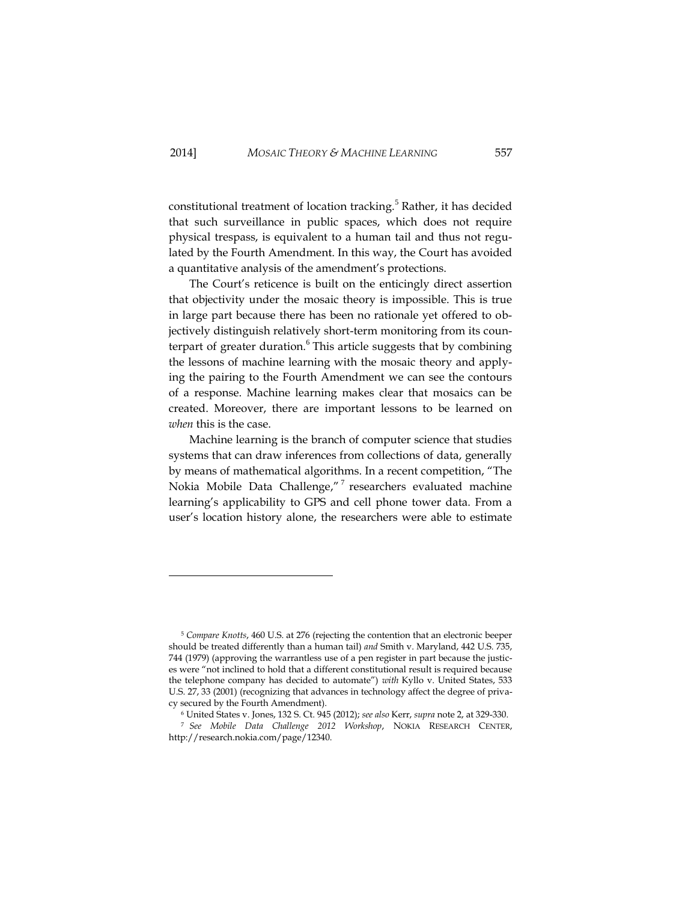constitutional treatment of location tracking.<sup>5</sup> Rather, it has decided that such surveillance in public spaces, which does not require physical trespass, is equivalent to a human tail and thus not regulated by the Fourth Amendment. In this way, the Court has avoided a quantitative analysis of the amendment's protections.

The Court's reticence is built on the enticingly direct assertion that objectivity under the mosaic theory is impossible. This is true in large part because there has been no rationale yet offered to objectively distinguish relatively short-term monitoring from its counterpart of greater duration. $6$  This article suggests that by combining the lessons of machine learning with the mosaic theory and applying the pairing to the Fourth Amendment we can see the contours of a response. Machine learning makes clear that mosaics can be created. Moreover, there are important lessons to be learned on *when* this is the case.

Machine learning is the branch of computer science that studies systems that can draw inferences from collections of data, generally by means of mathematical algorithms. In a recent competition, "The Nokia Mobile Data Challenge,"<sup>7</sup> researchers evaluated machine learning's applicability to GPS and cell phone tower data. From a user's location history alone, the researchers were able to estimate

j

<sup>5</sup> *Compare Knotts*, 460 U.S. at 276 (rejecting the contention that an electronic beeper should be treated differently than a human tail) *and* Smith v. Maryland, 442 U.S. 735, 744 (1979) (approving the warrantless use of a pen register in part because the justices were "not inclined to hold that a different constitutional result is required because the telephone company has decided to automate") *with* Kyllo v. United States, 533 U.S. 27, 33 (2001) (recognizing that advances in technology affect the degree of privacy secured by the Fourth Amendment).

<sup>6</sup> United States v. Jones, 132 S. Ct. 945 (2012); *see also* Kerr, *supra* note 2, at 329-330.

<sup>7</sup> *See Mobile Data Challenge 2012 Workshop*, NOKIA RESEARCH CENTER, http://research.nokia.com/page/12340.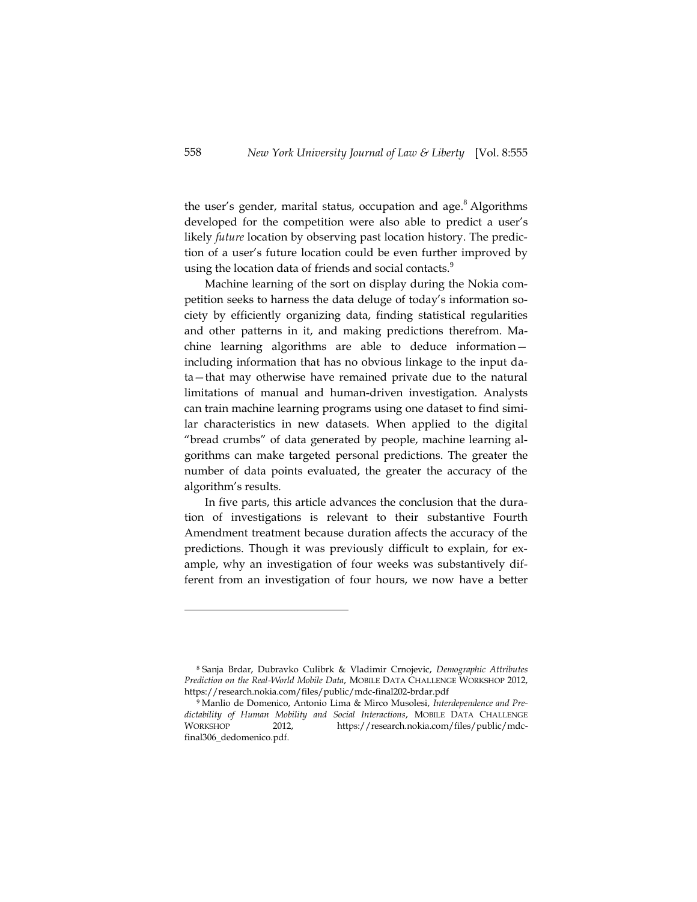the user's gender, marital status, occupation and age.<sup>8</sup> Algorithms developed for the competition were also able to predict a user's likely *future* location by observing past location history. The prediction of a user's future location could be even further improved by using the location data of friends and social contacts. $^9$ 

Machine learning of the sort on display during the Nokia competition seeks to harness the data deluge of today's information society by efficiently organizing data, finding statistical regularities and other patterns in it, and making predictions therefrom. Machine learning algorithms are able to deduce information including information that has no obvious linkage to the input data—that may otherwise have remained private due to the natural limitations of manual and human-driven investigation. Analysts can train machine learning programs using one dataset to find similar characteristics in new datasets. When applied to the digital "bread crumbs" of data generated by people, machine learning algorithms can make targeted personal predictions. The greater the number of data points evaluated, the greater the accuracy of the algorithm's results.

In five parts, this article advances the conclusion that the duration of investigations is relevant to their substantive Fourth Amendment treatment because duration affects the accuracy of the predictions. Though it was previously difficult to explain, for example, why an investigation of four weeks was substantively different from an investigation of four hours, we now have a better

<sup>8</sup> Sanja Brdar, Dubravko Culibrk & Vladimir Crnojevic, *Demographic Attributes Prediction on the Real-World Mobile Data*, MOBILE DATA CHALLENGE WORKSHOP 2012, https://research.nokia.com/files/public/mdc-final202-brdar.pdf

<sup>9</sup> Manlio de Domenico, Antonio Lima & Mirco Musolesi, *Interdependence and Predictability of Human Mobility and Social Interactions*, MOBILE DATA CHALLENGE WORKSHOP 2012, https://research.nokia.com/files/public/mdcfinal306\_dedomenico.pdf.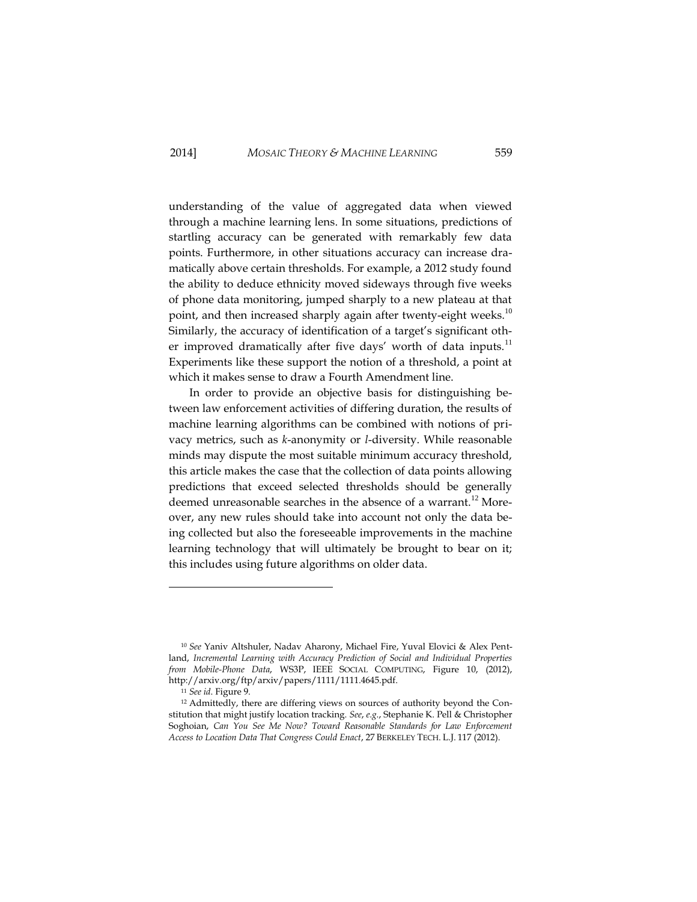understanding of the value of aggregated data when viewed through a machine learning lens. In some situations, predictions of startling accuracy can be generated with remarkably few data points. Furthermore, in other situations accuracy can increase dramatically above certain thresholds. For example, a 2012 study found the ability to deduce ethnicity moved sideways through five weeks of phone data monitoring, jumped sharply to a new plateau at that point, and then increased sharply again after twenty-eight weeks.<sup>10</sup> Similarly, the accuracy of identification of a target's significant other improved dramatically after five days' worth of data inputs.<sup>11</sup> Experiments like these support the notion of a threshold, a point at which it makes sense to draw a Fourth Amendment line.

In order to provide an objective basis for distinguishing between law enforcement activities of differing duration, the results of machine learning algorithms can be combined with notions of privacy metrics, such as *k*-anonymity or *l*-diversity. While reasonable minds may dispute the most suitable minimum accuracy threshold, this article makes the case that the collection of data points allowing predictions that exceed selected thresholds should be generally deemed unreasonable searches in the absence of a warrant.<sup>12</sup> Moreover, any new rules should take into account not only the data being collected but also the foreseeable improvements in the machine learning technology that will ultimately be brought to bear on it; this includes using future algorithms on older data.

<sup>10</sup> *See* Yaniv Altshuler, Nadav Aharony, Michael Fire, Yuval Elovici & Alex Pentland, *Incremental Learning with Accuracy Prediction of Social and Individual Properties from Mobile-Phone Data*, WS3P, IEEE SOCIAL COMPUTING, Figure 10, (2012), http://arxiv.org/ftp/arxiv/papers/1111/1111.4645.pdf.

<sup>11</sup> *See id*. Figure 9.

<sup>12</sup> Admittedly, there are differing views on sources of authority beyond the Constitution that might justify location tracking. *See*, *e.g.*, Stephanie K. Pell & Christopher Soghoian, *Can You See Me Now? Toward Reasonable Standards for Law Enforcement Access to Location Data That Congress Could Enact*, 27 BERKELEY TECH. L.J. 117 (2012).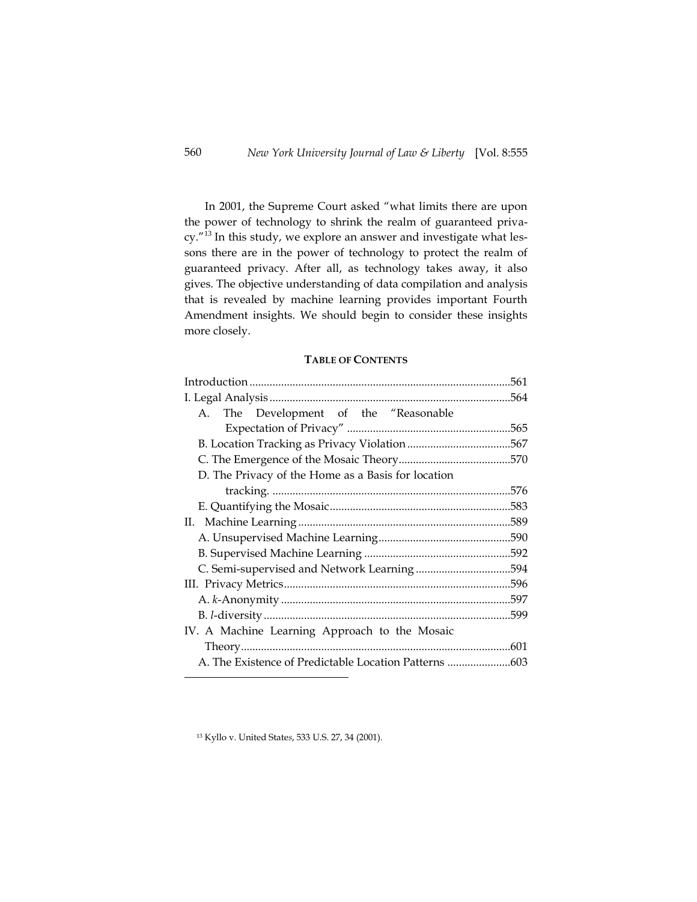In 2001, the Supreme Court asked "what limits there are upon the power of technology to shrink the realm of guaranteed privacy."<sup>13</sup> In this study, we explore an answer and investigate what lessons there are in the power of technology to protect the realm of guaranteed privacy. After all, as technology takes away, it also gives. The objective understanding of data compilation and analysis that is revealed by machine learning provides important Fourth Amendment insights. We should begin to consider these insights more closely.

# **TABLE OF CONTENTS**

| A. The Development of the "Reasonable                 |      |
|-------------------------------------------------------|------|
|                                                       |      |
|                                                       |      |
|                                                       |      |
| D. The Privacy of the Home as a Basis for location    |      |
|                                                       |      |
|                                                       |      |
|                                                       |      |
|                                                       |      |
|                                                       |      |
|                                                       |      |
|                                                       |      |
|                                                       |      |
|                                                       | 599. |
| IV. A Machine Learning Approach to the Mosaic         |      |
|                                                       |      |
| A. The Existence of Predictable Location Patterns 603 |      |

<sup>13</sup> Kyllo v. United State*s*, 533 U.S. 27, 34 (2001).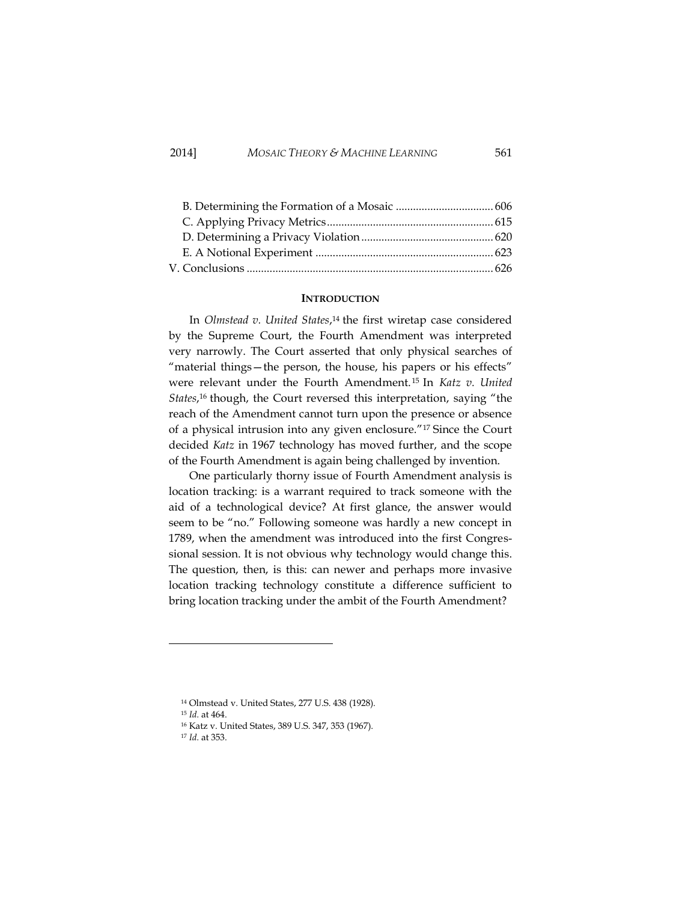# 2014] *MOSAIC THEORY & MACHINE LEARNING* 561

# **INTRODUCTION**

In *Olmstead v. United States*, <sup>14</sup> the first wiretap case considered by the Supreme Court, the Fourth Amendment was interpreted very narrowly. The Court asserted that only physical searches of "material things—the person, the house, his papers or his effects" were relevant under the Fourth Amendment. <sup>15</sup> In *Katz v. United States*, <sup>16</sup> though, the Court reversed this interpretation, saying "the reach of the Amendment cannot turn upon the presence or absence of a physical intrusion into any given enclosure." <sup>17</sup> Since the Court decided *Katz* in 1967 technology has moved further, and the scope of the Fourth Amendment is again being challenged by invention.

One particularly thorny issue of Fourth Amendment analysis is location tracking: is a warrant required to track someone with the aid of a technological device? At first glance, the answer would seem to be "no." Following someone was hardly a new concept in 1789, when the amendment was introduced into the first Congressional session. It is not obvious why technology would change this. The question, then, is this: can newer and perhaps more invasive location tracking technology constitute a difference sufficient to bring location tracking under the ambit of the Fourth Amendment?

<sup>15</sup> *Id.* at 464.

j

<sup>14</sup> Olmstead v. United States, 277 U.S. 438 (1928).

<sup>16</sup> Katz v. United States, 389 U.S. 347, 353 (1967).

<sup>17</sup> *Id.* at 353.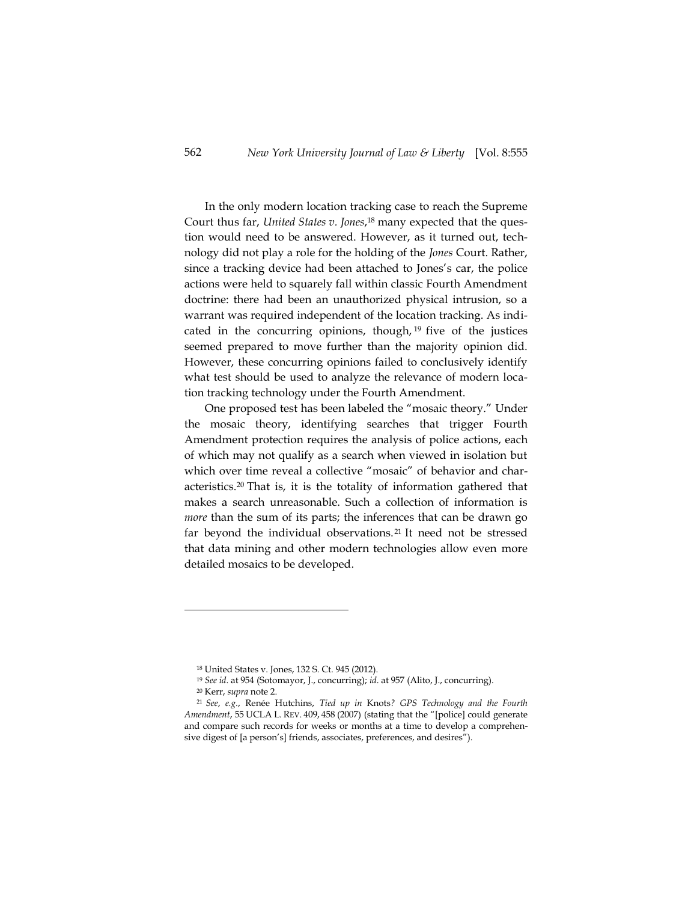In the only modern location tracking case to reach the Supreme Court thus far, *United States v. Jones*, <sup>18</sup> many expected that the question would need to be answered. However, as it turned out, technology did not play a role for the holding of the *Jones* Court. Rather, since a tracking device had been attached to Jones's car, the police actions were held to squarely fall within classic Fourth Amendment doctrine: there had been an unauthorized physical intrusion, so a warrant was required independent of the location tracking. As indicated in the concurring opinions, though, <sup>19</sup> five of the justices seemed prepared to move further than the majority opinion did. However, these concurring opinions failed to conclusively identify what test should be used to analyze the relevance of modern location tracking technology under the Fourth Amendment.

One proposed test has been labeled the "mosaic theory." Under the mosaic theory, identifying searches that trigger Fourth Amendment protection requires the analysis of police actions, each of which may not qualify as a search when viewed in isolation but which over time reveal a collective "mosaic" of behavior and characteristics.<sup>20</sup> That is, it is the totality of information gathered that makes a search unreasonable. Such a collection of information is *more* than the sum of its parts; the inferences that can be drawn go far beyond the individual observations.<sup>21</sup> It need not be stressed that data mining and other modern technologies allow even more detailed mosaics to be developed.

<sup>18</sup> United States v. Jones, 132 S. Ct. 945 (2012).

<sup>19</sup> *See id*. at 954 (Sotomayor, J., concurring); *id*. at 957 (Alito, J., concurring).

<sup>20</sup> Kerr, *supra* note 2.

<sup>21</sup> *See*, *e.g.*, Renée Hutchins, *Tied up in* Knots*? GPS Technology and the Fourth Amendment*, 55 UCLA L. REV. 409, 458 (2007) (stating that the "[police] could generate and compare such records for weeks or months at a time to develop a comprehensive digest of [a person's] friends, associates, preferences, and desires").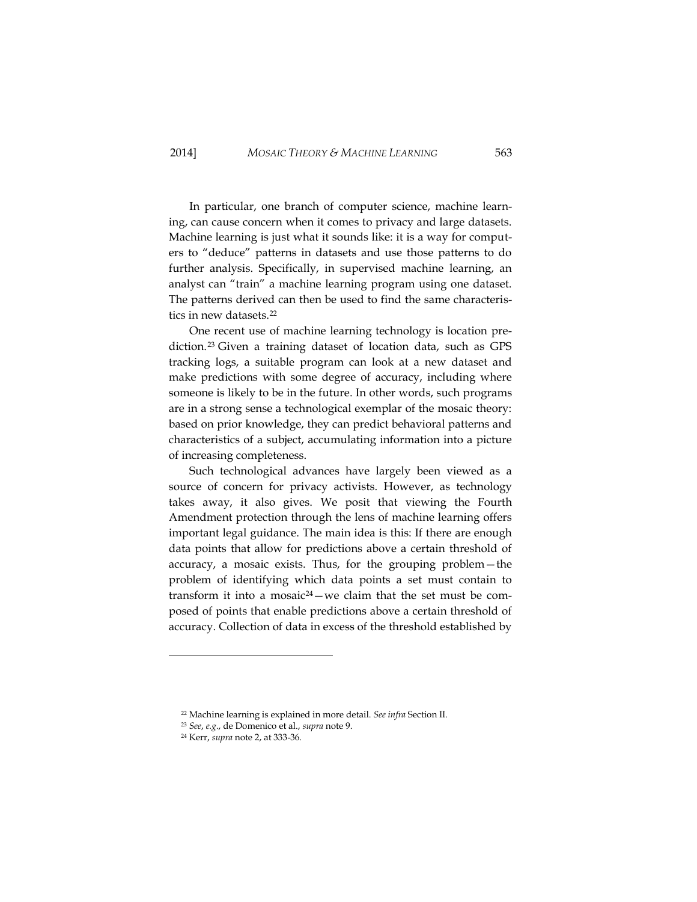In particular, one branch of computer science, machine learning, can cause concern when it comes to privacy and large datasets. Machine learning is just what it sounds like: it is a way for computers to "deduce" patterns in datasets and use those patterns to do further analysis. Specifically, in supervised machine learning, an analyst can "train" a machine learning program using one dataset. The patterns derived can then be used to find the same characteristics in new datasets.<sup>22</sup>

One recent use of machine learning technology is location prediction.<sup>23</sup> Given a training dataset of location data, such as GPS tracking logs, a suitable program can look at a new dataset and make predictions with some degree of accuracy, including where someone is likely to be in the future. In other words, such programs are in a strong sense a technological exemplar of the mosaic theory: based on prior knowledge, they can predict behavioral patterns and characteristics of a subject, accumulating information into a picture of increasing completeness.

Such technological advances have largely been viewed as a source of concern for privacy activists. However, as technology takes away, it also gives. We posit that viewing the Fourth Amendment protection through the lens of machine learning offers important legal guidance. The main idea is this: If there are enough data points that allow for predictions above a certain threshold of accuracy, a mosaic exists. Thus, for the grouping problem—the problem of identifying which data points a set must contain to transform it into a mosaic<sup>24</sup>-we claim that the set must be composed of points that enable predictions above a certain threshold of accuracy. Collection of data in excess of the threshold established by

<sup>22</sup> Machine learning is explained in more detail. *See infra* Section II.

<sup>23</sup> *See*, *e.g.*, de Domenico et al., *supra* note 9.

<sup>24</sup> Kerr, *supra* note 2, at 333-36.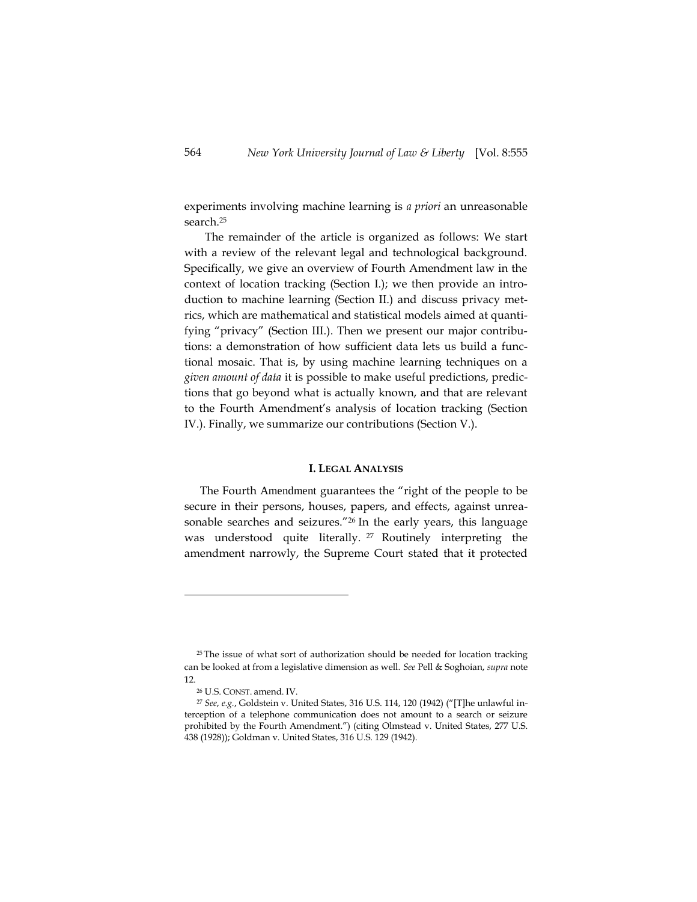experiments involving machine learning is *a priori* an unreasonable search.<sup>25</sup>

The remainder of the article is organized as follows: We start with a review of the relevant legal and technological background. Specifically, we give an overview of Fourth Amendment law in the context of location tracking (Section I.); we then provide an introduction to machine learning (Section II.) and discuss privacy metrics, which are mathematical and statistical models aimed at quantifying "privacy" (Section III.). Then we present our major contributions: a demonstration of how sufficient data lets us build a functional mosaic. That is, by using machine learning techniques on a *given amount of data* it is possible to make useful predictions, predictions that go beyond what is actually known, and that are relevant to the Fourth Amendment's analysis of location tracking (Section IV.). Finally, we summarize our contributions (Section V.).

#### **I. LEGAL ANALYSIS**

The Fourth Amendment guarantees the "right of the people to be secure in their persons, houses, papers, and effects, against unreasonable searches and seizures." <sup>26</sup> In the early years, this language was understood quite literally. <sup>27</sup> Routinely interpreting the amendment narrowly, the Supreme Court stated that it protected

<sup>&</sup>lt;sup>25</sup> The issue of what sort of authorization should be needed for location tracking can be looked at from a legislative dimension as well. *See* Pell & Soghoian, *supra* note 12.

<sup>26</sup> U.S. CONST. amend. IV.

<sup>27</sup> *See*, *e.g.*, Goldstein v. United States, 316 U.S. 114, 120 (1942) ("[T]he unlawful interception of a telephone communication does not amount to a search or seizure prohibited by the Fourth Amendment.") (citin[g Olmstead v. United States, 277 U.S.](http://www.lexisnexis.com.ezproxy.cul.columbia.edu/lnacui2api/mungo/lexseestat.do?bct=A&risb=21_T16400067677&homeCsi=6443&A=0.8230469231295315&urlEnc=ISO-8859-1&&citeString=277%20U.S.%20438&countryCode=USA)  [438](http://www.lexisnexis.com.ezproxy.cul.columbia.edu/lnacui2api/mungo/lexseestat.do?bct=A&risb=21_T16400067677&homeCsi=6443&A=0.8230469231295315&urlEnc=ISO-8859-1&&citeString=277%20U.S.%20438&countryCode=USA) (1928)); Goldman v. United States, 316 U.S. 129 (1942).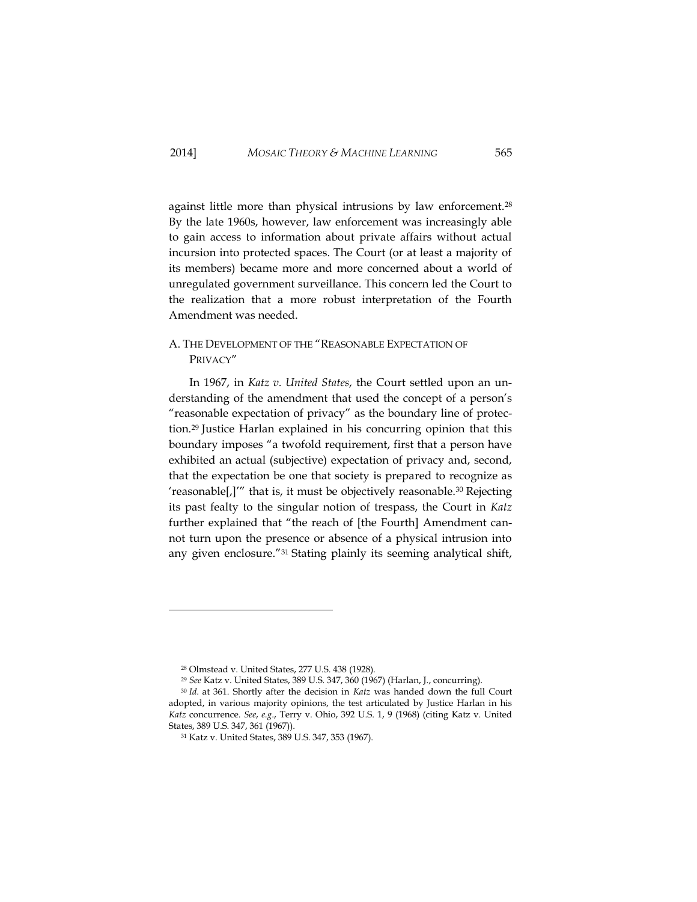against little more than physical intrusions by law enforcement.<sup>28</sup> By the late 1960s, however, law enforcement was increasingly able to gain access to information about private affairs without actual incursion into protected spaces. The Court (or at least a majority of its members) became more and more concerned about a world of unregulated government surveillance. This concern led the Court to the realization that a more robust interpretation of the Fourth Amendment was needed.

# A. THE DEVELOPMENT OF THE "REASONABLE EXPECTATION OF PRIVACY"

In 1967, in *Katz v. United States*, the Court settled upon an understanding of the amendment that used the concept of a person's "reasonable expectation of privacy" as the boundary line of protection.<sup>29</sup> Justice Harlan explained in his concurring opinion that this boundary imposes "a twofold requirement, first that a person have exhibited an actual (subjective) expectation of privacy and, second, that the expectation be one that society is prepared to recognize as 'reasonable[,]'" that is, it must be objectively reasonable.<sup>30</sup> Rejecting its past fealty to the singular notion of trespass, the Court in *Katz*  further explained that "the reach of [the Fourth] Amendment cannot turn upon the presence or absence of a physical intrusion into any given enclosure."<sup>31</sup> Stating plainly its seeming analytical shift,

<sup>28</sup> Olmstead v. United States, 277 U.S. 438 (1928).

<sup>29</sup> *See* Katz v. United States, 389 U.S. 347, 360 (1967) (Harlan, J., concurring).

<sup>30</sup> *Id.* at 361. Shortly after the decision in *Katz* was handed down the full Court adopted, in various majority opinions, the test articulated by Justice Harlan in his *Katz* concurrence. *See*, *e.g.*, Terry v. Ohio, 392 U.S. 1, 9 (1968) (citing Katz v. United States, 389 U.S. 347, 361 (1967)).

<sup>31</sup> Katz v. United States, 389 U.S. 347, 353 (1967).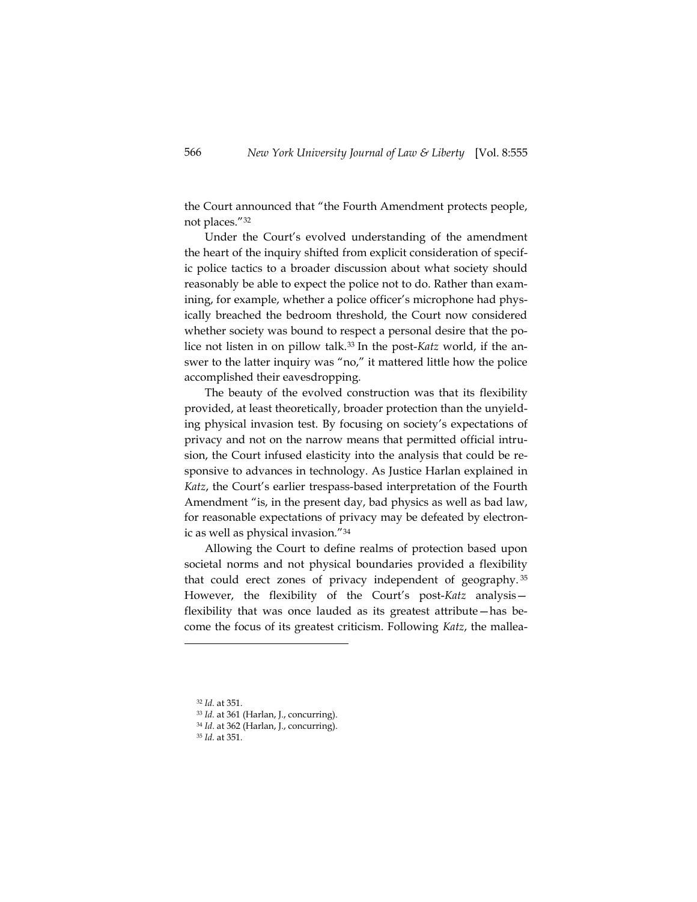the Court announced that "the Fourth Amendment protects people, not places."<sup>32</sup>

Under the Court's evolved understanding of the amendment the heart of the inquiry shifted from explicit consideration of specific police tactics to a broader discussion about what society should reasonably be able to expect the police not to do. Rather than examining, for example, whether a police officer's microphone had physically breached the bedroom threshold, the Court now considered whether society was bound to respect a personal desire that the police not listen in on pillow talk.<sup>33</sup> In the post-*Katz* world, if the answer to the latter inquiry was "no," it mattered little how the police accomplished their eavesdropping.

The beauty of the evolved construction was that its flexibility provided, at least theoretically, broader protection than the unyielding physical invasion test. By focusing on society's expectations of privacy and not on the narrow means that permitted official intrusion, the Court infused elasticity into the analysis that could be responsive to advances in technology. As Justice Harlan explained in *Katz*, the Court's earlier trespass-based interpretation of the Fourth Amendment "is, in the present day, bad physics as well as bad law, for reasonable expectations of privacy may be defeated by electronic as well as physical invasion." 34

Allowing the Court to define realms of protection based upon societal norms and not physical boundaries provided a flexibility that could erect zones of privacy independent of geography. <sup>35</sup> However, the flexibility of the Court's post-*Katz* analysis flexibility that was once lauded as its greatest attribute—has become the focus of its greatest criticism. Following *Katz*, the mallea-

<sup>32</sup> *Id.* at 351.

<sup>33</sup> *Id.* at 361 (Harlan, J., concurring).

<sup>34</sup> *Id*. at 362 (Harlan, J., concurring).

<sup>35</sup> *Id.* at 351.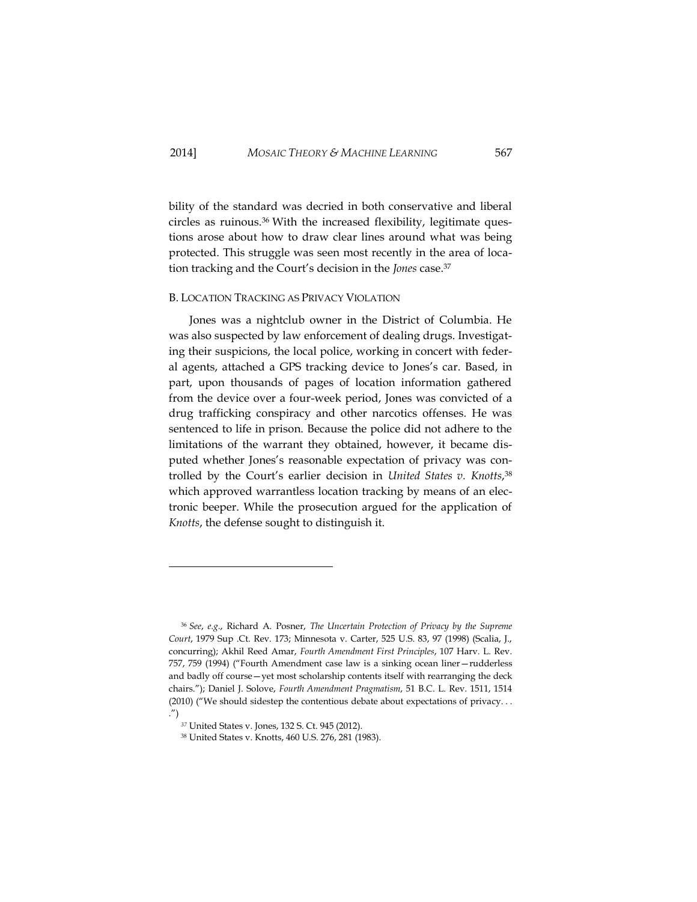bility of the standard was decried in both conservative and liberal circles as ruinous.<sup>36</sup> With the increased flexibility, legitimate questions arose about how to draw clear lines around what was being protected. This struggle was seen most recently in the area of location tracking and the Court's decision in the *Jones* case.<sup>37</sup>

# <span id="page-13-0"></span>B. LOCATION TRACKING AS PRIVACY VIOLATION

Jones was a nightclub owner in the District of Columbia. He was also suspected by law enforcement of dealing drugs. Investigating their suspicions, the local police, working in concert with federal agents, attached a GPS tracking device to Jones's car. Based, in part, upon thousands of pages of location information gathered from the device over a four-week period, Jones was convicted of a drug trafficking conspiracy and other narcotics offenses. He was sentenced to life in prison. Because the police did not adhere to the limitations of the warrant they obtained, however, it became disputed whether Jones's reasonable expectation of privacy was controlled by the Court's earlier decision in *United States v. Knotts*, 38 which approved warrantless location tracking by means of an electronic beeper. While the prosecution argued for the application of *Knotts*, the defense sought to distinguish it.

<sup>36</sup> *See*, *e.g*., Richard A. Posner, *The Uncertain Protection of Privacy by the Supreme Court*, 1979 Sup .Ct. Rev. 173; Minnesota v. Carter, 525 U.S. 83, 97 (1998) (Scalia, J., concurring); Akhil Reed Amar, *Fourth Amendment First Principles*, 107 Harv. L. Rev. 757, 759 (1994) ("Fourth Amendment case law is a sinking ocean liner—rudderless and badly off course—yet most scholarship contents itself with rearranging the deck chairs."); Daniel J. Solove, *Fourth Amendment Pragmatism*, 51 B.C. L. Rev. 1511, 1514 (2010) ("We should sidestep the contentious debate about expectations of privacy. . . .")

*<sup>37</sup>* United States v. Jones, 132 S. Ct. 945 (2012).

<sup>38</sup> United States v. Knotts, 460 U.S. 276, 281 (1983).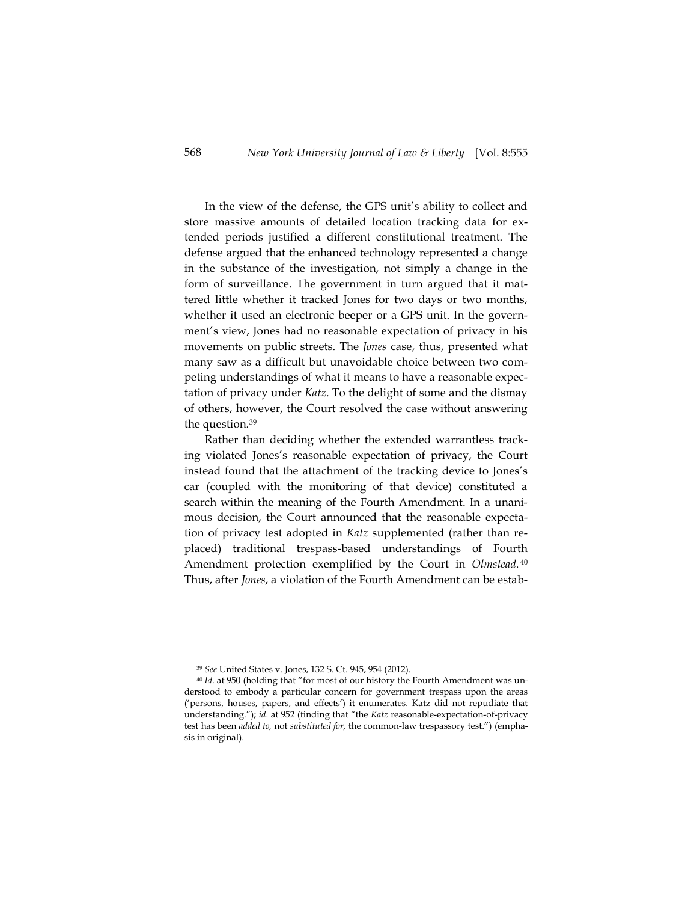In the view of the defense, the GPS unit's ability to collect and store massive amounts of detailed location tracking data for extended periods justified a different constitutional treatment. The defense argued that the enhanced technology represented a change in the substance of the investigation, not simply a change in the form of surveillance. The government in turn argued that it mattered little whether it tracked Jones for two days or two months, whether it used an electronic beeper or a GPS unit. In the government's view, Jones had no reasonable expectation of privacy in his movements on public streets. The *Jones* case, thus, presented what many saw as a difficult but unavoidable choice between two competing understandings of what it means to have a reasonable expectation of privacy under *Katz*. To the delight of some and the dismay of others, however, the Court resolved the case without answering the question.<sup>39</sup>

Rather than deciding whether the extended warrantless tracking violated Jones's reasonable expectation of privacy, the Court instead found that the attachment of the tracking device to Jones's car (coupled with the monitoring of that device) constituted a search within the meaning of the Fourth Amendment. In a unanimous decision, the Court announced that the reasonable expectation of privacy test adopted in *Katz* supplemented (rather than replaced) traditional trespass-based understandings of Fourth Amendment protection exemplified by the Court in *Olmstead*. 40 Thus, after *Jones*, a violation of the Fourth Amendment can be estab-

<sup>39</sup> *See* United States v. Jones, 132 S. Ct. 945, 954 (2012).

<sup>&</sup>lt;sup>40</sup> Id. at 950 (holding that "for most of our history the Fourth Amendment was understood to embody a particular concern for government trespass upon the areas ('persons, houses, papers, and effects') it enumerates. [Katz](http://web2.westlaw.com/find/default.wl?rs=WLW12.10&pbc=407AE760&vr=2.0&findtype=Y&rp=%2ffind%2fdefault.wl&sv=Split&fn=_top&tf=-1&ordoc=2026902885&mt=208&serialnum=1967129584&tc=-1) did not repudiate that understanding."); *id*. at 952 (finding that "the *[Katz](http://web2.westlaw.com/find/default.wl?rs=WLW12.10&pbc=407AE760&vr=2.0&findtype=Y&rp=%2ffind%2fdefault.wl&sv=Split&fn=_top&tf=-1&ordoc=2026902885&mt=208&serialnum=1967129584&tc=-1)* reasonable-expectation-of-privacy test has been *added to,* not *substituted for,* the common-law trespassory test.") (emphasis in original).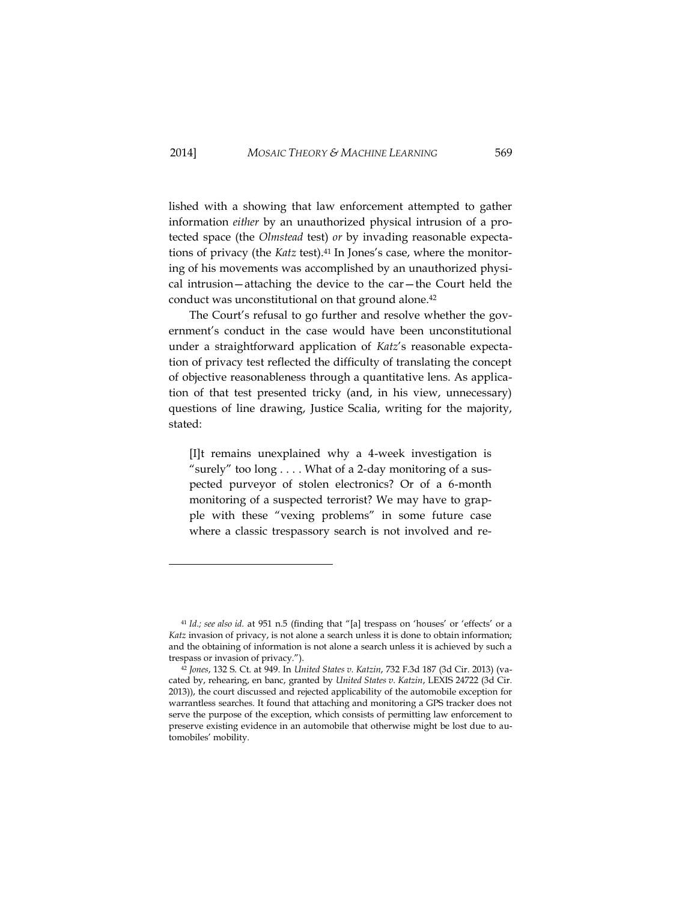lished with a showing that law enforcement attempted to gather information *either* by an unauthorized physical intrusion of a protected space (the *Olmstead* test) *or* by invading reasonable expectations of privacy (the *Katz* test).<sup>41</sup> In Jones's case, where the monitoring of his movements was accomplished by an unauthorized physical intrusion—attaching the device to the car—the Court held the conduct was unconstitutional on that ground alone. 42

The Court's refusal to go further and resolve whether the government's conduct in the case would have been unconstitutional under a straightforward application of *Katz*'s reasonable expectation of privacy test reflected the difficulty of translating the concept of objective reasonableness through a quantitative lens. As application of that test presented tricky (and, in his view, unnecessary) questions of line drawing, Justice Scalia, writing for the majority, stated:

[I]t remains unexplained why a 4-week investigation is "surely" too long . . . . What of a 2-day monitoring of a suspected purveyor of stolen electronics? Or of a 6-month monitoring of a suspected terrorist? We may have to grapple with these "vexing problems" in some future case where a classic trespassory search is not involved and re-

<sup>41</sup> *Id.; see also id.* at 951 n.5 (finding that "[a] trespass on 'houses' or 'effects' or a *[Katz](http://web2.westlaw.com/find/default.wl?rs=WLW12.10&pbc=407AE760&vr=2.0&findtype=Y&rp=%2ffind%2fdefault.wl&sv=Split&fn=_top&tf=-1&ordoc=2026902885&mt=208&serialnum=1967129584&tc=-1)* invasion of privacy, is not alone a search unless it is done to obtain information; and the obtaining of information is not alone a search unless it is achieved by such a trespass or invasion of privacy.").

<sup>42</sup> *Jones*, 132 S. Ct. at 949. In *United States v. Katzin*, 732 F.3d 187 (3d Cir. 2013) (vacated by, rehearing, en banc, granted by *United States v. Katzin*, LEXIS 24722 (3d Cir. 2013)), the court discussed and rejected applicability of the automobile exception for warrantless searches. It found that attaching and monitoring a GPS tracker does not serve the purpose of the exception, which consists of permitting law enforcement to preserve existing evidence in an automobile that otherwise might be lost due to automobiles' mobility.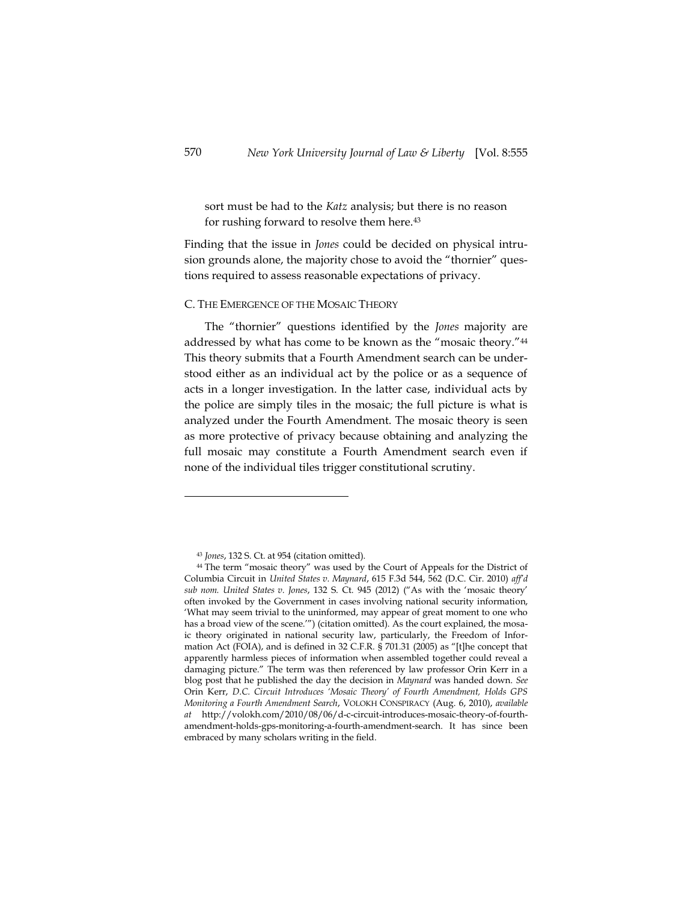sort must be had to the *Katz* analysis; but there is no reason for rushing forward to resolve them here.<sup>43</sup>

Finding that the issue in *Jones* could be decided on physical intrusion grounds alone, the majority chose to avoid the "thornier" questions required to assess reasonable expectations of privacy.

# <span id="page-16-0"></span>C. THE EMERGENCE OF THE MOSAIC THEORY

The "thornier" questions identified by the *Jones* majority are addressed by what has come to be known as the "mosaic theory." 44 This theory submits that a Fourth Amendment search can be understood either as an individual act by the police or as a sequence of acts in a longer investigation. In the latter case, individual acts by the police are simply tiles in the mosaic; the full picture is what is analyzed under the Fourth Amendment. The mosaic theory is seen as more protective of privacy because obtaining and analyzing the full mosaic may constitute a Fourth Amendment search even if none of the individual tiles trigger constitutional scrutiny.

<sup>43</sup> *Jones*, 132 S. Ct. at 954 (citation omitted).

<sup>44</sup> The term "mosaic theory" was used by the Court of Appeals for the District of Columbia Circuit in *United States v. Maynard*, 615 F.3d 544, 562 (D.C. Cir. 2010) *aff'd sub nom. United States v. Jones*, 132 S. Ct. 945 (2012) ("As with the 'mosaic theory' often invoked by the Government in cases involving national security information, 'What may seem trivial to the uninformed, may appear of great moment to one who has a broad view of the scene.'") (citation omitted). As the court explained, the mosaic theory originated in national security law, particularly, the Freedom of Information Act (FOIA), and is defined in 32 C.F.R. § 701.31 (2005) as "[t]he concept that apparently harmless pieces of information when assembled together could reveal a damaging picture." The term was then referenced by law professor Orin Kerr in a blog post that he published the day the decision in *Maynard* was handed down. *See* Orin Kerr, *D.C. Circuit Introduces 'Mosaic Theory' of Fourth Amendment, Holds GPS Monitoring a Fourth Amendment Search*, VOLOKH CONSPIRACY (Aug. 6, 2010), *available at* http://volokh.com/2010/08/06/d-c-circuit-introduces-mosaic-theory-of-fourthamendment-holds-gps-monitoring-a-fourth-amendment-search. It has since been embraced by many scholars writing in the field.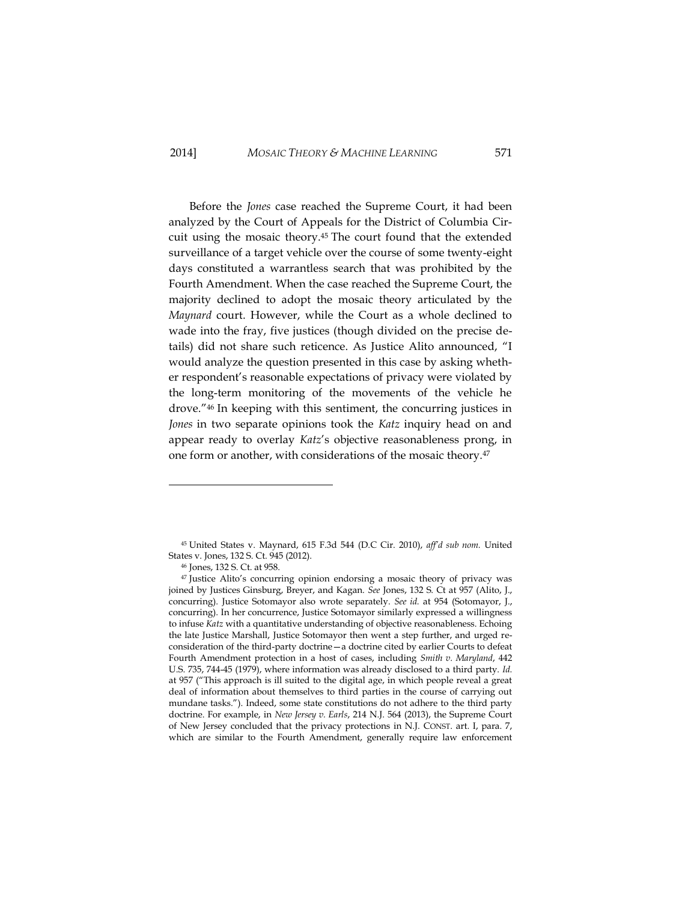# 2014] *MOSAIC THEORY & MACHINE LEARNING* 571

Before the *Jones* case reached the Supreme Court, it had been analyzed by the Court of Appeals for the District of Columbia Circuit using the mosaic theory. <sup>45</sup> The court found that the extended surveillance of a target vehicle over the course of some twenty-eight days constituted a warrantless search that was prohibited by the Fourth Amendment. When the case reached the Supreme Court, the majority declined to adopt the mosaic theory articulated by the *Maynard* court. However, while the Court as a whole declined to wade into the fray, five justices (though divided on the precise details) did not share such reticence. As Justice Alito announced, "I would analyze the question presented in this case by asking whether respondent's reasonable expectations of privacy were violated by the long-term monitoring of the movements of the vehicle he drove." <sup>46</sup> In keeping with this sentiment, the concurring justices in *Jones* in two separate opinions took the *Katz* inquiry head on and appear ready to overlay *Katz*'s objective reasonableness prong, in one form or another, with considerations of the mosaic theory. 47

<sup>45</sup> United States v. Maynard, 615 F.3d 544 (D.C Cir. 2010), *aff'd sub nom.* United States v. Jones, 132 S. Ct. 945 (2012).

<sup>46</sup> Jones, 132 S. Ct. at 958.

<sup>47</sup> Justice Alito's concurring opinion endorsing a mosaic theory of privacy was joined by Justices Ginsburg, Breyer, and Kagan. *See* Jones, 132 S. Ct at 957 (Alito, J., concurring). Justice Sotomayor also wrote separately. *See id.* at 954 (Sotomayor, J., concurring). In her concurrence, Justice Sotomayor similarly expressed a willingness to infuse *Katz* with a quantitative understanding of objective reasonableness. Echoing the late Justice Marshall, Justice Sotomayor then went a step further, and urged reconsideration of the third-party doctrine—a doctrine cited by earlier Courts to defeat Fourth Amendment protection in a host of cases, including *Smith v. Maryland*, 442 U.S. 735, 744-45 (1979), where information was already disclosed to a third party. *Id.*  at 957 ("This approach is ill suited to the digital age, in which people reveal a great deal of information about themselves to third parties in the course of carrying out mundane tasks."). Indeed, some state constitutions do not adhere to the third party doctrine. For example, in *New Jersey v. Earls*, 214 N.J. 564 (2013), the Supreme Court of New Jersey concluded that the privacy protections in N.J. CONST. art. I, para. 7, which are similar to the Fourth Amendment, generally require law enforcement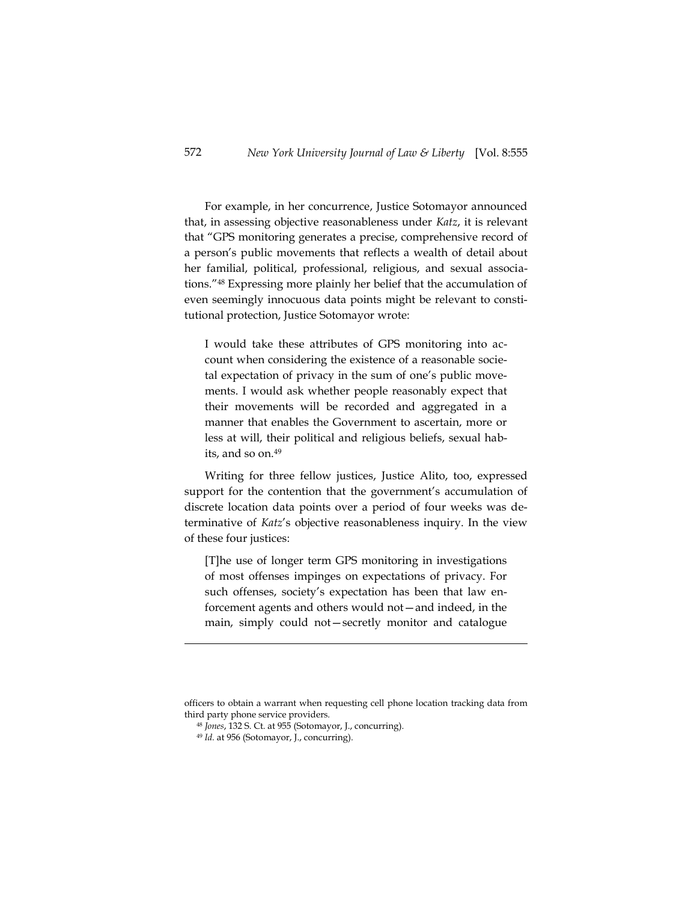For example, in her concurrence, Justice Sotomayor announced that, in assessing objective reasonableness under *Katz*, it is relevant that "GPS monitoring generates a precise, comprehensive record of a person's public movements that reflects a wealth of detail about her familial, political, professional, religious, and sexual associations." <sup>48</sup> Expressing more plainly her belief that the accumulation of even seemingly innocuous data points might be relevant to constitutional protection, Justice Sotomayor wrote:

I would take these attributes of GPS monitoring into account when considering the existence of a reasonable societal expectation of privacy in the sum of one's public movements. I would ask whether people reasonably expect that their movements will be recorded and aggregated in a manner that enables the Government to ascertain, more or less at will, their political and religious beliefs, sexual habits, and so on.<sup>49</sup>

Writing for three fellow justices, Justice Alito, too, expressed support for the contention that the government's accumulation of discrete location data points over a period of four weeks was determinative of *Katz*'s objective reasonableness inquiry. In the view of these four justices:

[T]he use of longer term GPS monitoring in investigations of most offenses impinges on expectations of privacy. For such offenses, society's expectation has been that law enforcement agents and others would not—and indeed, in the main, simply could not—secretly monitor and catalogue

officers to obtain a warrant when requesting cell phone location tracking data from third party phone service providers.

<sup>48</sup> *Jones*, 132 S. Ct. at 955 (Sotomayor, J., concurring).

<sup>49</sup> *Id.* at 956 (Sotomayor, J., concurring).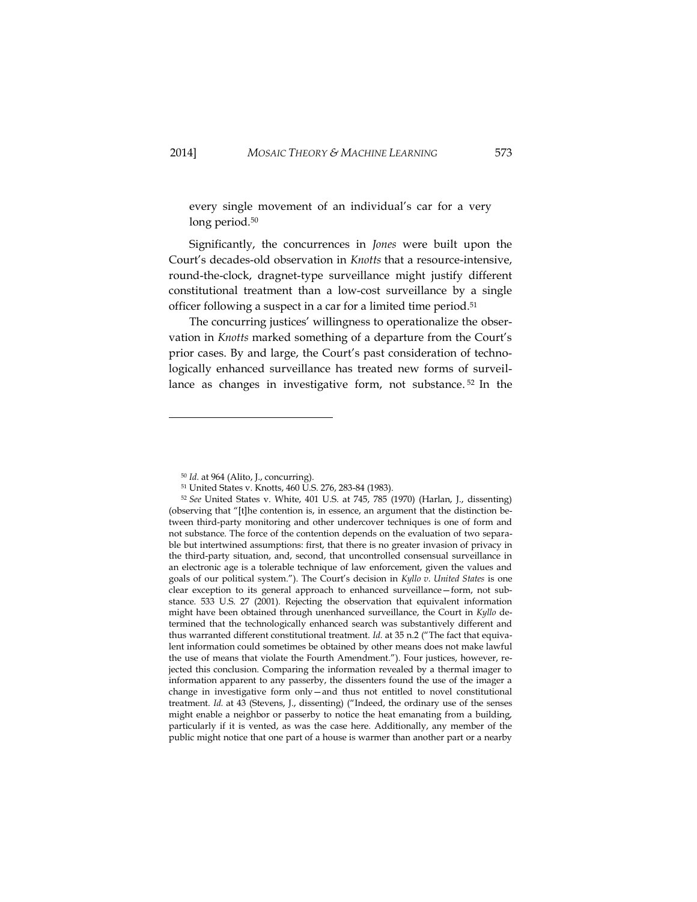every single movement of an individual's car for a very long period.<sup>50</sup>

Significantly, the concurrences in *Jones* were built upon the Court's decades-old observation in *Knotts* that a resource-intensive, round-the-clock, dragnet-type surveillance might justify different constitutional treatment than a low-cost surveillance by a single officer following a suspect in a car for a limited time period. 51

The concurring justices' willingness to operationalize the observation in *Knotts* marked something of a departure from the Court's prior cases. By and large, the Court's past consideration of technologically enhanced surveillance has treated new forms of surveillance as changes in investigative form, not substance. <sup>52</sup> In the

<sup>50</sup> *Id.* at 964 (Alito, J., concurring).

<sup>51</sup> United States v. Knotts, 460 U.S. 276, 283-84 (1983).

<sup>52</sup> *See* United States v. White, 401 U.S. at 745, 785 (1970) (Harlan, J., dissenting) (observing that "[t]he contention is, in essence, an argument that the distinction between third-party monitoring and other undercover techniques is one of form and not substance. The force of the contention depends on the evaluation of two separable but intertwined assumptions: first, that there is no greater invasion of privacy in the third-party situation, and, second, that uncontrolled consensual surveillance in an electronic age is a tolerable technique of law enforcement, given the values and goals of our political system."). The Court's decision in *Kyllo v. United States* is one clear exception to its general approach to enhanced surveillance—form, not substance. 533 U.S. 27 (2001). Rejecting the observation that equivalent information might have been obtained through unenhanced surveillance, the Court in *Kyllo* determined that the technologically enhanced search was substantively different and thus warranted different constitutional treatment. *Id*. at 35 n.2 ("The fact that equivalent information could sometimes be obtained by other means does not make lawful the use of means that violate the Fourth Amendment."). Four justices, however, rejected this conclusion. Comparing the information revealed by a thermal imager to information apparent to any passerby, the dissenters found the use of the imager a change in investigative form only—and thus not entitled to novel constitutional treatment. *Id.* at 43 (Stevens, J., dissenting) ("Indeed, the ordinary use of the senses might enable a neighbor or passerby to notice the heat emanating from a building, particularly if it is vented, as was the case here. Additionally, any member of the public might notice that one part of a house is warmer than another part or a nearby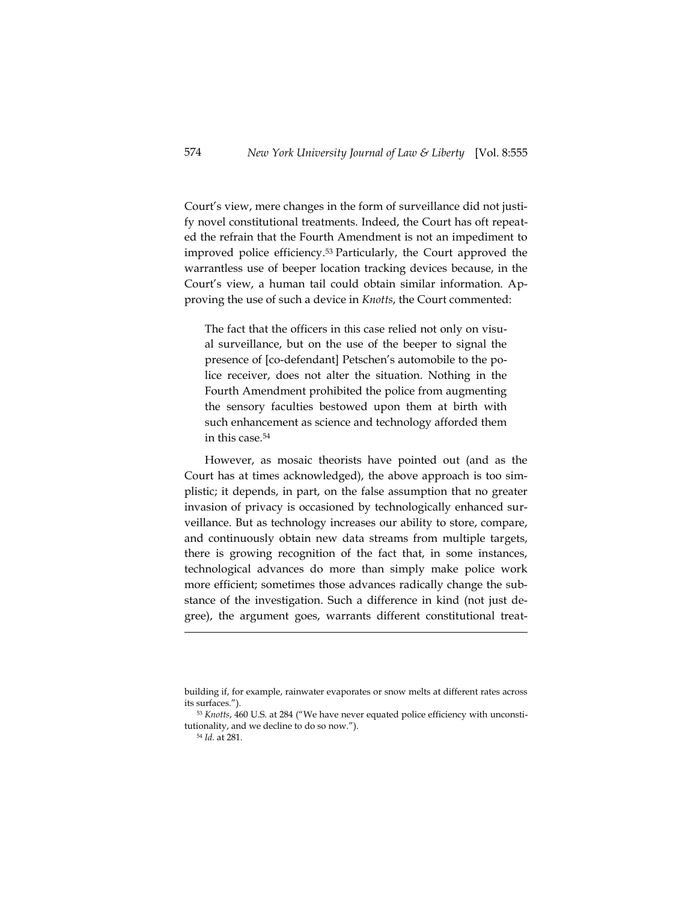Court's view, mere changes in the form of surveillance did not justify novel constitutional treatments. Indeed, the Court has oft repeated the refrain that the Fourth Amendment is not an impediment to improved police efficiency.<sup>53</sup> Particularly, the Court approved the warrantless use of beeper location tracking devices because, in the Court's view, a human tail could obtain similar information. Approving the use of such a device in *Knotts*, the Court commented:

The fact that the officers in this case relied not only on visual surveillance, but on the use of the beeper to signal the presence of [co-defendant] Petschen's automobile to the police receiver, does not alter the situation. Nothing in the Fourth Amendment prohibited the police from augmenting the sensory faculties bestowed upon them at birth with such enhancement as science and technology afforded them in this case.<sup>54</sup>

However, as mosaic theorists have pointed out (and as the Court has at times acknowledged), the above approach is too simplistic; it depends, in part, on the false assumption that no greater invasion of privacy is occasioned by technologically enhanced surveillance. But as technology increases our ability to store, compare, and continuously obtain new data streams from multiple targets, there is growing recognition of the fact that, in some instances, technological advances do more than simply make police work more efficient; sometimes those advances radically change the substance of the investigation. Such a difference in kind (not just degree), the argument goes, warrants different constitutional treat-

building if, for example, rainwater evaporates or snow melts at different rates across its surfaces.").

<sup>53</sup> *Knotts*, 460 U.S. at 284 ("We have never equated police efficiency with unconstitutionality, and we decline to do so now.").

<sup>54</sup> *Id.* at 281.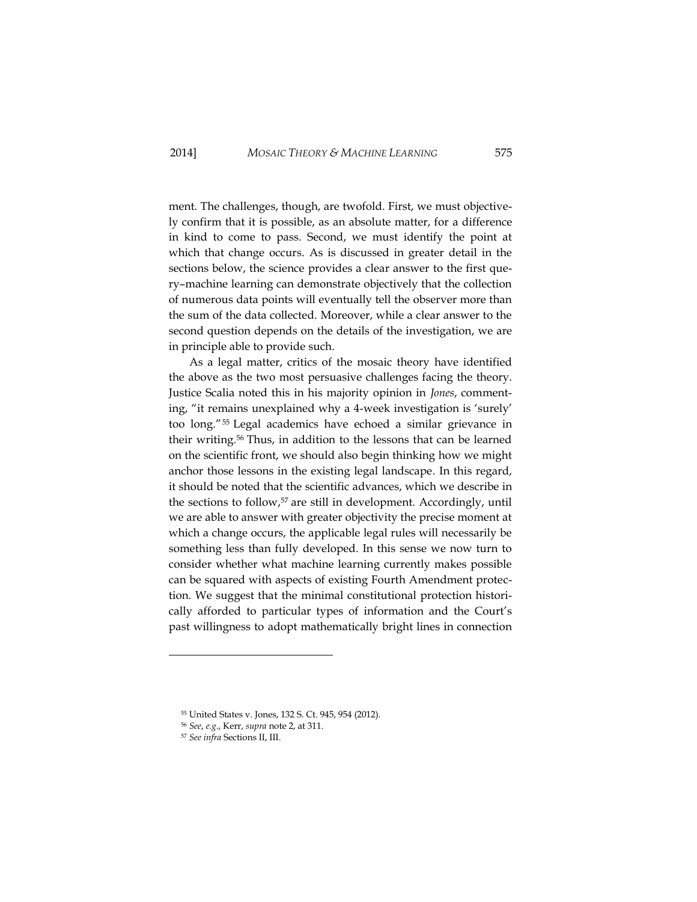ment. The challenges, though, are twofold. First, we must objectively confirm that it is possible, as an absolute matter, for a difference in kind to come to pass. Second, we must identify the point at which that change occurs. As is discussed in greater detail in the sections below, the science provides a clear answer to the first query–machine learning can demonstrate objectively that the collection of numerous data points will eventually tell the observer more than the sum of the data collected. Moreover, while a clear answer to the second question depends on the details of the investigation, we are in principle able to provide such.

As a legal matter, critics of the mosaic theory have identified the above as the two most persuasive challenges facing the theory. Justice Scalia noted this in his majority opinion in *Jones*, commenting, "it remains unexplained why a 4-week investigation is 'surely' too long." <sup>55</sup> Legal academics have echoed a similar grievance in their writing.<sup>56</sup> Thus, in addition to the lessons that can be learned on the scientific front, we should also begin thinking how we might anchor those lessons in the existing legal landscape. In this regard, it should be noted that the scientific advances, which we describe in the sections to follow, <sup>57</sup> are still in development. Accordingly, until we are able to answer with greater objectivity the precise moment at which a change occurs, the applicable legal rules will necessarily be something less than fully developed. In this sense we now turn to consider whether what machine learning currently makes possible can be squared with aspects of existing Fourth Amendment protection. We suggest that the minimal constitutional protection historically afforded to particular types of information and the Court's past willingness to adopt mathematically bright lines in connection

<sup>55</sup> United States v. Jones, 132 S. Ct. 945, 954 (2012).

<sup>56</sup> *See*, *e.g.*, Kerr, *supra* note 2, at 311.

<sup>57</sup> *See infra* Sections II, III.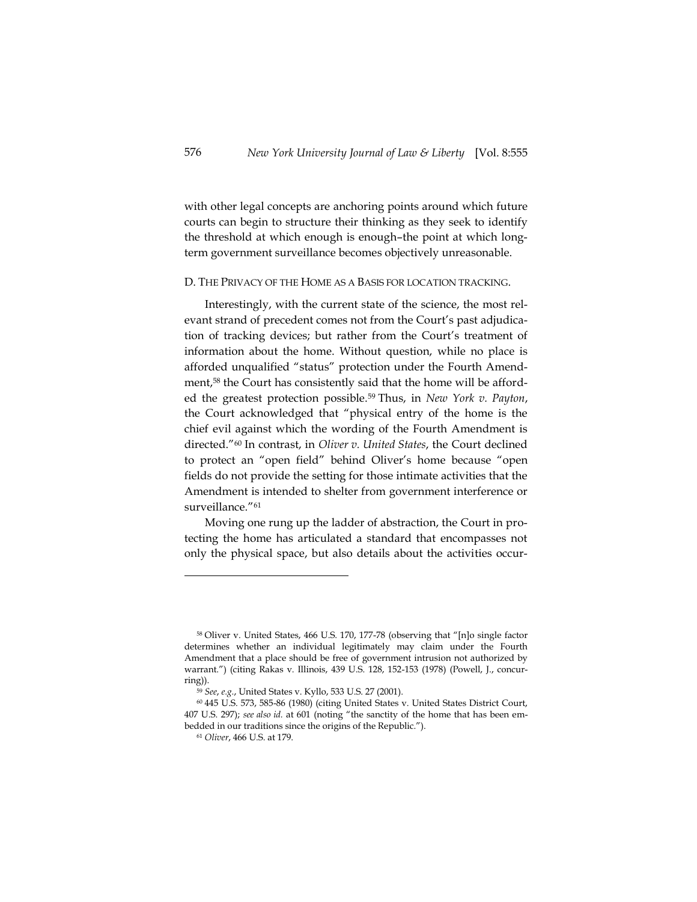with other legal concepts are anchoring points around which future courts can begin to structure their thinking as they seek to identify the threshold at which enough is enough–the point at which longterm government surveillance becomes objectively unreasonable.

### D. THE PRIVACY OF THE HOME AS A BASIS FOR LOCATION TRACKING.

Interestingly, with the current state of the science, the most relevant strand of precedent comes not from the Court's past adjudication of tracking devices; but rather from the Court's treatment of information about the home. Without question, while no place is afforded unqualified "status" protection under the Fourth Amendment, <sup>58</sup> the Court has consistently said that the home will be afforded the greatest protection possible.<sup>59</sup> Thus, in *New York v. Payton*, the Court acknowledged that "physical entry of the home is the chief evil against which the wording of the Fourth Amendment is directed." <sup>60</sup> In contrast, in *Oliver v. United States*, the Court declined to protect an "open field" behind Oliver's home because "open fields do not provide the setting for those intimate activities that the Amendment is intended to shelter from government interference or surveillance." 61

Moving one rung up the ladder of abstraction, the Court in protecting the home has articulated a standard that encompasses not only the physical space, but also details about the activities occur-

<sup>58</sup> Oliver v. United States, 466 U.S. 170, 177-78 (observing that "[n]o single factor determines whether an individual legitimately may claim under the Fourth Amendment that a place should be free of government intrusion not authorized by warrant.") (citing [Rakas v. Illinois, 439 U.S. 128, 152-153 \(1978\)](http://web2.westlaw.com/find/default.wl?mt=208&db=708&tc=-1&rp=%2ffind%2fdefault.wl&findtype=Y&ordoc=1984118840&serialnum=1978139546&vr=2.0&fn=_top&sv=Split&tf=-1&referencepositiontype=S&pbc=4AD3757C&referenceposition=435&rs=WLW13.04) (Powell, J., concurring)).

<sup>59</sup> *See*, *e.g.*, United States v. Kyllo, 533 U.S. 27 (2001).

<sup>60</sup> 445 U.S. 573, 585-86 (1980) (citing United States v. United States District Court, 407 U.S. 297); *see also id.* at 601 (noting "the sanctity of the home that has been embedded in our traditions since the origins of the Republic.").

<sup>61</sup> *Oliver*, 466 U.S. at 179.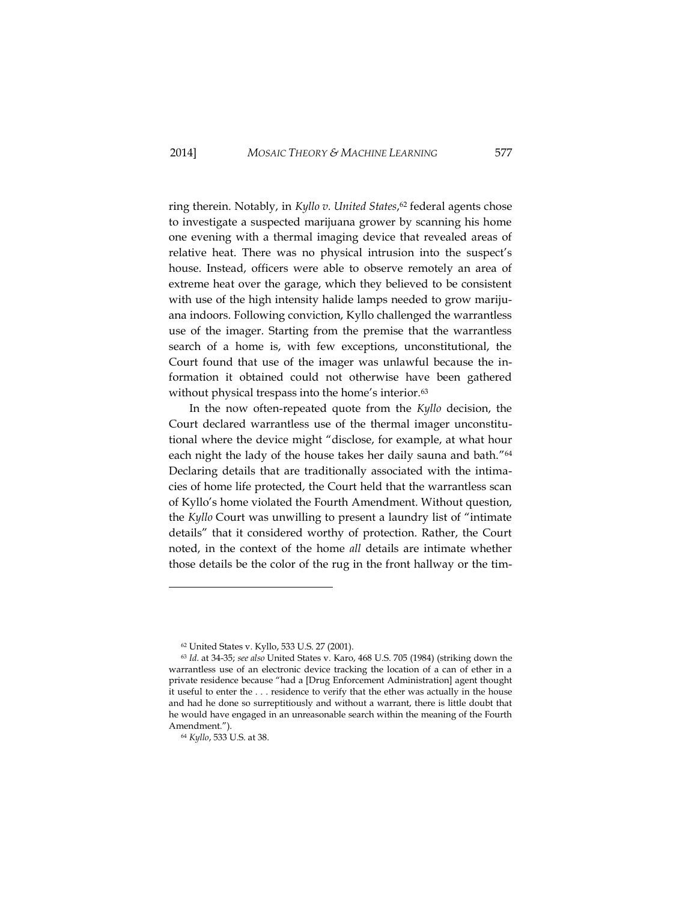ring therein. Notably, in *Kyllo v. United States*, <sup>62</sup> federal agents chose to investigate a suspected marijuana grower by scanning his home one evening with a thermal imaging device that revealed areas of relative heat. There was no physical intrusion into the suspect's house. Instead, officers were able to observe remotely an area of extreme heat over the garage, which they believed to be consistent with use of the high intensity halide lamps needed to grow marijuana indoors. Following conviction, Kyllo challenged the warrantless use of the imager. Starting from the premise that the warrantless search of a home is, with few exceptions, unconstitutional, the Court found that use of the imager was unlawful because the information it obtained could not otherwise have been gathered without physical trespass into the home's interior.<sup>63</sup>

In the now often-repeated quote from the *Kyllo* decision, the Court declared warrantless use of the thermal imager unconstitutional where the device might "disclose, for example, at what hour each night the lady of the house takes her daily sauna and bath." 64 Declaring details that are traditionally associated with the intimacies of home life protected, the Court held that the warrantless scan of Kyllo's home violated the Fourth Amendment. Without question, the *Kyllo* Court was unwilling to present a laundry list of "intimate details" that it considered worthy of protection. Rather, the Court noted, in the context of the home *all* details are intimate whether those details be the color of the rug in the front hallway or the tim-

<sup>62</sup> United States v. Kyllo, 533 U.S. 27 (2001).

<sup>63</sup> *Id.* at 34-35; *see also* United States v. Karo, 468 U.S. 705 (1984) (striking down the warrantless use of an electronic device tracking the location of a can of ether in a private residence because "had a [Drug Enforcement Administration] agent thought it useful to enter the . . . residence to verify that the ether was actually in the house and had he done so surreptitiously and without a warrant, there is little doubt that he would have engaged in an unreasonable search within the meaning of the Fourth Amendment.").

<sup>64</sup> *Kyllo*, 533 U.S. at 38.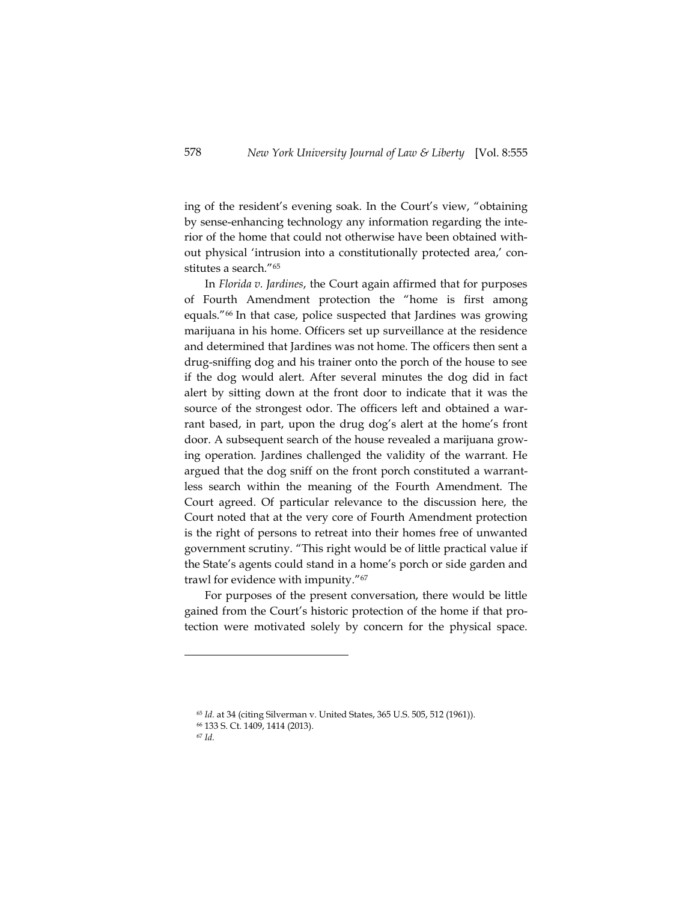ing of the resident's evening soak. In the Court's view, "obtaining by sense-enhancing technology any information regarding the interior of the home that could not otherwise have been obtained without physical 'intrusion into a constitutionally protected area,' constitutes a search."<sup>65</sup>

In *Florida v. Jardines*, the Court again affirmed that for purposes of Fourth Amendment protection the "home is first among equals."<sup>66</sup> In that case, police suspected that Jardines was growing marijuana in his home. Officers set up surveillance at the residence and determined that Jardines was not home. The officers then sent a drug-sniffing dog and his trainer onto the porch of the house to see if the dog would alert. After several minutes the dog did in fact alert by sitting down at the front door to indicate that it was the source of the strongest odor. The officers left and obtained a warrant based, in part, upon the drug dog's alert at the home's front door. A subsequent search of the house revealed a marijuana growing operation. Jardines challenged the validity of the warrant. He argued that the dog sniff on the front porch constituted a warrantless search within the meaning of the Fourth Amendment. The Court agreed. Of particular relevance to the discussion here, the Court noted that at the very core of Fourth Amendment protection is the right of persons to retreat into their homes free of unwanted government scrutiny. "This right would be of little practical value if the State's agents could stand in a home's porch or side garden and trawl for evidence with impunity."<sup>67</sup>

For purposes of the present conversation, there would be little gained from the Court's historic protection of the home if that protection were motivated solely by concern for the physical space.

<sup>65</sup> *Id.* at 34 (citing Silverman v. United States, 365 U.S. 505, 512 (1961)).

<sup>66</sup> 133 S. Ct. 1409, 1414 (2013).

<sup>67</sup> *Id.*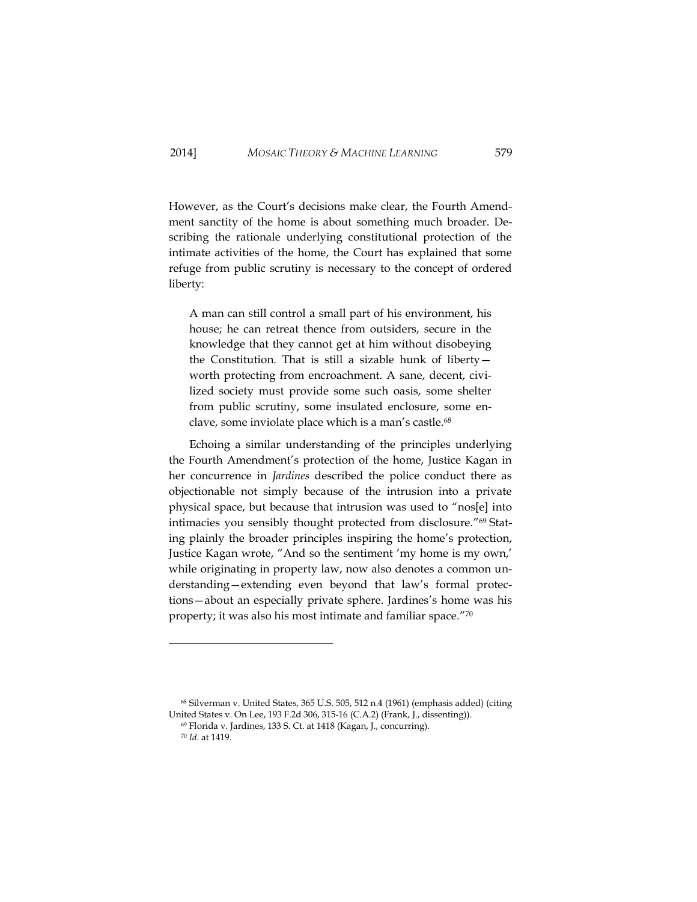However, as the Court's decisions make clear, the Fourth Amendment sanctity of the home is about something much broader. Describing the rationale underlying constitutional protection of the intimate activities of the home, the Court has explained that some refuge from public scrutiny is necessary to the concept of ordered liberty:

A man can still control a small part of his environment, his house; he can retreat thence from outsiders, secure in the knowledge that they cannot get at him without disobeying the Constitution. That is still a sizable hunk of liberty worth protecting from encroachment. A sane, decent, civilized society must provide some such oasis, some shelter from public scrutiny, some insulated enclosure, some enclave, some inviolate place which is a man's castle.<sup>68</sup>

Echoing a similar understanding of the principles underlying the Fourth Amendment's protection of the home, Justice Kagan in her concurrence in *Jardines* described the police conduct there as objectionable not simply because of the intrusion into a private physical space, but because that intrusion was used to "nos[e] into intimacies you sensibly thought protected from disclosure." <sup>69</sup> Stating plainly the broader principles inspiring the home's protection, Justice Kagan wrote, "And so the sentiment 'my home is my own,' while originating in property law, now also denotes a common understanding—extending even beyond that law's formal protections—about an especially private sphere. Jardines's home was his property; it was also his most intimate and familiar space." 70

<sup>68</sup> Silverman v. United States, 365 U.S. 505, 512 n.4 (1961) (emphasis added) (citing United States v. On Lee, 193 F.2d 306, 315-16 (C.A.2) (Frank, J., dissenting)).

j

<sup>69</sup> Florida v. Jardines, 133 S. Ct. at 1418 (Kagan, J., concurring).

<sup>70</sup> *Id.* at 1419.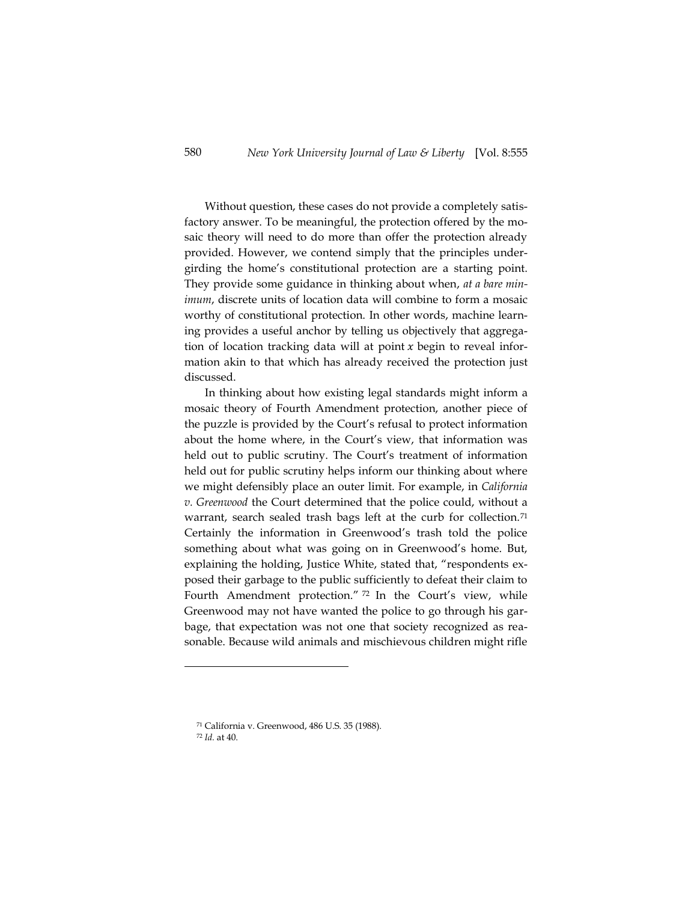Without question, these cases do not provide a completely satisfactory answer. To be meaningful, the protection offered by the mosaic theory will need to do more than offer the protection already provided. However, we contend simply that the principles undergirding the home's constitutional protection are a starting point. They provide some guidance in thinking about when, *at a bare minimum*, discrete units of location data will combine to form a mosaic worthy of constitutional protection. In other words, machine learning provides a useful anchor by telling us objectively that aggregation of location tracking data will at point  $x$  begin to reveal information akin to that which has already received the protection just discussed.

In thinking about how existing legal standards might inform a mosaic theory of Fourth Amendment protection, another piece of the puzzle is provided by the Court's refusal to protect information about the home where, in the Court's view, that information was held out to public scrutiny. The Court's treatment of information held out for public scrutiny helps inform our thinking about where we might defensibly place an outer limit. For example, in *California v. Greenwood* the Court determined that the police could, without a warrant, search sealed trash bags left at the curb for collection.<sup>71</sup> Certainly the information in Greenwood's trash told the police something about what was going on in Greenwood's home. But, explaining the holding, Justice White, stated that, "respondents exposed their garbage to the public sufficiently to defeat their claim to Fourth Amendment protection." <sup>72</sup> In the Court's view, while Greenwood may not have wanted the police to go through his garbage, that expectation was not one that society recognized as reasonable. Because wild animals and mischievous children might rifle

<sup>71</sup> California v. Greenwood, 486 U.S. 35 (1988).

<sup>72</sup> *Id.* at 40.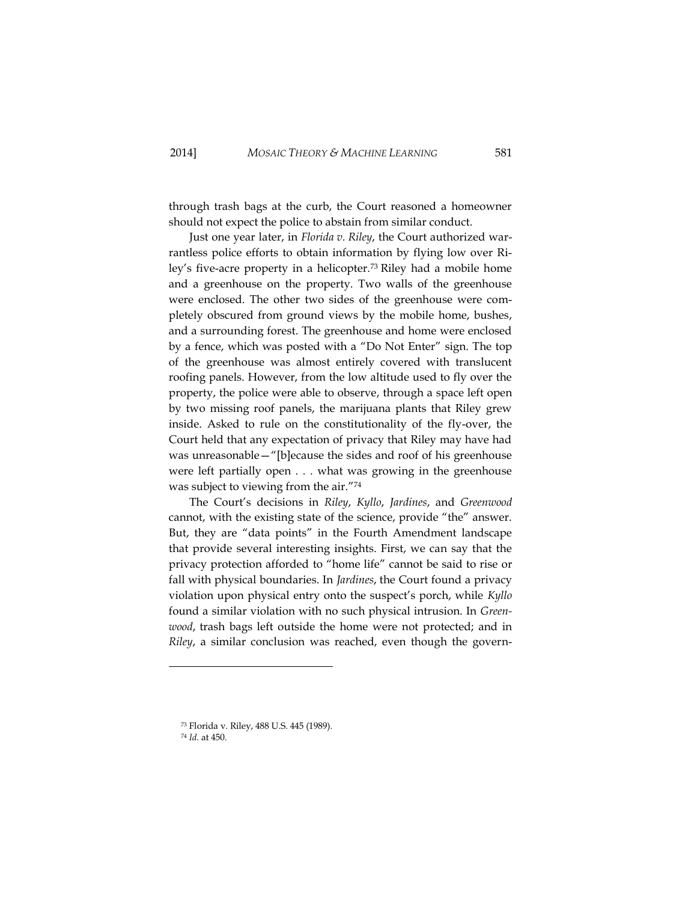through trash bags at the curb, the Court reasoned a homeowner should not expect the police to abstain from similar conduct.

Just one year later, in *Florida v. Riley*, the Court authorized warrantless police efforts to obtain information by flying low over Riley's five-acre property in a helicopter.<sup>73</sup> Riley had a mobile home and a greenhouse on the property. Two walls of the greenhouse were enclosed. The other two sides of the greenhouse were completely obscured from ground views by the mobile home, bushes, and a surrounding forest. The greenhouse and home were enclosed by a fence, which was posted with a "Do Not Enter" sign. The top of the greenhouse was almost entirely covered with translucent roofing panels. However, from the low altitude used to fly over the property, the police were able to observe, through a space left open by two missing roof panels, the marijuana plants that Riley grew inside. Asked to rule on the constitutionality of the fly-over, the Court held that any expectation of privacy that Riley may have had was unreasonable—"[b]ecause the sides and roof of his greenhouse were left partially open . . . what was growing in the greenhouse was subject to viewing from the air." 74

The Court's decisions in *Riley*, *Kyllo*, *Jardines*, and *Greenwood* cannot, with the existing state of the science, provide "the" answer. But, they are "data points" in the Fourth Amendment landscape that provide several interesting insights. First, we can say that the privacy protection afforded to "home life" cannot be said to rise or fall with physical boundaries. In *Jardines*, the Court found a privacy violation upon physical entry onto the suspect's porch, while *Kyllo* found a similar violation with no such physical intrusion. In *Greenwood*, trash bags left outside the home were not protected; and in *Riley*, a similar conclusion was reached, even though the govern-

<sup>73</sup> Florida v. Riley, 488 U.S. 445 (1989).

<sup>74</sup> *Id.* at 450.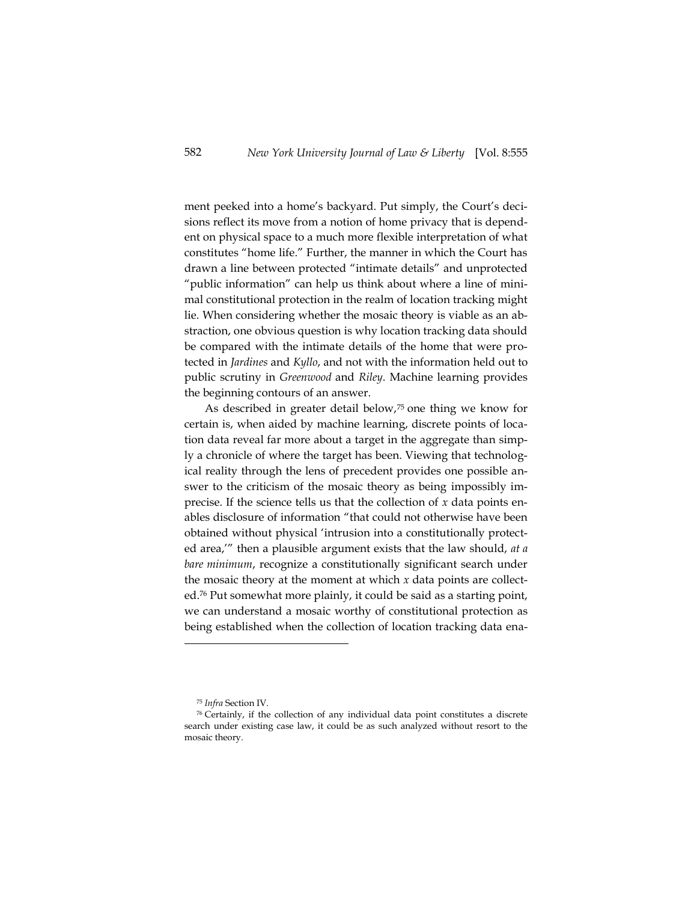ment peeked into a home's backyard. Put simply, the Court's decisions reflect its move from a notion of home privacy that is dependent on physical space to a much more flexible interpretation of what constitutes "home life." Further, the manner in which the Court has drawn a line between protected "intimate details" and unprotected "public information" can help us think about where a line of minimal constitutional protection in the realm of location tracking might lie. When considering whether the mosaic theory is viable as an abstraction, one obvious question is why location tracking data should be compared with the intimate details of the home that were protected in *Jardines* and *Kyllo*, and not with the information held out to public scrutiny in *Greenwood* and *Riley*. Machine learning provides the beginning contours of an answer.

As described in greater detail below,<sup>75</sup> one thing we know for certain is, when aided by machine learning, discrete points of location data reveal far more about a target in the aggregate than simply a chronicle of where the target has been. Viewing that technological reality through the lens of precedent provides one possible answer to the criticism of the mosaic theory as being impossibly imprecise. If the science tells us that the collection of *x* data points enables disclosure of information "that could not otherwise have been obtained without physical 'intrusion into a constitutionally protected area,'" then a plausible argument exists that the law should, *at a bare minimum*, recognize a constitutionally significant search under the mosaic theory at the moment at which *x* data points are collected.<sup>76</sup> Put somewhat more plainly, it could be said as a starting point, we can understand a mosaic worthy of constitutional protection as being established when the collection of location tracking data ena-

<sup>75</sup> *Infra* Section IV.

<sup>76</sup> Certainly, if the collection of any individual data point constitutes a discrete search under existing case law, it could be as such analyzed without resort to the mosaic theory.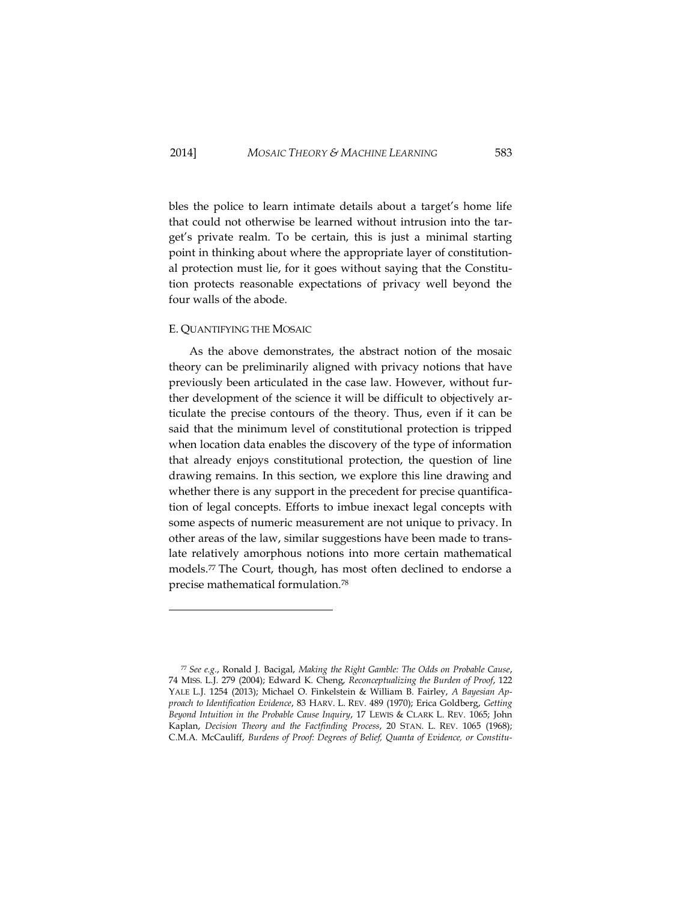bles the police to learn intimate details about a target's home life that could not otherwise be learned without intrusion into the target's private realm. To be certain, this is just a minimal starting point in thinking about where the appropriate layer of constitutional protection must lie, for it goes without saying that the Constitution protects reasonable expectations of privacy well beyond the four walls of the abode.

# E. QUANTIFYING THE MOSAIC

As the above demonstrates, the abstract notion of the mosaic theory can be preliminarily aligned with privacy notions that have previously been articulated in the case law. However, without further development of the science it will be difficult to objectively articulate the precise contours of the theory. Thus, even if it can be said that the minimum level of constitutional protection is tripped when location data enables the discovery of the type of information that already enjoys constitutional protection, the question of line drawing remains. In this section, we explore this line drawing and whether there is any support in the precedent for precise quantification of legal concepts. Efforts to imbue inexact legal concepts with some aspects of numeric measurement are not unique to privacy. In other areas of the law, similar suggestions have been made to translate relatively amorphous notions into more certain mathematical models.<sup>77</sup> The Court, though, has most often declined to endorse a precise mathematical formulation.<sup>78</sup>

<sup>77</sup> *See e.g.*, Ronald J. Bacigal, *Making the Right Gamble: The Odds on Probable Cause*, 74 MISS. L.J. 279 (2004); Edward K. Cheng, *Reconceptualizing the Burden of Proof*, 122 YALE L.J. 1254 (2013); Michael O. Finkelstein & William B. Fairley, *A Bayesian Approach to Identification Evidence*, 83 HARV. L. REV. 489 (1970); Erica Goldberg, *Getting Beyond Intuition in the Probable Cause Inquiry*, 17 LEWIS & CLARK L. REV. 1065; John Kaplan, *Decision Theory and the Factfinding Process*, 20 STAN. L. REV. 1065 (1968); C.M.A. McCauliff, *Burdens of Proof: Degrees of Belief, Quanta of Evidence, or Constitu-*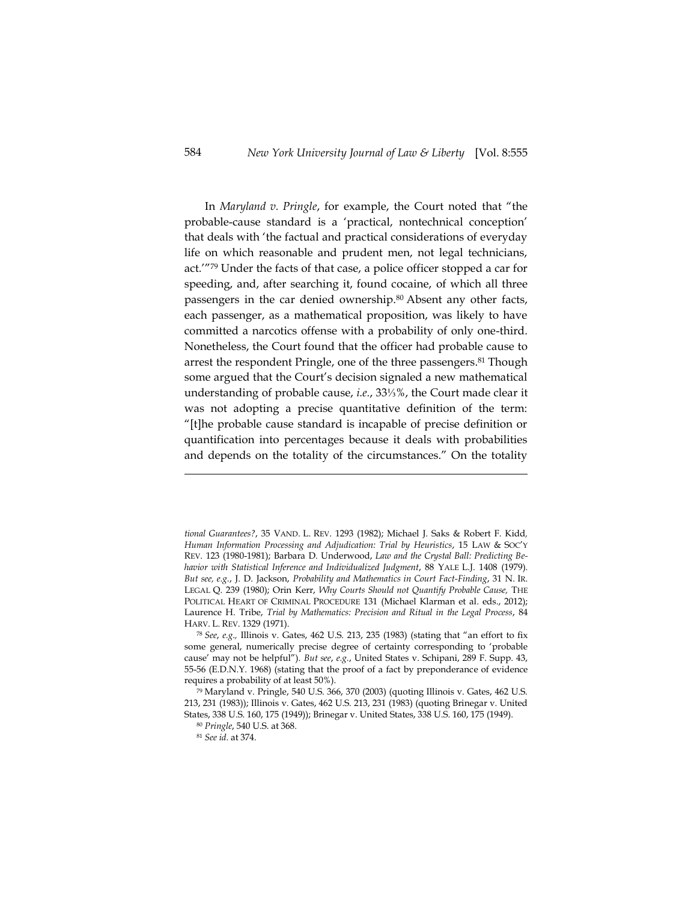In *Maryland v. Pringle*, for example, the Court noted that "the probable-cause standard is a 'practical, nontechnical conception' that deals with 'the factual and practical considerations of everyday life on which reasonable and prudent men, not legal technicians, act.'"<sup>79</sup> Under the facts of that case, a police officer stopped a car for speeding, and, after searching it, found cocaine, of which all three passengers in the car denied ownership.<sup>80</sup> Absent any other facts, each passenger, as a mathematical proposition, was likely to have committed a narcotics offense with a probability of only one-third. Nonetheless, the Court found that the officer had probable cause to arrest the respondent Pringle, one of the three passengers. <sup>81</sup> Though some argued that the Court's decision signaled a new mathematical understanding of probable cause, *i.e.*, 33⅓%, the Court made clear it was not adopting a precise quantitative definition of the term: "[t]he probable cause standard is incapable of precise definition or quantification into percentages because it deals with probabilities and depends on the totality of the circumstances." On the totality

*tional Guarantees?*, 35 VAND. L. REV. 1293 (1982); Michael J. Saks & Robert F. Kidd*, Human Information Processing and Adjudication: Trial by Heuristics*, 15 LAW & SOC'Y REV. 123 (1980-1981); Barbara D. Underwood, *Law and the Crystal Ball: Predicting Behavior with Statistical Inference and Individualized Judgment*, 88 YALE L.J. 1408 (1979). *But see, e.g.*, J. D. Jackson, *Probability and Mathematics in Court Fact-Finding*, 31 N. IR. LEGAL Q. 239 (1980); Orin Kerr, *Why Courts Should not Quantify Probable Cause,* THE POLITICAL HEART OF CRIMINAL PROCEDURE 131 (Michael Klarman et al. eds., 2012); Laurence H. Tribe, *Trial by Mathematics: Precision and Ritual in the Legal Process*, 84 HARV. L. REV. 1329 (1971).

<sup>78</sup> *See*, *e.g.,* Illinois v. Gates, 462 U.S. 213, 235 (1983) (stating that "an effort to fix some general, numerically precise degree of certainty corresponding to 'probable cause' may not be helpful"). *But see*, *e.g.*, United States v. Schipani, 289 F. Supp. 43, 55-56 (E.D.N.Y. 1968) (stating that the proof of a fact by preponderance of evidence requires a probability of at least 50%).

<sup>79</sup> Maryland v. Pringle, 540 U.S. 366, 370 (2003) (quoting Illinois v. Gates, 462 U.S. 213, 231 (1983)); Illinois v. Gates, 462 U.S. 213, 231 (1983) (quoting Brinegar v. United States, 338 U.S. 160, 175 (1949)); Brinegar v. United States, 338 U.S. 160, 175 (1949).

<sup>80</sup> *Pringle*, 540 U.S. at 368.

<sup>81</sup> *See id*. at 374.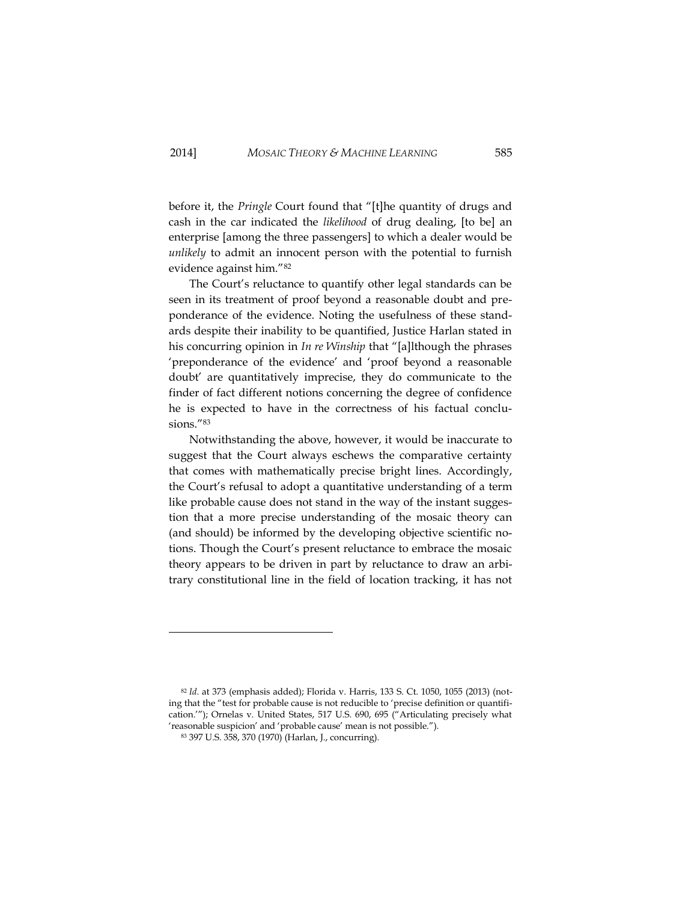before it, the *Pringle* Court found that "[t]he quantity of drugs and cash in the car indicated the *likelihood* of drug dealing, [to be] an enterprise [among the three passengers] to which a dealer would be *unlikely* to admit an innocent person with the potential to furnish evidence against him."<sup>82</sup>

The Court's reluctance to quantify other legal standards can be seen in its treatment of proof beyond a reasonable doubt and preponderance of the evidence. Noting the usefulness of these standards despite their inability to be quantified, Justice Harlan stated in his concurring opinion in *In re Winship* that "[a]lthough the phrases 'preponderance of the evidence' and 'proof beyond a reasonable doubt' are quantitatively imprecise, they do communicate to the finder of fact different notions concerning the degree of confidence he is expected to have in the correctness of his factual conclusions."<sup>83</sup>

Notwithstanding the above, however, it would be inaccurate to suggest that the Court always eschews the comparative certainty that comes with mathematically precise bright lines. Accordingly, the Court's refusal to adopt a quantitative understanding of a term like probable cause does not stand in the way of the instant suggestion that a more precise understanding of the mosaic theory can (and should) be informed by the developing objective scientific notions. Though the Court's present reluctance to embrace the mosaic theory appears to be driven in part by reluctance to draw an arbitrary constitutional line in the field of location tracking, it has not

<sup>82</sup> *Id*. at 373 (emphasis added); Florida v. Harris, 133 S. Ct. 1050, 1055 (2013) (noting that the "test for probable cause is not reducible to 'precise definition or quantification.'"); Ornelas v. United States, 517 U.S. 690, 695 ("Articulating precisely what 'reasonable suspicion' and 'probable cause' mean is not possible.").

<sup>83</sup> 397 U.S. 358, 370 (1970) (Harlan, J., concurring).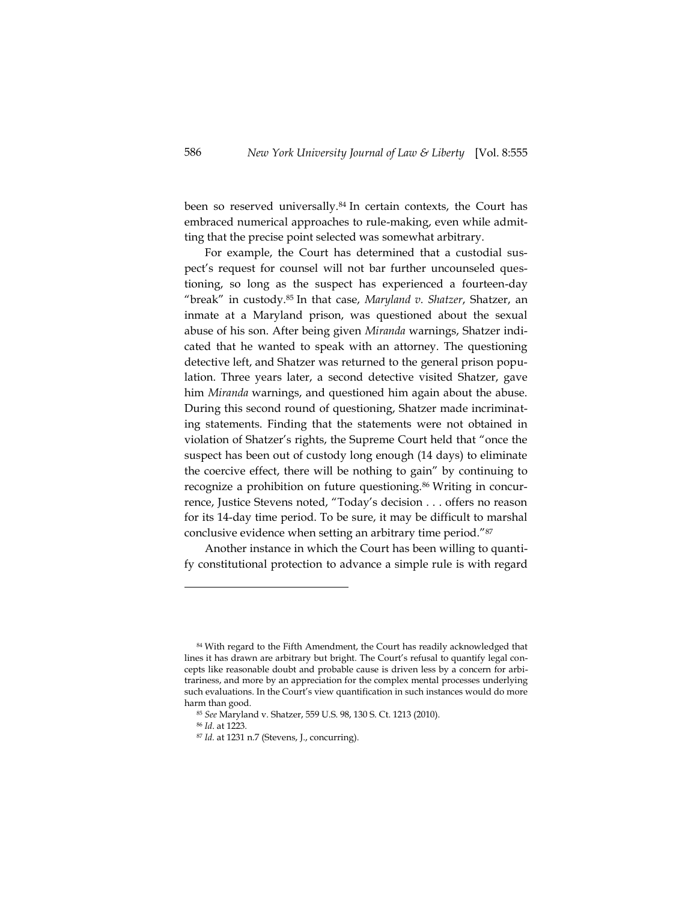been so reserved universally.<sup>84</sup> In certain contexts, the Court has embraced numerical approaches to rule-making, even while admitting that the precise point selected was somewhat arbitrary.

For example, the Court has determined that a custodial suspect's request for counsel will not bar further uncounseled questioning, so long as the suspect has experienced a fourteen-day "break" in custody.<sup>85</sup> In that case, *Maryland v. Shatzer*, Shatzer, an inmate at a Maryland prison, was questioned about the sexual abuse of his son. After being given *Miranda* warnings, Shatzer indicated that he wanted to speak with an attorney. The questioning detective left, and Shatzer was returned to the general prison population. Three years later, a second detective visited Shatzer, gave him *Miranda* warnings, and questioned him again about the abuse. During this second round of questioning, Shatzer made incriminating statements. Finding that the statements were not obtained in violation of Shatzer's rights, the Supreme Court held that "once the suspect has been out of custody long enough (14 days) to eliminate the coercive effect, there will be nothing to gain" by continuing to recognize a prohibition on future questioning.<sup>86</sup> Writing in concurrence, Justice Stevens noted, "Today's decision . . . offers no reason for its 14-day time period. To be sure, it may be difficult to marshal conclusive evidence when setting an arbitrary time period."<sup>87</sup>

Another instance in which the Court has been willing to quantify constitutional protection to advance a simple rule is with regard

<sup>84</sup> With regard to the Fifth Amendment, the Court has readily acknowledged that lines it has drawn are arbitrary but bright. The Court's refusal to quantify legal concepts like reasonable doubt and probable cause is driven less by a concern for arbitrariness, and more by an appreciation for the complex mental processes underlying such evaluations. In the Court's view quantification in such instances would do more harm than good.

<sup>85</sup> *See* Maryland v. Shatzer, 559 U.S. 98, 130 S. Ct. 1213 (2010).

<sup>86</sup> *Id*. at 1223.

<sup>87</sup> *Id.* at 1231 n.7 (Stevens, J., concurring).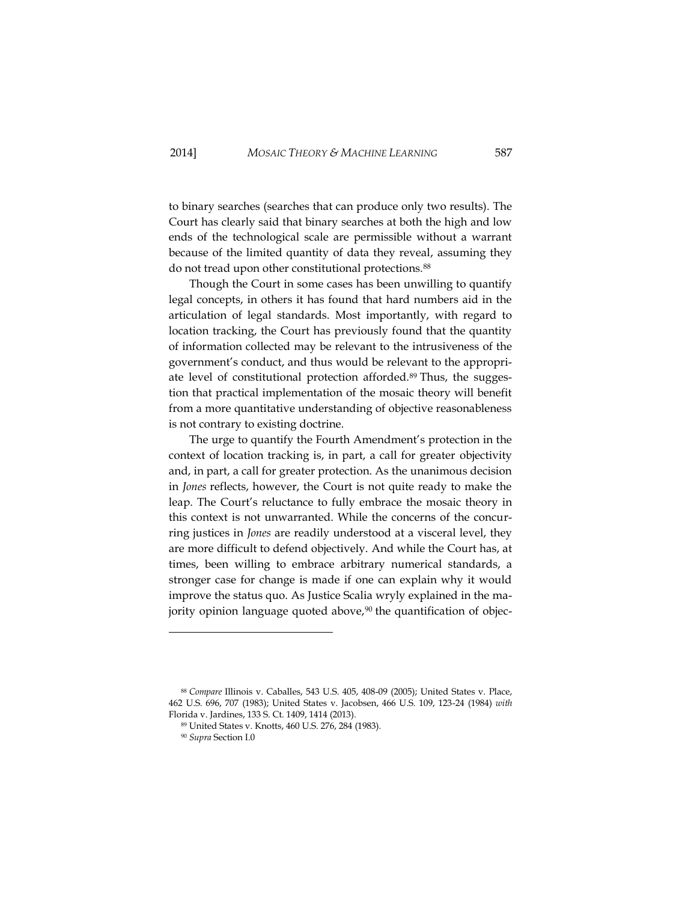to binary searches (searches that can produce only two results). The Court has clearly said that binary searches at both the high and low ends of the technological scale are permissible without a warrant because of the limited quantity of data they reveal, assuming they do not tread upon other constitutional protections.<sup>88</sup>

Though the Court in some cases has been unwilling to quantify legal concepts, in others it has found that hard numbers aid in the articulation of legal standards. Most importantly, with regard to location tracking, the Court has previously found that the quantity of information collected may be relevant to the intrusiveness of the government's conduct, and thus would be relevant to the appropriate level of constitutional protection afforded.<sup>89</sup> Thus, the suggestion that practical implementation of the mosaic theory will benefit from a more quantitative understanding of objective reasonableness is not contrary to existing doctrine.

The urge to quantify the Fourth Amendment's protection in the context of location tracking is, in part, a call for greater objectivity and, in part, a call for greater protection. As the unanimous decision in *Jones* reflects, however, the Court is not quite ready to make the leap. The Court's reluctance to fully embrace the mosaic theory in this context is not unwarranted. While the concerns of the concurring justices in *Jones* are readily understood at a visceral level, they are more difficult to defend objectively. And while the Court has, at times, been willing to embrace arbitrary numerical standards, a stronger case for change is made if one can explain why it would improve the status quo. As Justice Scalia wryly explained in the majority opinion language quoted above, $90$  the quantification of objec-

<sup>88</sup> *Compare* Illinois v. Caballes, 543 U.S. 405, 408-09 (2005); United States v. Place, 462 U.S. 696, 707 (1983); United States v. Jacobsen, 466 U.S. 109, 123-24 (1984) *with* Florida v. Jardines, 133 S. Ct. 1409, 1414 (2013).

<sup>89</sup> United States v. Knotts, 460 U.S. 276, 284 (1983).

<sup>90</sup> *Supra* Section [I.0](#page-13-0)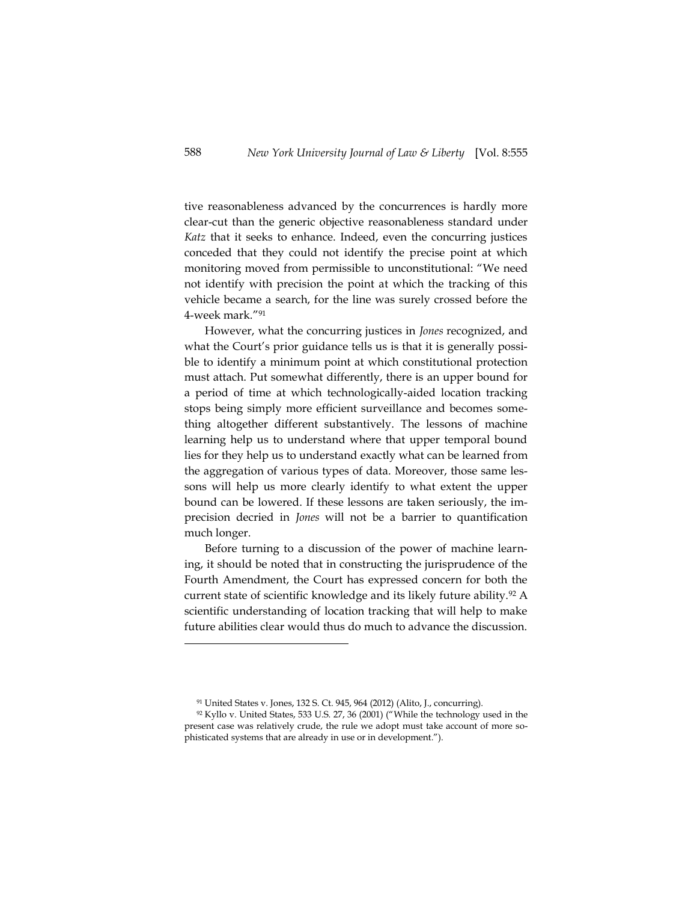tive reasonableness advanced by the concurrences is hardly more clear-cut than the generic objective reasonableness standard under *Katz* that it seeks to enhance. Indeed, even the concurring justices conceded that they could not identify the precise point at which monitoring moved from permissible to unconstitutional: "We need not identify with precision the point at which the tracking of this vehicle became a search, for the line was surely crossed before the 4-week mark." 91

However, what the concurring justices in *Jones* recognized, and what the Court's prior guidance tells us is that it is generally possible to identify a minimum point at which constitutional protection must attach. Put somewhat differently, there is an upper bound for a period of time at which technologically-aided location tracking stops being simply more efficient surveillance and becomes something altogether different substantively. The lessons of machine learning help us to understand where that upper temporal bound lies for they help us to understand exactly what can be learned from the aggregation of various types of data. Moreover, those same lessons will help us more clearly identify to what extent the upper bound can be lowered. If these lessons are taken seriously, the imprecision decried in *Jones* will not be a barrier to quantification much longer.

Before turning to a discussion of the power of machine learning, it should be noted that in constructing the jurisprudence of the Fourth Amendment, the Court has expressed concern for both the current state of scientific knowledge and its likely future ability.<sup>92</sup> A scientific understanding of location tracking that will help to make future abilities clear would thus do much to advance the discussion.

<sup>91</sup> United States v. Jones, 132 S. Ct. 945, 964 (2012) (Alito, J., concurring).

<sup>92</sup> Kyllo v. United States, 533 U.S. 27, 36 (2001) ("While the technology used in the present case was relatively crude, the rule we adopt must take account of more sophisticated systems that are already in use or in development.").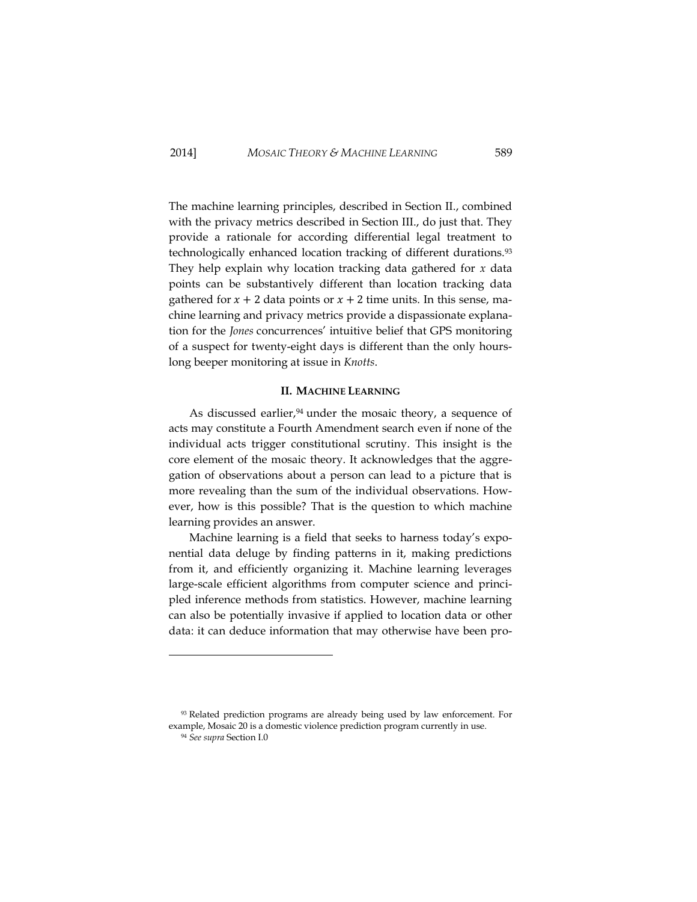The machine learning principles, described in Section II., combined with the privacy metrics described in Section III., do just that. They provide a rationale for according differential legal treatment to technologically enhanced location tracking of different durations.<sup>93</sup> They help explain why location tracking data gathered for *x* data points can be substantively different than location tracking data gathered for  $x + 2$  data points or  $x + 2$  time units. In this sense, machine learning and privacy metrics provide a dispassionate explanation for the *Jones* concurrences' intuitive belief that GPS monitoring of a suspect for twenty-eight days is different than the only hourslong beeper monitoring at issue in *Knotts*.

#### **II. MACHINE LEARNING**

As discussed earlier, $94$  under the mosaic theory, a sequence of acts may constitute a Fourth Amendment search even if none of the individual acts trigger constitutional scrutiny. This insight is the core element of the mosaic theory. It acknowledges that the aggregation of observations about a person can lead to a picture that is more revealing than the sum of the individual observations. However, how is this possible? That is the question to which machine learning provides an answer.

Machine learning is a field that seeks to harness today's exponential data deluge by finding patterns in it, making predictions from it, and efficiently organizing it. Machine learning leverages large-scale efficient algorithms from computer science and principled inference methods from statistics. However, machine learning can also be potentially invasive if applied to location data or other data: it can deduce information that may otherwise have been pro-

<sup>93</sup> Related prediction programs are already being used by law enforcement. For example, Mosaic 20 is a domestic violence prediction program currently in use.

<sup>94</sup> *See supra* Section [I.0](#page-16-0)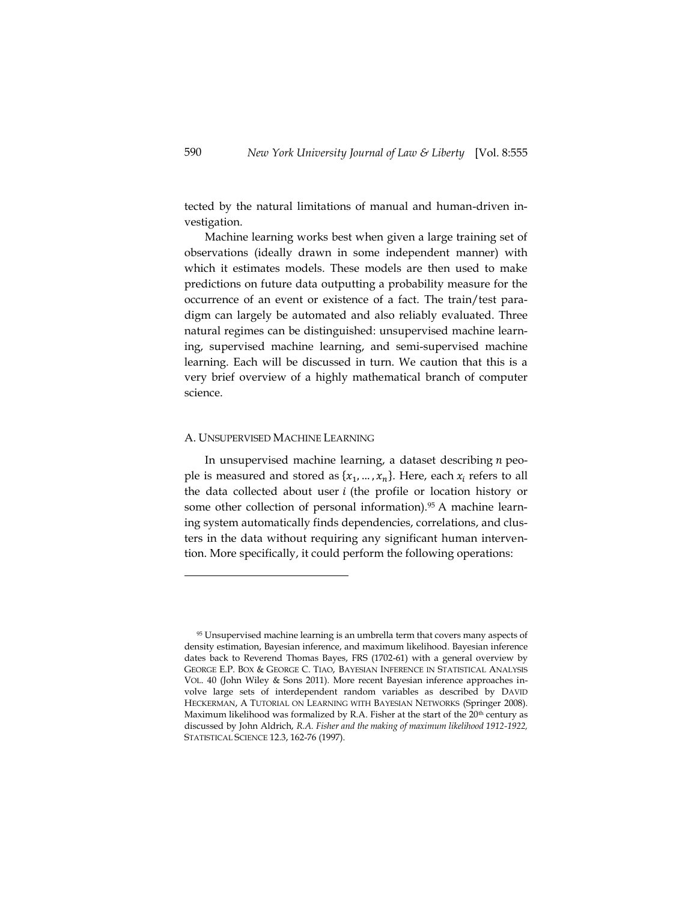tected by the natural limitations of manual and human-driven investigation.

Machine learning works best when given a large training set of observations (ideally drawn in some independent manner) with which it estimates models. These models are then used to make predictions on future data outputting a probability measure for the occurrence of an event or existence of a fact. The train/test paradigm can largely be automated and also reliably evaluated. Three natural regimes can be distinguished: unsupervised machine learning, supervised machine learning, and semi-supervised machine learning. Each will be discussed in turn. We caution that this is a very brief overview of a highly mathematical branch of computer science.

#### A. UNSUPERVISED MACHINE LEARNING

In unsupervised machine learning, a dataset describing  $n$  people is measured and stored as  $\{x_1, ..., x_n\}$ . Here, each  $x_i$  refers to all the data collected about user  $i$  (the profile or location history or some other collection of personal information).<sup>95</sup> A machine learning system automatically finds dependencies, correlations, and clusters in the data without requiring any significant human intervention. More specifically, it could perform the following operations:

<sup>&</sup>lt;sup>95</sup> Unsupervised machine learning is an umbrella term that covers many aspects of density estimation, Bayesian inference, and maximum likelihood. Bayesian inference dates back to Reverend Thomas Bayes, FRS (1702-61) with a general overview by GEORGE E.P. BOX & GEORGE C. TIAO, BAYESIAN INFERENCE IN STATISTICAL ANALYSIS VOL. 40 (John Wiley & Sons 2011). More recent Bayesian inference approaches involve large sets of interdependent random variables as described by DAVID HECKERMAN, A TUTORIAL ON LEARNING WITH BAYESIAN NETWORKS (Springer 2008). Maximum likelihood was formalized by R.A. Fisher at the start of the  $20<sup>th</sup>$  century as discussed by John Aldrich, *R.A. Fisher and the making of maximum likelihood 1912-1922,* STATISTICAL SCIENCE 12.3, 162-76 (1997).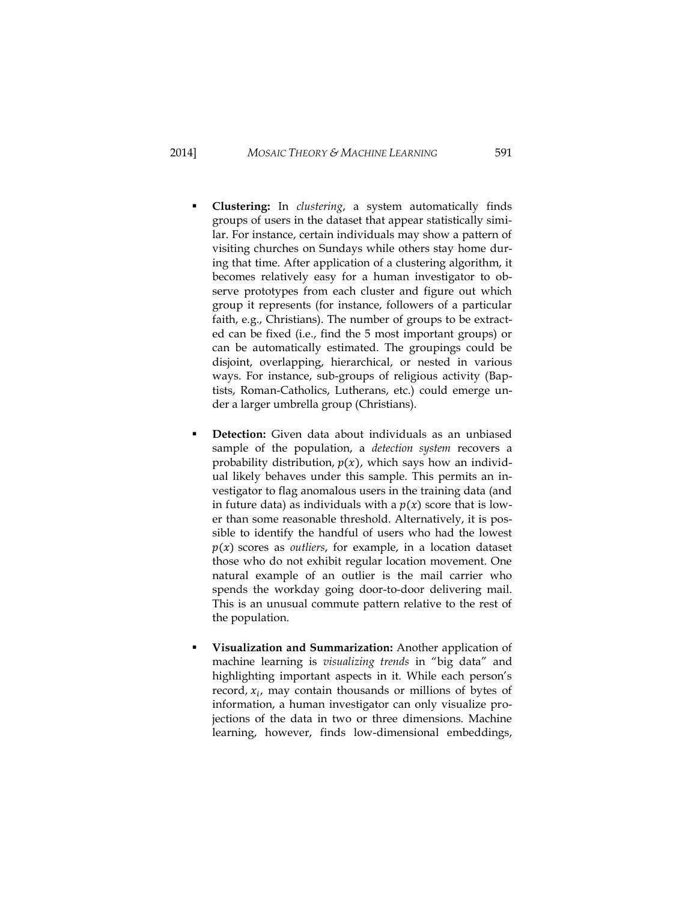- **Clustering:** In *clustering*, a system automatically finds groups of users in the dataset that appear statistically similar. For instance, certain individuals may show a pattern of visiting churches on Sundays while others stay home during that time. After application of a clustering algorithm, it becomes relatively easy for a human investigator to observe prototypes from each cluster and figure out which group it represents (for instance, followers of a particular faith, e.g., Christians). The number of groups to be extracted can be fixed (i.e., find the 5 most important groups) or can be automatically estimated. The groupings could be disjoint, overlapping, hierarchical, or nested in various ways. For instance, sub-groups of religious activity (Baptists, Roman-Catholics, Lutherans, etc.) could emerge under a larger umbrella group (Christians).
- **Detection:** Given data about individuals as an unbiased sample of the population, a *detection system* recovers a probability distribution,  $p(x)$ , which says how an individual likely behaves under this sample. This permits an investigator to flag anomalous users in the training data (and in future data) as individuals with a  $p(x)$  score that is lower than some reasonable threshold. Alternatively, it is possible to identify the handful of users who had the lowest  $p(x)$  scores as *outliers*, for example, in a location dataset those who do not exhibit regular location movement. One natural example of an outlier is the mail carrier who spends the workday going door-to-door delivering mail. This is an unusual commute pattern relative to the rest of the population.
- **Visualization and Summarization:** Another application of machine learning is *visualizing trends* in "big data" and highlighting important aspects in it. While each person's record,  $x_i$ , may contain thousands or millions of bytes of information, a human investigator can only visualize projections of the data in two or three dimensions. Machine learning, however, finds low-dimensional embeddings,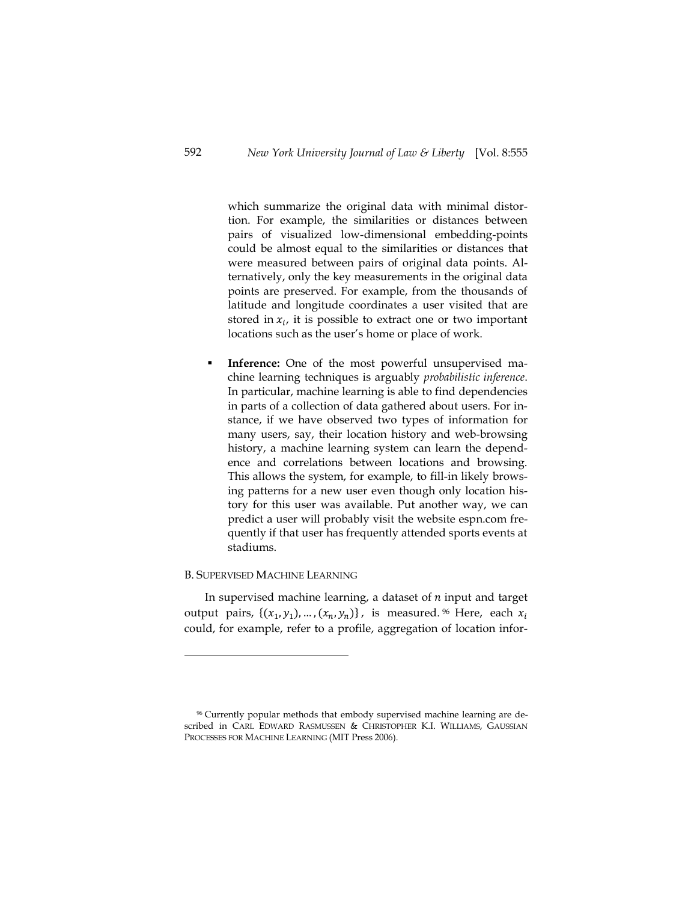which summarize the original data with minimal distortion. For example, the similarities or distances between pairs of visualized low-dimensional embedding-points could be almost equal to the similarities or distances that were measured between pairs of original data points. Alternatively, only the key measurements in the original data points are preserved. For example, from the thousands of latitude and longitude coordinates a user visited that are stored in  $x_i$ , it is possible to extract one or two important locations such as the user's home or place of work.

 **Inference:** One of the most powerful unsupervised machine learning techniques is arguably *probabilistic inference*. In particular, machine learning is able to find dependencies in parts of a collection of data gathered about users. For instance, if we have observed two types of information for many users, say, their location history and web-browsing history, a machine learning system can learn the dependence and correlations between locations and browsing. This allows the system, for example, to fill-in likely browsing patterns for a new user even though only location history for this user was available. Put another way, we can predict a user will probably visit the website espn.com frequently if that user has frequently attended sports events at stadiums.

### B. SUPERVISED MACHINE LEARNING

 $\overline{a}$ 

In supervised machine learning, a dataset of  $n$  input and target output pairs,  $\{(x_1, y_1), ..., (x_n, y_n)\}\)$ , is measured. <sup>96</sup> Here, each could, for example, refer to a profile, aggregation of location infor-

<sup>96</sup> Currently popular methods that embody supervised machine learning are described in CARL EDWARD RASMUSSEN & CHRISTOPHER K.I. WILLIAMS, GAUSSIAN PROCESSES FOR MACHINE LEARNING (MIT Press 2006).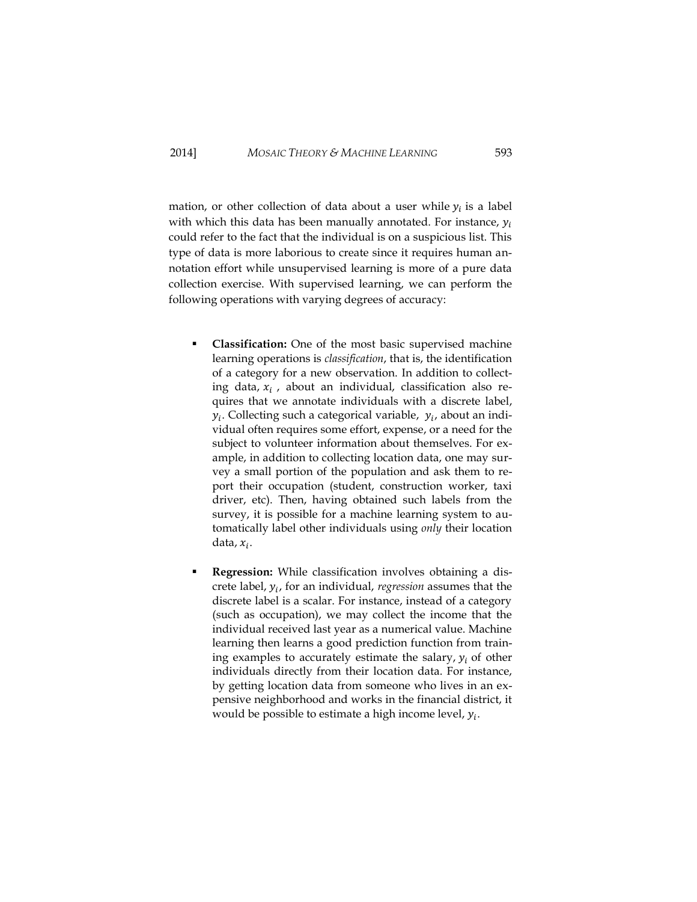mation, or other collection of data about a user while  $y_i$  is a label with which this data has been manually annotated. For instance,  $y_i$ could refer to the fact that the individual is on a suspicious list. This type of data is more laborious to create since it requires human annotation effort while unsupervised learning is more of a pure data collection exercise. With supervised learning, we can perform the following operations with varying degrees of accuracy:

- **Classification:** One of the most basic supervised machine learning operations is *classification*, that is, the identification of a category for a new observation. In addition to collecting data,  $x_i$ , about an individual, classification also requires that we annotate individuals with a discrete label,  $y_i$ . Collecting such a categorical variable,  $y_i$ , about an individual often requires some effort, expense, or a need for the subject to volunteer information about themselves. For example, in addition to collecting location data, one may survey a small portion of the population and ask them to report their occupation (student, construction worker, taxi driver, etc). Then, having obtained such labels from the survey, it is possible for a machine learning system to automatically label other individuals using *only* their location data,  $x_i$ .
- **Regression:** While classification involves obtaining a discrete label,  $y_i$ , for an individual, *regression* assumes that the discrete label is a scalar. For instance, instead of a category (such as occupation), we may collect the income that the individual received last year as a numerical value. Machine learning then learns a good prediction function from training examples to accurately estimate the salary,  $y_i$  of other individuals directly from their location data. For instance, by getting location data from someone who lives in an expensive neighborhood and works in the financial district, it would be possible to estimate a high income level,  $y_i$ .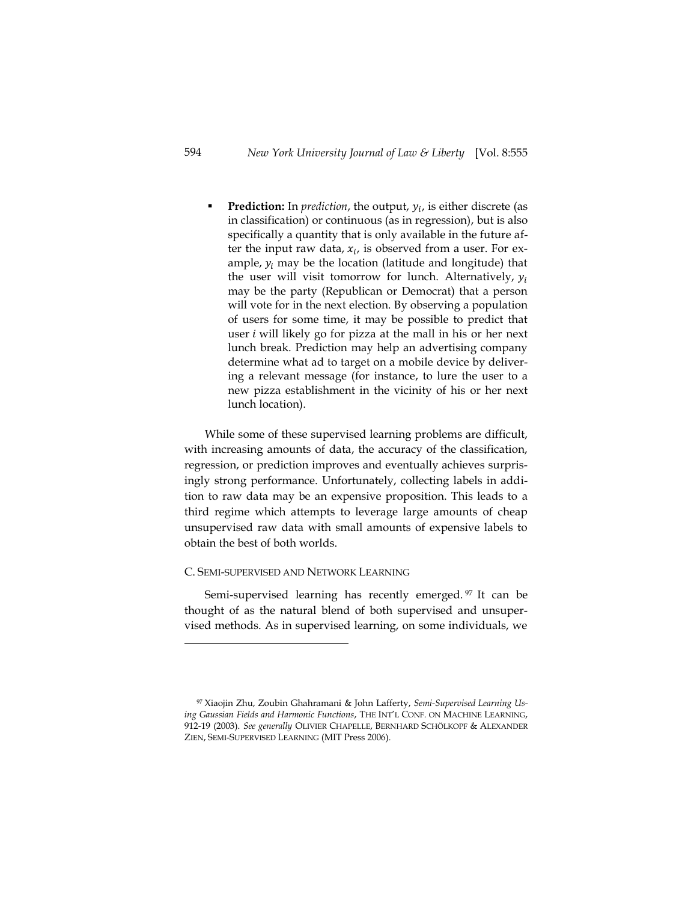**Prediction:** In *prediction*, the output,  $y_i$ , is either discrete (as in classification) or continuous (as in regression), but is also specifically a quantity that is only available in the future after the input raw data,  $x_i$ , is observed from a user. For example,  $y_i$  may be the location (latitude and longitude) that the user will visit tomorrow for lunch. Alternatively,  $y_i$ may be the party (Republican or Democrat) that a person will vote for in the next election. By observing a population of users for some time, it may be possible to predict that user  $i$  will likely go for pizza at the mall in his or her next lunch break. Prediction may help an advertising company determine what ad to target on a mobile device by delivering a relevant message (for instance, to lure the user to a new pizza establishment in the vicinity of his or her next lunch location).

While some of these supervised learning problems are difficult, with increasing amounts of data, the accuracy of the classification, regression, or prediction improves and eventually achieves surprisingly strong performance. Unfortunately, collecting labels in addition to raw data may be an expensive proposition. This leads to a third regime which attempts to leverage large amounts of cheap unsupervised raw data with small amounts of expensive labels to obtain the best of both worlds.

### C. SEMI-SUPERVISED AND NETWORK LEARNING

Semi-supervised learning has recently emerged.<sup>97</sup> It can be thought of as the natural blend of both supervised and unsupervised methods. As in supervised learning, on some individuals, we

<sup>97</sup> Xiaojin Zhu, Zoubin Ghahramani & John Lafferty, *Semi-Supervised Learning Using Gaussian Fields and Harmonic Functions*, THE INT'L CONF. ON MACHINE LEARNING, 912-19 (2003). *See generally* OLIVIER CHAPELLE, BERNHARD SCHÖLKOPF & ALEXANDER ZIEN, SEMI-SUPERVISED LEARNING (MIT Press 2006).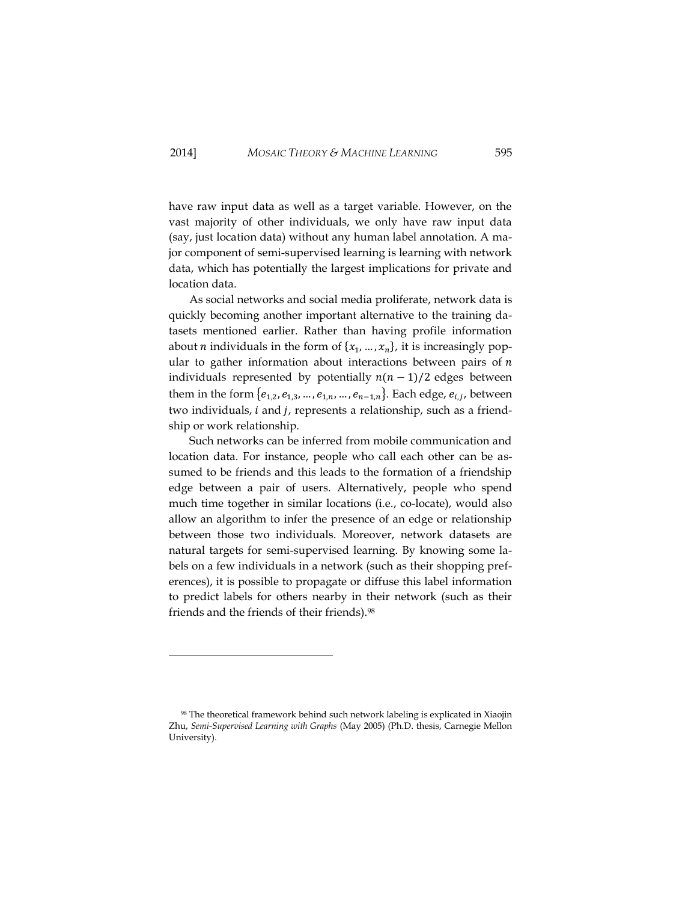have raw input data as well as a target variable. However, on the vast majority of other individuals, we only have raw input data (say, just location data) without any human label annotation. A major component of semi-supervised learning is learning with network data, which has potentially the largest implications for private and location data.

As social networks and social media proliferate, network data is quickly becoming another important alternative to the training datasets mentioned earlier. Rather than having profile information about *n* individuals in the form of  ${x_1, ..., x_n}$ , it is increasingly popular to gather information about interactions between pairs of  $n$ individuals represented by potentially  $n(n-1)/2$  edges between them in the form  $\{e_{1,2}, e_{1,3}, \ldots, e_{1,n}, \ldots, e_{n-1,n}\}$ . Each edge,  $e_{i,j}$ , between two individuals, i and j, represents a relationship, such as a friendship or work relationship.

Such networks can be inferred from mobile communication and location data. For instance, people who call each other can be assumed to be friends and this leads to the formation of a friendship edge between a pair of users. Alternatively, people who spend much time together in similar locations (i.e., co-locate), would also allow an algorithm to infer the presence of an edge or relationship between those two individuals. Moreover, network datasets are natural targets for semi-supervised learning. By knowing some labels on a few individuals in a network (such as their shopping preferences), it is possible to propagate or diffuse this label information to predict labels for others nearby in their network (such as their friends and the friends of their friends).<sup>98</sup>

<sup>98</sup> The theoretical framework behind such network labeling is explicated in Xiaojin Zhu, *Semi-Supervised Learning with Graphs* (May 2005) (Ph.D. thesis, Carnegie Mellon University).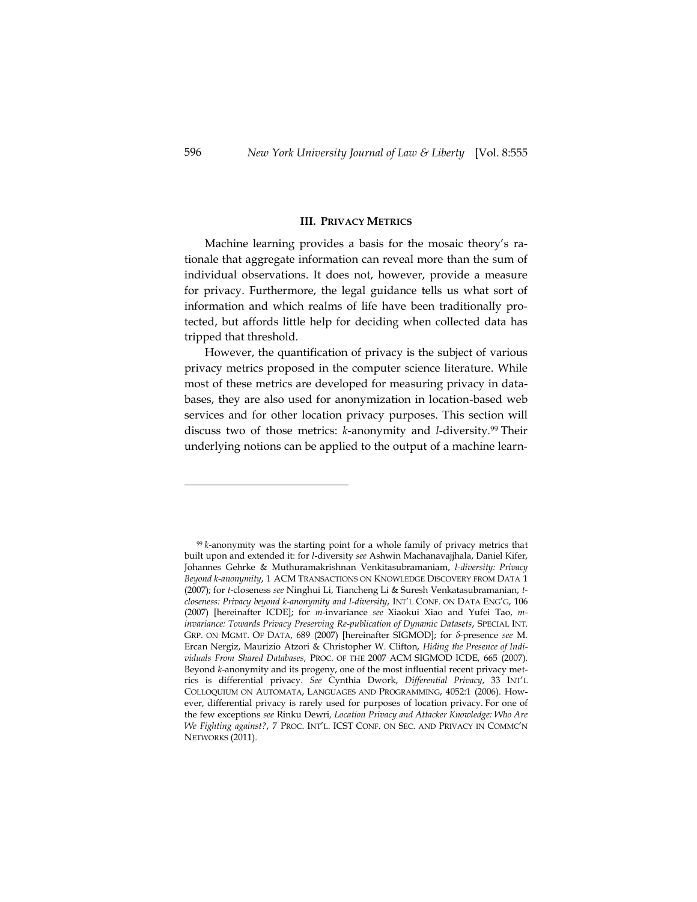#### **III. PRIVACY METRICS**

Machine learning provides a basis for the mosaic theory's rationale that aggregate information can reveal more than the sum of individual observations. It does not, however, provide a measure for privacy. Furthermore, the legal guidance tells us what sort of information and which realms of life have been traditionally protected, but affords little help for deciding when collected data has tripped that threshold.

However, the quantification of privacy is the subject of various privacy metrics proposed in the computer science literature. While most of these metrics are developed for measuring privacy in databases, they are also used for anonymization in location-based web services and for other location privacy purposes. This section will discuss two of those metrics: *k*-anonymity and *l*-diversity. <sup>99</sup> Their underlying notions can be applied to the output of a machine learn-

<sup>99</sup> *k*-anonymity was the starting point for a whole family of privacy metrics that built upon and extended it: for *l*-diversity *see* Ashwin Machanavajjhala, Daniel Kifer, Johannes Gehrke & Muthuramakrishnan Venkitasubramaniam, *l-diversity: Privacy Beyond k-anonymity*, 1 ACM TRANSACTIONS ON KNOWLEDGE DISCOVERY FROM DATA 1 (2007); for *t*-closeness *see* Ninghui Li, Tiancheng Li & Suresh Venkatasubramanian, *tcloseness: Privacy beyond k-anonymity and l-diversity*, INT'L CONF. ON DATA ENG'G, 106 (2007) [hereinafter ICDE]; for *m*-invariance *see* Xiaokui Xiao and Yufei Tao, *minvariance: Towards Privacy Preserving Re-publication of Dynamic Datasets*, SPECIAL INT. GRP. ON MGMT. OF DATA, 689 (2007) [hereinafter SIGMOD]; for *δ*-presence *see* M. Ercan Nergiz, Maurizio Atzori & Christopher W. Clifton, *Hiding the Presence of Individuals From Shared Databases*, PROC. OF THE 2007 ACM SIGMOD ICDE, 665 (2007). Beyond *k*-anonymity and its progeny, one of the most influential recent privacy metrics is differential privacy. *See* Cynthia Dwork, *Differential Privacy*, 33 INT'L COLLOQUIUM ON AUTOMATA, LANGUAGES AND PROGRAMMING, 4052:1 (2006). However, differential privacy is rarely used for purposes of location privacy. For one of the few exceptions *see* Rinku Dewri*, Location Privacy and Attacker Knowledge: Who Are We Fighting against?*, 7 PROC. INT'L. ICST CONF. ON SEC. AND PRIVACY IN COMMC'N NETWORKS (2011).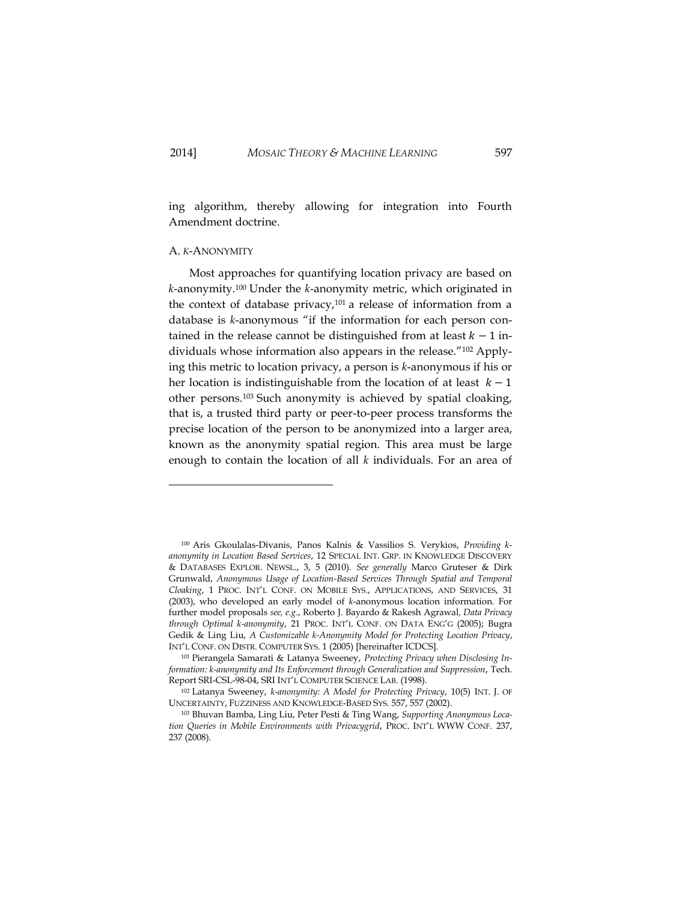-

ing algorithm, thereby allowing for integration into Fourth Amendment doctrine.

### A. *K*-ANONYMITY

Most approaches for quantifying location privacy are based on *k*-anonymity.<sup>100</sup> Under the *k*-anonymity metric, which originated in the context of database privacy, $101$  a release of information from a database is *k*-anonymous "if the information for each person contained in the release cannot be distinguished from at least  $k - 1$  individuals whose information also appears in the release."<sup>102</sup> Applying this metric to location privacy, a person is *k*-anonymous if his or her location is indistinguishable from the location of at least  $k - 1$ other persons.<sup>103</sup> Such anonymity is achieved by spatial cloaking, that is, a trusted third party or peer-to-peer process transforms the precise location of the person to be anonymized into a larger area, known as the anonymity spatial region. This area must be large enough to contain the location of all *k* individuals. For an area of

<sup>100</sup> Aris Gkoulalas-Divanis, Panos Kalnis & Vassilios S. Verykios, *Providing kanonymity in Location Based Services*, 12 SPECIAL INT. GRP. IN KNOWLEDGE DISCOVERY & DATABASES EXPLOR. NEWSL., 3, 5 (2010). *See generally* Marco Gruteser & Dirk Grunwald, *Anonymous Usage of Location-Based Services Through Spatial and Temporal Cloaking*, 1 PROC. INT'L CONF. ON MOBILE SYS., APPLICATIONS, AND SERVICES, 31 (2003), who developed an early model of *k*-anonymous location information. For further model proposals *see, e.g*., Roberto J. Bayardo & Rakesh Agrawal*, Data Privacy through Optimal k-anonymity*, 21 PROC. INT'L CONF. ON DATA ENG'G (2005); Bugra Gedik & Ling Liu, *A Customizable k-Anonymity Model for Protecting Location Privacy*, INT'L CONF. ON DISTR. COMPUTER SYS. 1 (2005) [hereinafter ICDCS].

<sup>101</sup> Pierangela Samarati & Latanya Sweeney, *Protecting Privacy when Disclosing Information: k-anonymity and Its Enforcement through Generalization and Suppression*, Tech. Report SRI-CSL-98-04, SRI INT'L COMPUTER SCIENCE LAB. (1998).

<sup>102</sup> Latanya Sweeney, *k-anonymity: A Model for Protecting Privacy*, 10(5) INT. J. OF UNCERTAINTY, FUZZINESS AND KNOWLEDGE-BASED SYS. 557, 557 (2002).

<sup>103</sup> Bhuvan Bamba, Ling Liu, Peter Pesti & Ting Wang, *Supporting Anonymous Location Queries in Mobile Environments with Privacygrid*, PROC. INT'L WWW CONF. 237, 237 (2008).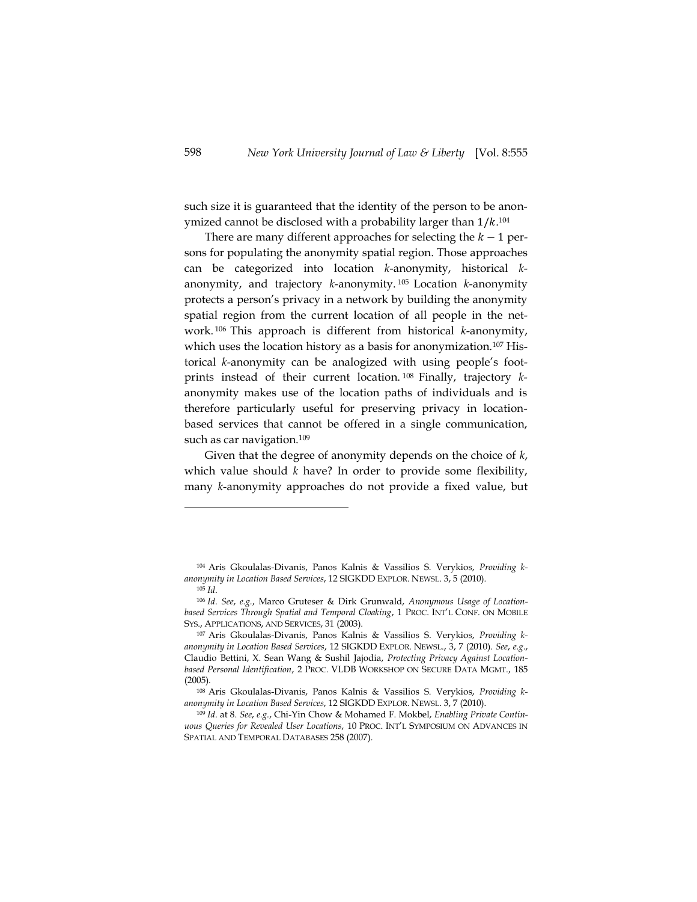such size it is guaranteed that the identity of the person to be anonymized cannot be disclosed with a probability larger than  $1/k$ .<sup>104</sup>

There are many different approaches for selecting the  $k - 1$  persons for populating the anonymity spatial region. Those approaches can be categorized into location *k*-anonymity, historical *k*anonymity, and trajectory *k*-anonymity. <sup>105</sup> Location *k*-anonymity protects a person's privacy in a network by building the anonymity spatial region from the current location of all people in the network. <sup>106</sup> This approach is different from historical *k*-anonymity, which uses the location history as a basis for anonymization.<sup>107</sup> Historical *k*-anonymity can be analogized with using people's footprints instead of their current location. <sup>108</sup> Finally, trajectory *k*anonymity makes use of the location paths of individuals and is therefore particularly useful for preserving privacy in locationbased services that cannot be offered in a single communication, such as car navigation.<sup>109</sup>

Given that the degree of anonymity depends on the choice of *k*, which value should *k* have? In order to provide some flexibility, many *k*-anonymity approaches do not provide a fixed value, but

<sup>104</sup> Aris Gkoulalas-Divanis, Panos Kalnis & Vassilios S. Verykios, *Providing kanonymity in Location Based Services*, 12 SIGKDD EXPLOR. NEWSL. 3, 5 (2010). <sup>105</sup> *Id*.

<sup>106</sup> *Id*. *See*, *e.g.*, Marco Gruteser & Dirk Grunwald, *Anonymous Usage of Locationbased Services Through Spatial and Temporal Cloaking*, 1 PROC. INT'L CONF. ON MOBILE SYS., APPLICATIONS, AND SERVICES, 31 (2003).

<sup>107</sup> Aris Gkoulalas-Divanis, Panos Kalnis & Vassilios S. Verykios, *Providing kanonymity in Location Based Services*, 12 SIGKDD EXPLOR. NEWSL., 3, 7 (2010). *See*, *e.g.*, Claudio Bettini, X. Sean Wang & Sushil Jajodia, *Protecting Privacy Against Locationbased Personal Identification*, 2 PROC. VLDB WORKSHOP ON SECURE DATA MGMT., 185 (2005).

<sup>108</sup> Aris Gkoulalas-Divanis, Panos Kalnis & Vassilios S. Verykios, *Providing kanonymity in Location Based Services*, 12 SIGKDD EXPLOR. NEWSL. 3, 7 (2010).

<sup>109</sup> *Id*. at 8. *See*, *e.g.*, Chi-Yin Chow & Mohamed F. Mokbel, *Enabling Private Continuous Queries for Revealed User Locations*, 10 PROC. INT'L SYMPOSIUM ON ADVANCES IN SPATIAL AND TEMPORAL DATABASES 258 (2007).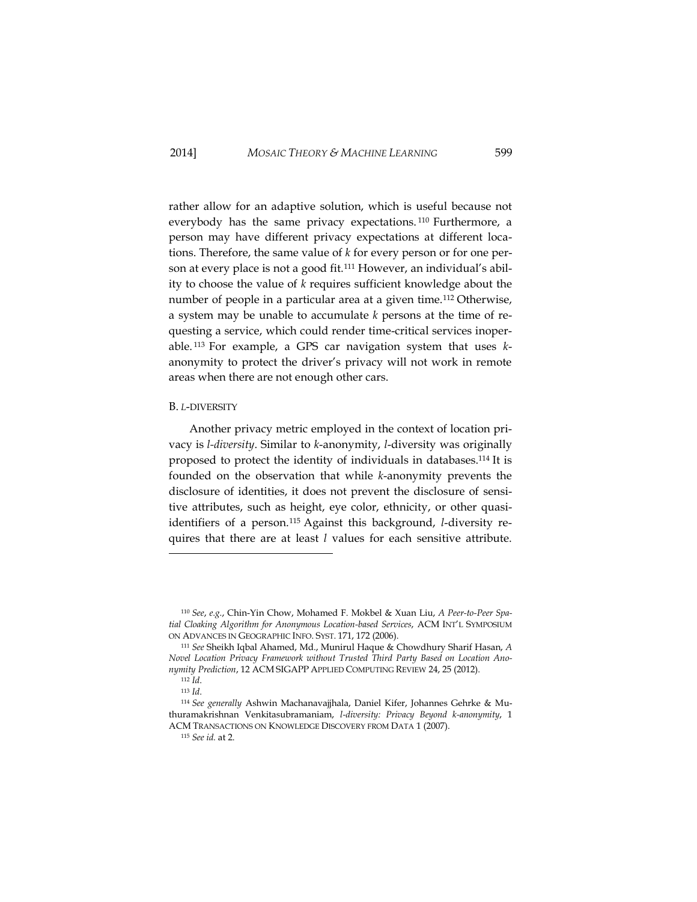rather allow for an adaptive solution, which is useful because not everybody has the same privacy expectations. <sup>110</sup> Furthermore, a person may have different privacy expectations at different locations. Therefore, the same value of *k* for every person or for one person at every place is not a good fit.<sup>111</sup> However, an individual's ability to choose the value of *k* requires sufficient knowledge about the number of people in a particular area at a given time.<sup>112</sup> Otherwise, a system may be unable to accumulate *k* persons at the time of requesting a service, which could render time-critical services inoperable. <sup>113</sup> For example, a GPS car navigation system that uses *k*anonymity to protect the driver's privacy will not work in remote areas when there are not enough other cars.

# <span id="page-45-0"></span>B. *L*-DIVERSITY

Another privacy metric employed in the context of location privacy is *l-diversity*. Similar to *k*-anonymity, *l*-diversity was originally proposed to protect the identity of individuals in databases.<sup>114</sup> It is founded on the observation that while *k*-anonymity prevents the disclosure of identities, it does not prevent the disclosure of sensitive attributes, such as height, eye color, ethnicity, or other quasiidentifiers of a person. <sup>115</sup> Against this background, *l*-diversity requires that there are at least *l* values for each sensitive attribute.

<sup>110</sup> *See*, *e.g.*, Chin-Yin Chow, Mohamed F. Mokbel & Xuan Liu, *A Peer-to-Peer Spatial Cloaking Algorithm for Anonymous Location-based Services*, ACM INT'L SYMPOSIUM ON ADVANCES IN GEOGRAPHIC INFO. SYST. 171, 172 (2006).

<sup>111</sup> *See* Sheikh Iqbal Ahamed, Md., Munirul Haque & Chowdhury Sharif Hasan, *A Novel Location Privacy Framework without Trusted Third Party Based on Location Anonymity Prediction*, 12 ACM SIGAPP APPLIED COMPUTING REVIEW 24, 25 (2012).

<sup>112</sup> *Id*.

<sup>113</sup> *Id*.

<sup>114</sup> *See generally* Ashwin Machanavajjhala, Daniel Kifer, Johannes Gehrke & Muthuramakrishnan Venkitasubramaniam, *l-diversity: Privacy Beyond k-anonymity*, 1 ACM TRANSACTIONS ON KNOWLEDGE DISCOVERY FROM DATA 1 (2007).

<sup>115</sup> *See id.* at 2.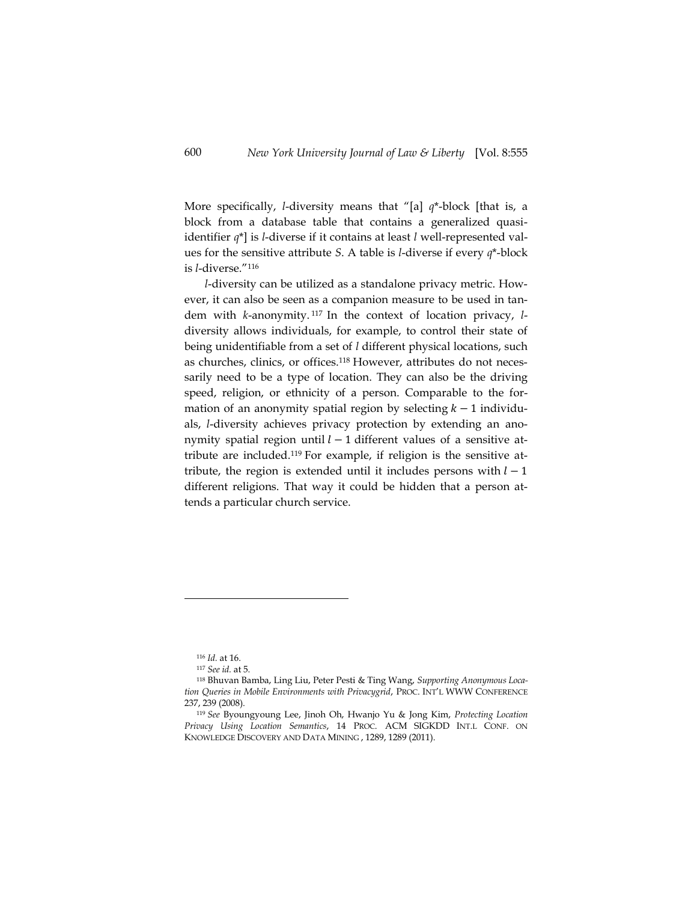More specifically, *l*-diversity means that "[a] *q*\*-block [that is, a block from a database table that contains a generalized quasiidentifier *q*\*] is *l*-diverse if it contains at least *l* well-represented values for the sensitive attribute *S*. A table is *l*-diverse if every *q*\*-block is *l*-diverse."<sup>116</sup>

*l*-diversity can be utilized as a standalone privacy metric. However, it can also be seen as a companion measure to be used in tandem with *k*-anonymity. <sup>117</sup> In the context of location privacy, *l*diversity allows individuals, for example, to control their state of being unidentifiable from a set of *l* different physical locations, such as churches, clinics, or offices.<sup>118</sup> However, attributes do not necessarily need to be a type of location. They can also be the driving speed, religion, or ethnicity of a person. Comparable to the formation of an anonymity spatial region by selecting  $k-1$  individuals, *l*-diversity achieves privacy protection by extending an anonymity spatial region until  $l-1$  different values of a sensitive attribute are included.<sup>119</sup> For example, if religion is the sensitive attribute, the region is extended until it includes persons with  $l-1$ different religions. That way it could be hidden that a person attends a particular church service.

<sup>116</sup> *Id.* at 16.

<sup>117</sup> *See id.* at 5.

<sup>118</sup> Bhuvan Bamba, Ling Liu, Peter Pesti & Ting Wang, *Supporting Anonymous Location Queries in Mobile Environments with Privacygrid*, PROC. INT'L WWW CONFERENCE 237, 239 (2008).

<sup>119</sup> *See* Byoungyoung Lee, Jinoh Oh, Hwanjo Yu & Jong Kim, *Protecting Location Privacy Using Location Semantics*, 14 PROC. ACM SIGKDD INT.L CONF. ON KNOWLEDGE DISCOVERY AND DATA MINING , 1289, 1289 (2011).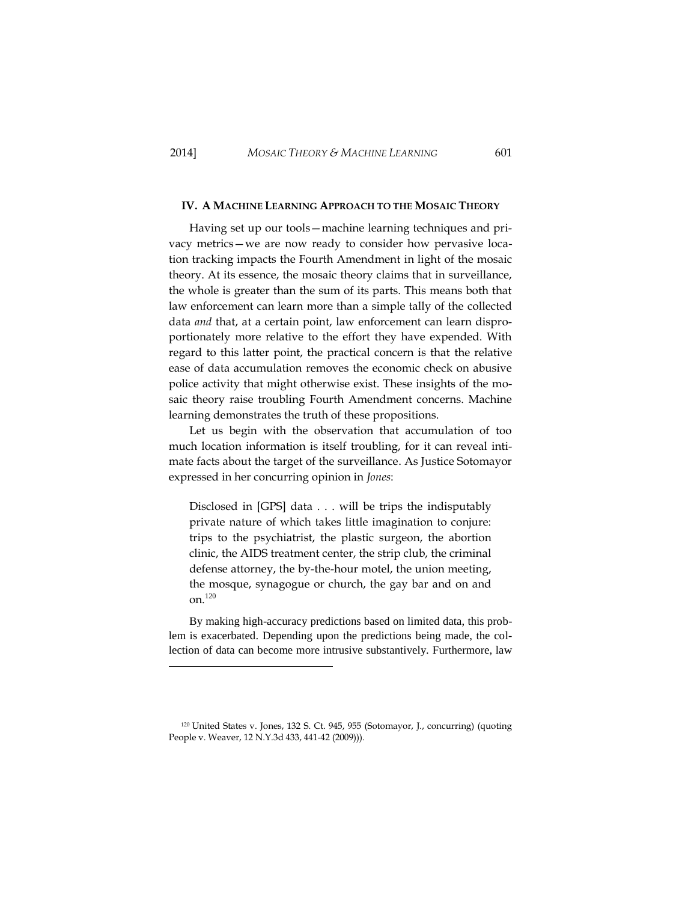-

# **IV. A MACHINE LEARNING APPROACH TO THE MOSAIC THEORY**

Having set up our tools—machine learning techniques and privacy metrics—we are now ready to consider how pervasive location tracking impacts the Fourth Amendment in light of the mosaic theory. At its essence, the mosaic theory claims that in surveillance, the whole is greater than the sum of its parts. This means both that law enforcement can learn more than a simple tally of the collected data *and* that, at a certain point, law enforcement can learn disproportionately more relative to the effort they have expended. With regard to this latter point, the practical concern is that the relative ease of data accumulation removes the economic check on abusive police activity that might otherwise exist. These insights of the mosaic theory raise troubling Fourth Amendment concerns. Machine learning demonstrates the truth of these propositions.

Let us begin with the observation that accumulation of too much location information is itself troubling, for it can reveal intimate facts about the target of the surveillance. As Justice Sotomayor expressed in her concurring opinion in *Jones*:

Disclosed in [GPS] data . . . will be trips the indisputably private nature of which takes little imagination to conjure: trips to the psychiatrist, the plastic surgeon, the abortion clinic, the AIDS treatment center, the strip club, the criminal defense attorney, the by-the-hour motel, the union meeting, the mosque, synagogue or church, the gay bar and on and on. 120

By making high-accuracy predictions based on limited data, this problem is exacerbated. Depending upon the predictions being made, the collection of data can become more intrusive substantively. Furthermore, law

<sup>120</sup> United States v. Jones, 132 S. Ct. 945, 955 (Sotomayor, J., concurring) (quoting People v. Weaver, 12 N.Y.3d 433, 441-42 (2009))).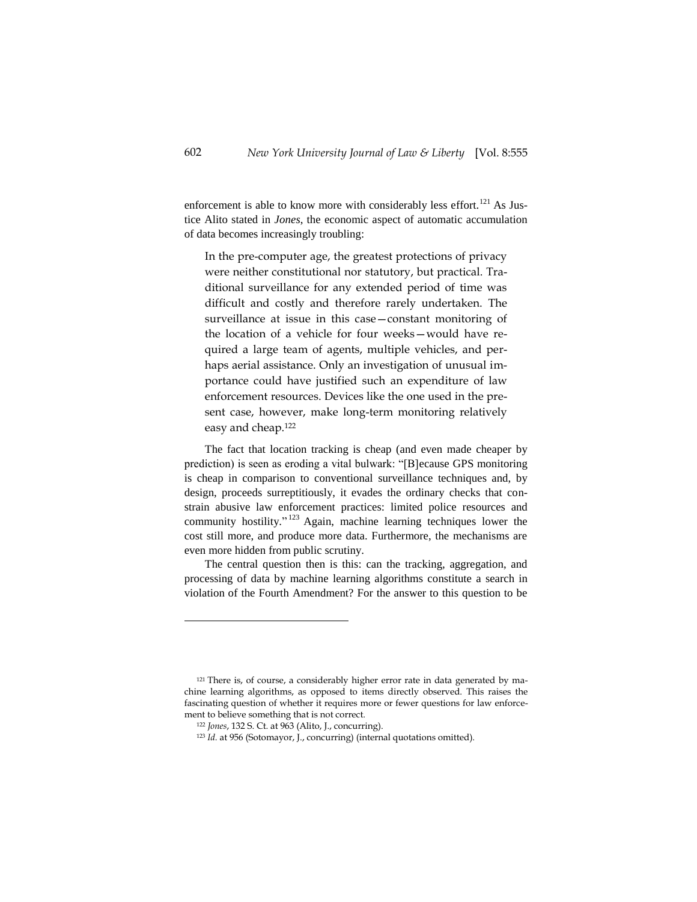enforcement is able to know more with considerably less effort.<sup>121</sup> As Justice Alito stated in *Jones*, the economic aspect of automatic accumulation of data becomes increasingly troubling:

In the pre-computer age, the greatest protections of privacy were neither constitutional nor statutory, but practical. Traditional surveillance for any extended period of time was difficult and costly and therefore rarely undertaken. The surveillance at issue in this case—constant monitoring of the location of a vehicle for four weeks—would have required a large team of agents, multiple vehicles, and perhaps aerial assistance. Only an investigation of unusual importance could have justified such an expenditure of law enforcement resources. Devices like the one used in the present case, however, make long-term monitoring relatively easy and cheap.<sup>122</sup>

The fact that location tracking is cheap (and even made cheaper by prediction) is seen as eroding a vital bulwark: "[B]ecause GPS monitoring is cheap in comparison to conventional surveillance techniques and, by design, proceeds surreptitiously, it evades the ordinary checks that constrain abusive law enforcement practices: limited police resources and community hostility."<sup>123</sup> Again, machine learning techniques lower the cost still more, and produce more data. Furthermore, the mechanisms are even more hidden from public scrutiny.

The central question then is this: can the tracking, aggregation, and processing of data by machine learning algorithms constitute a search in violation of the Fourth Amendment? For the answer to this question to be

<sup>&</sup>lt;sup>121</sup> There is, of course, a considerably higher error rate in data generated by machine learning algorithms, as opposed to items directly observed. This raises the fascinating question of whether it requires more or fewer questions for law enforcement to believe something that is not correct.

<sup>122</sup> *Jones*, 132 S. Ct. at 963 (Alito, J., concurring).

<sup>123</sup> *Id.* at 956 (Sotomayor, J., concurring) (internal quotations omitted).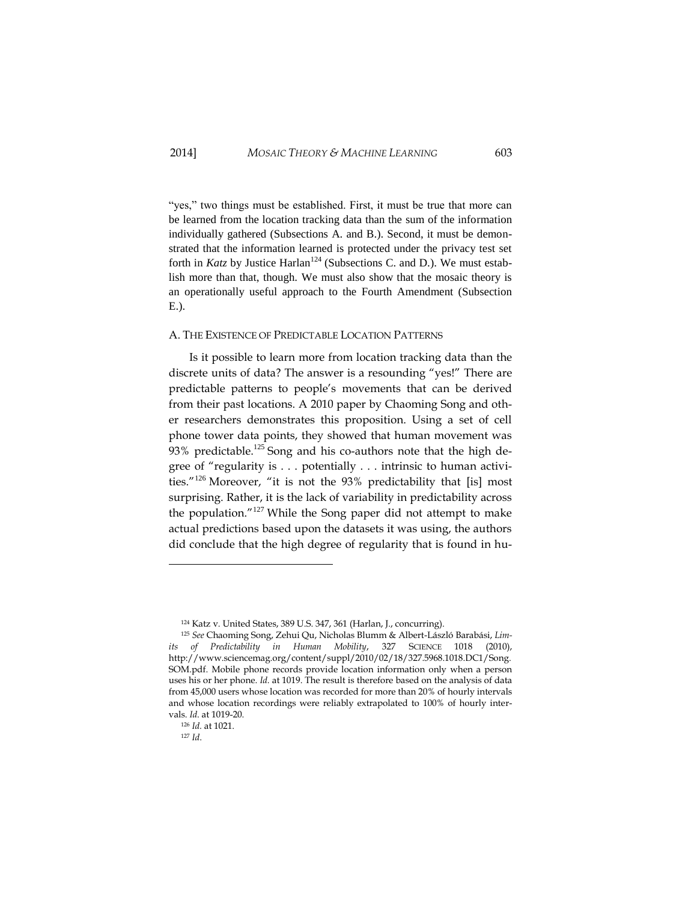"yes," two things must be established. First, it must be true that more can be learned from the location tracking data than the sum of the information individually gathered (Subsections A. and B.). Second, it must be demonstrated that the information learned is protected under the privacy test set forth in *Katz* by Justice Harlan<sup>124</sup> (Subsections C. and D.). We must establish more than that, though. We must also show that the mosaic theory is an operationally useful approach to the Fourth Amendment (Subsection E.).

### <span id="page-49-0"></span>A. THE EXISTENCE OF PREDICTABLE LOCATION PATTERNS

Is it possible to learn more from location tracking data than the discrete units of data? The answer is a resounding "yes!" There are predictable patterns to people's movements that can be derived from their past locations. A 2010 paper by Chaoming Song and other researchers demonstrates this proposition. Using a set of cell phone tower data points, they showed that human movement was 93% predictable.<sup>125</sup> Song and his co-authors note that the high degree of "regularity is . . . potentially . . . intrinsic to human activities."<sup>126</sup> Moreover, "it is not the 93% predictability that [is] most surprising. Rather, it is the lack of variability in predictability across the population."<sup>127</sup> While the Song paper did not attempt to make actual predictions based upon the datasets it was using, the authors did conclude that the high degree of regularity that is found in hu-

<sup>124</sup> Katz v. United States, 389 U.S. 347, 361 (Harlan, J., concurring).

<sup>125</sup> *See* Chaoming Song, Zehui Qu, Nicholas Blumm & Albert-László Barabási, *Limits of Predictability in Human Mobility*, 327 SCIENCE 1018 (2010), http://www.sciencemag.org/content/suppl/2010/02/18/327.5968.1018.DC1/Song. SOM.pdf. Mobile phone records provide location information only when a person uses his or her phone. *Id.* at 1019. The result is therefore based on the analysis of data from 45,000 users whose location was recorded for more than 20% of hourly intervals and whose location recordings were reliably extrapolated to 100% of hourly intervals. *Id*. at 1019-20.

<sup>126</sup> *Id.* at 1021.

<sup>127</sup> *Id*.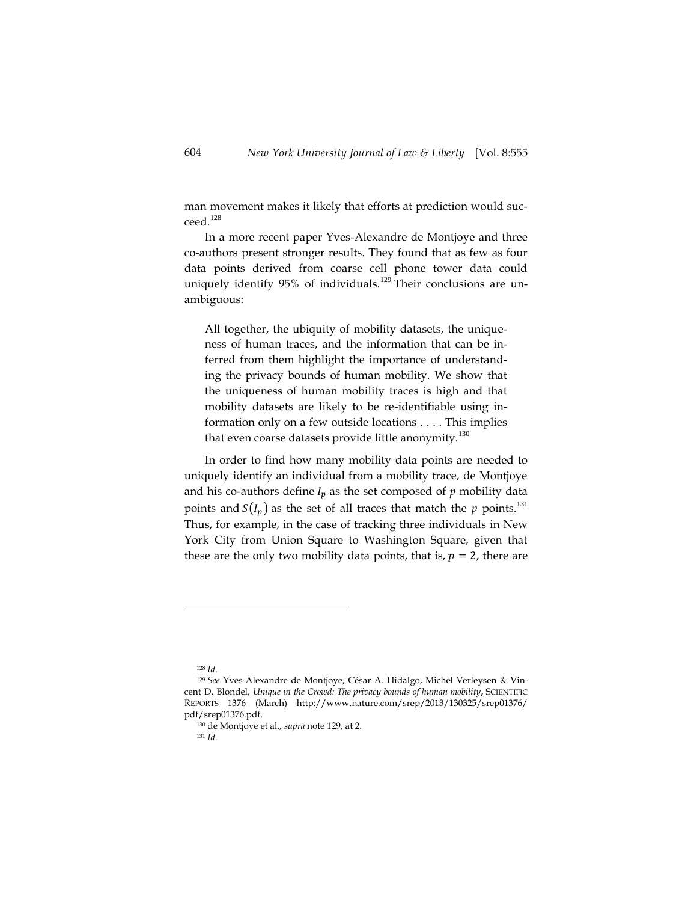man movement makes it likely that efforts at prediction would succeed.<sup>128</sup>

In a more recent paper Yves-Alexandre de Montjoye and three co-authors present stronger results. They found that as few as four data points derived from coarse cell phone tower data could uniquely identify 95% of individuals.<sup>129</sup> Their conclusions are unambiguous:

All together, the ubiquity of mobility datasets, the uniqueness of human traces, and the information that can be inferred from them highlight the importance of understanding the privacy bounds of human mobility. We show that the uniqueness of human mobility traces is high and that mobility datasets are likely to be re-identifiable using information only on a few outside locations . . . . This implies that even coarse datasets provide little anonymity.<sup>130</sup>

In order to find how many mobility data points are needed to uniquely identify an individual from a mobility trace, de Montjoye and his co-authors define  $I_p$  as the set composed of  $p$  mobility data points and  $S(I_n)$  as the set of all traces that match the *p* points.<sup>131</sup> Thus, for example, in the case of tracking three individuals in New York City from Union Square to Washington Square, given that these are the only two mobility data points, that is,  $p = 2$ , there are

 $\overline{a}$ 

<sup>131</sup> *Id.*

<sup>128</sup> *Id*.

<sup>129</sup> *See* Yves-Alexandre de Montjoye, César A. Hidalgo, Michel Verleysen & Vincent D. Blondel, *Unique in the Crowd: The privacy bounds of human mobility***,** SCIENTIFIC REPORTS 1376 (March) <http://www.nature.com/srep/2013/130325/srep01376/> pdf/srep01376.pdf.

<sup>130</sup> de Montjoye et al., *supra* note 129, at 2.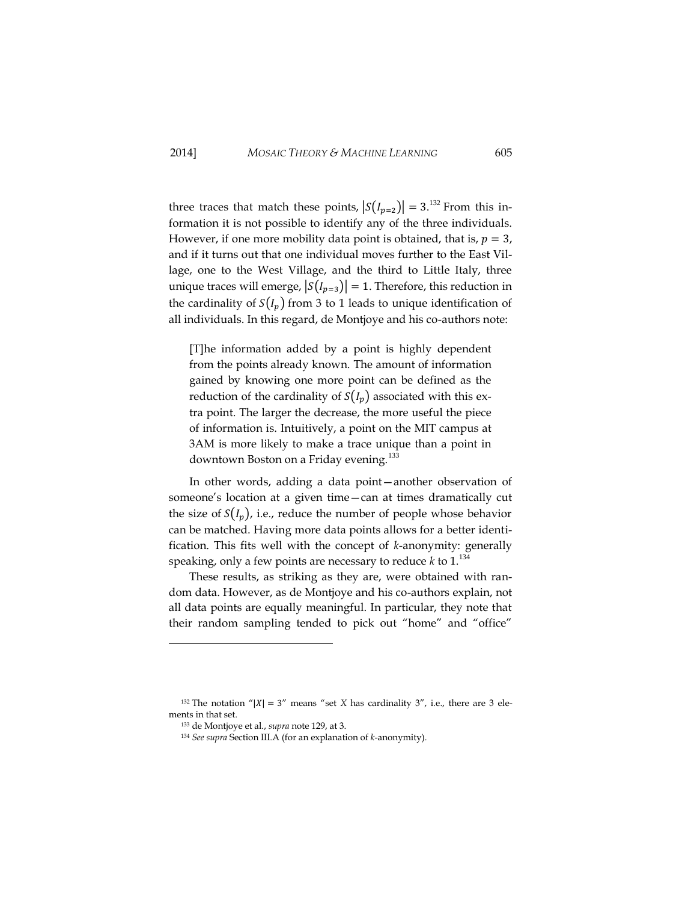three traces that match these points,  $|S(I_{n=2})| = 3$ .<sup>132</sup> From this information it is not possible to identify any of the three individuals. However, if one more mobility data point is obtained, that is,  $p = 3$ , and if it turns out that one individual moves further to the East Village, one to the West Village, and the third to Little Italy, three unique traces will emerge,  $|S(I_{p=3})| = 1$ . Therefore, this reduction in the cardinality of  $S(I_p)$  from 3 to 1 leads to unique identification of all individuals. In this regard, de Montjoye and his co-authors note:

[T]he information added by a point is highly dependent from the points already known. The amount of information gained by knowing one more point can be defined as the reduction of the cardinality of  $S(I_n)$  associated with this extra point. The larger the decrease, the more useful the piece of information is. Intuitively, a point on the MIT campus at 3AM is more likely to make a trace unique than a point in downtown Boston on a Friday evening.<sup>133</sup>

In other words, adding a data point—another observation of someone's location at a given time—can at times dramatically cut the size of  $S(I_n)$ , i.e., reduce the number of people whose behavior can be matched. Having more data points allows for a better identification. This fits well with the concept of *k*-anonymity: generally speaking, only a few points are necessary to reduce  $k$  to  $1^{134}$ 

These results, as striking as they are, were obtained with random data. However, as de Montjoye and his co-authors explain, not all data points are equally meaningful. In particular, they note that their random sampling tended to pick out "home" and "office"

j

<sup>&</sup>lt;sup>132</sup> The notation " $|X| = 3$ " means "set *X* has cardinality 3", i.e., there are 3 elements in that set.

<sup>133</sup> de Montjoye et al., *supra* note 129, at 3.

<sup>134</sup> *See supra* Section III.A (for an explanation of *k*-anonymity).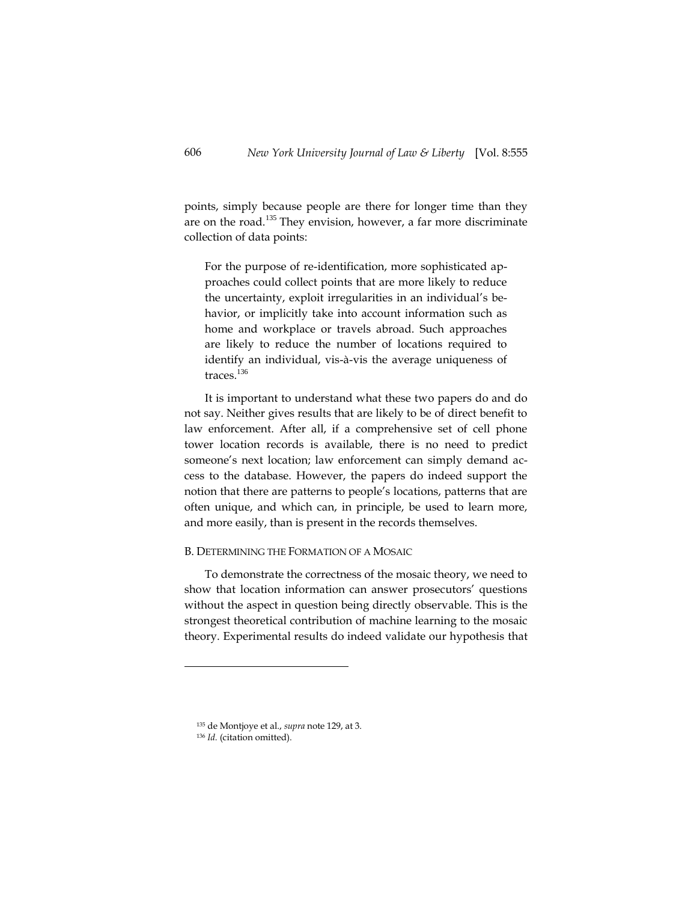points, simply because people are there for longer time than they are on the road.<sup>135</sup> They envision, however, a far more discriminate collection of data points:

For the purpose of re-identification, more sophisticated approaches could collect points that are more likely to reduce the uncertainty, exploit irregularities in an individual's behavior, or implicitly take into account information such as home and workplace or travels abroad. Such approaches are likely to reduce the number of locations required to identify an individual, vis-à-vis the average uniqueness of traces.<sup>136</sup>

It is important to understand what these two papers do and do not say. Neither gives results that are likely to be of direct benefit to law enforcement. After all, if a comprehensive set of cell phone tower location records is available, there is no need to predict someone's next location; law enforcement can simply demand access to the database. However, the papers do indeed support the notion that there are patterns to people's locations, patterns that are often unique, and which can, in principle, be used to learn more, and more easily, than is present in the records themselves.

# <span id="page-52-0"></span>B. DETERMINING THE FORMATION OF A MOSAIC

To demonstrate the correctness of the mosaic theory, we need to show that location information can answer prosecutors' questions without the aspect in question being directly observable. This is the strongest theoretical contribution of machine learning to the mosaic theory. Experimental results do indeed validate our hypothesis that

<sup>135</sup> de Montjoye et al., *supra* note 129, at 3.

<sup>136</sup> *Id.* (citation omitted).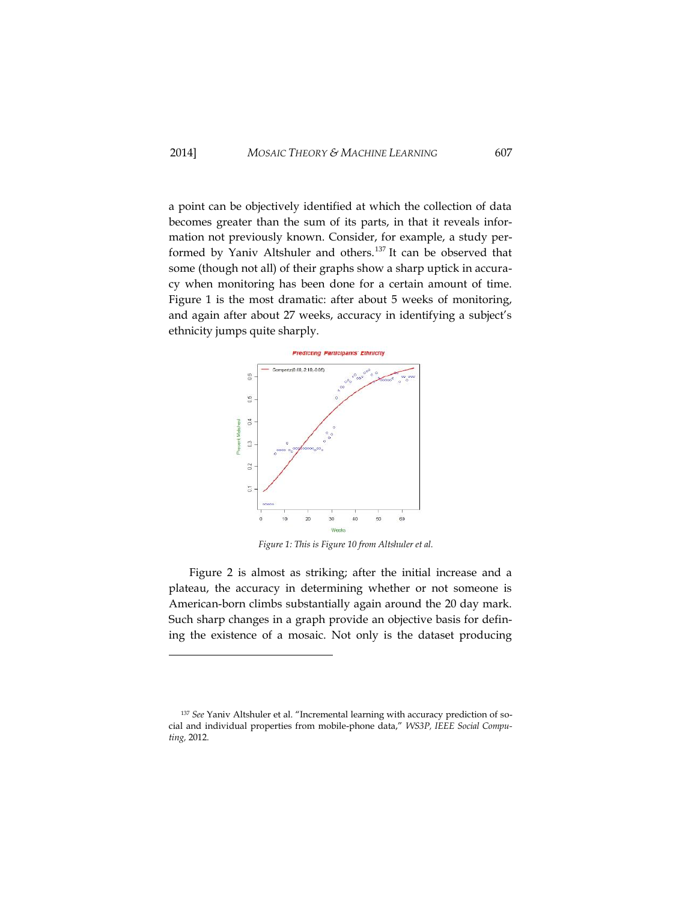a point can be objectively identified at which the collection of data becomes greater than the sum of its parts, in that it reveals information not previously known. Consider, for example, a study performed by Yaniv Altshuler and others.<sup>137</sup> It can be observed that some (though not all) of their graphs show a sharp uptick in accuracy when monitoring has been done for a certain amount of time. Figure 1 is the most dramatic: after about 5 weeks of monitoring, and again after about 27 weeks, accuracy in identifying a subject's ethnicity jumps quite sharply.



*Figure 1: This is Figure 10 from Altshuler et al.*

Figure 2 is almost as striking; after the initial increase and a plateau, the accuracy in determining whether or not someone is American-born climbs substantially again around the 20 day mark. Such sharp changes in a graph provide an objective basis for defining the existence of a mosaic. Not only is the dataset producing

<sup>137</sup> *See* Yaniv Altshuler et al. "Incremental learning with accuracy prediction of social and individual properties from mobile-phone data," *WS3P, IEEE Social Computing,* 2012.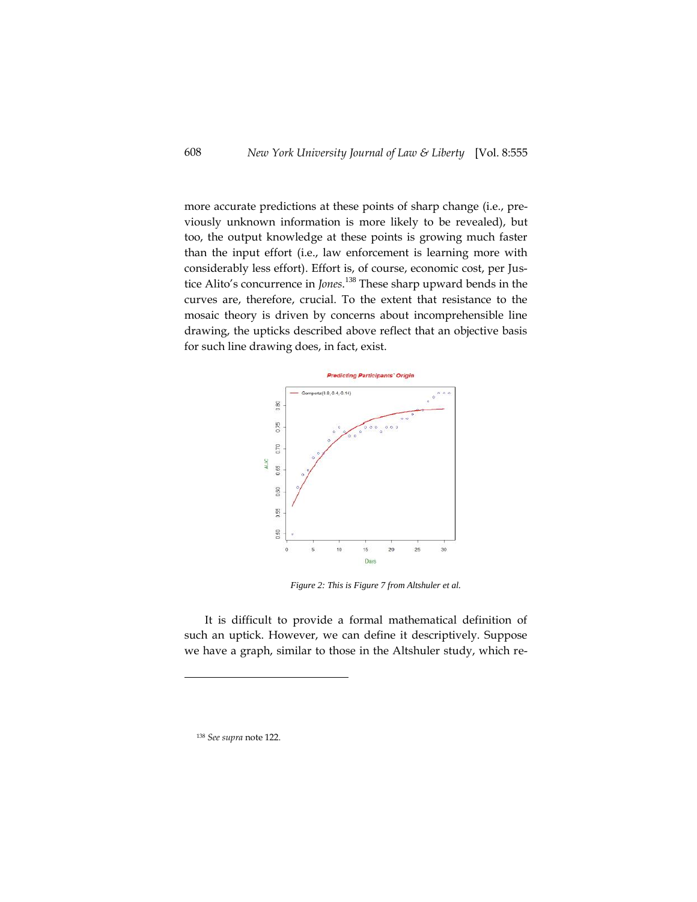more accurate predictions at these points of sharp change (i.e., previously unknown information is more likely to be revealed), but too, the output knowledge at these points is growing much faster than the input effort (i.e., law enforcement is learning more with considerably less effort). Effort is, of course, economic cost, per Justice Alito's concurrence in *Jones*. <sup>138</sup> These sharp upward bends in the curves are, therefore, crucial. To the extent that resistance to the mosaic theory is driven by concerns about incomprehensible line drawing, the upticks described above reflect that an objective basis for such line drawing does, in fact, exist.



*Figure 2: This is Figure 7 from Altshuler et al.*

It is difficult to provide a formal mathematical definition of such an uptick. However, we can define it descriptively. Suppose we have a graph, similar to those in the Altshuler study, which re-

<sup>138</sup> *See supra* note 122.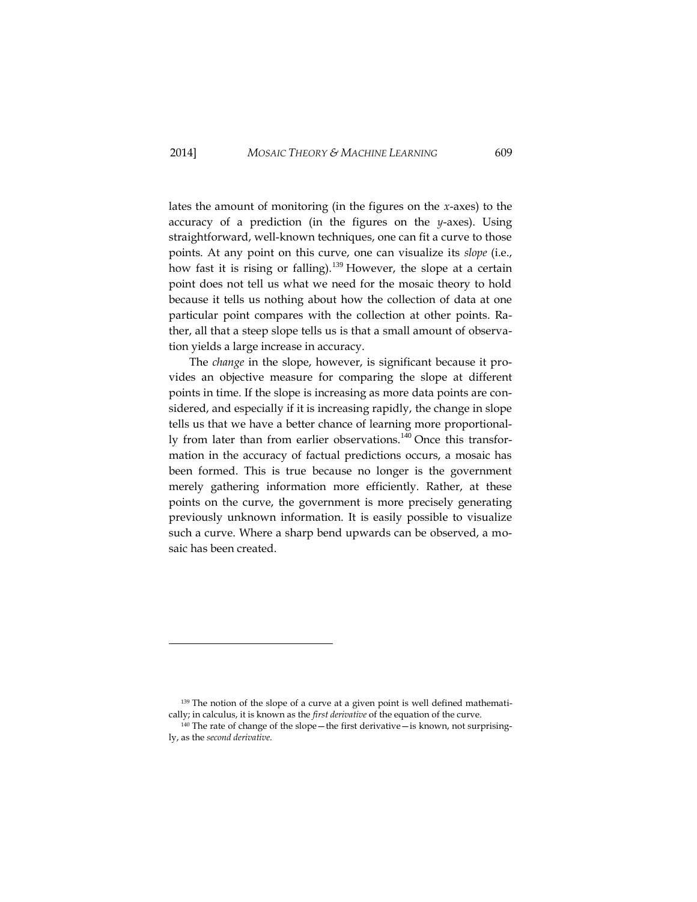lates the amount of monitoring (in the figures on the *x*-axes) to the accuracy of a prediction (in the figures on the *y*-axes). Using straightforward, well-known techniques, one can fit a curve to those points. At any point on this curve, one can visualize its *slope* (i.e., how fast it is rising or falling).<sup>139</sup> However, the slope at a certain point does not tell us what we need for the mosaic theory to hold because it tells us nothing about how the collection of data at one particular point compares with the collection at other points. Rather, all that a steep slope tells us is that a small amount of observation yields a large increase in accuracy.

The *change* in the slope, however, is significant because it provides an objective measure for comparing the slope at different points in time. If the slope is increasing as more data points are considered, and especially if it is increasing rapidly, the change in slope tells us that we have a better chance of learning more proportionally from later than from earlier observations.<sup>140</sup> Once this transformation in the accuracy of factual predictions occurs, a mosaic has been formed. This is true because no longer is the government merely gathering information more efficiently. Rather, at these points on the curve, the government is more precisely generating previously unknown information. It is easily possible to visualize such a curve. Where a sharp bend upwards can be observed, a mosaic has been created.

j

<sup>139</sup> The notion of the slope of a curve at a given point is well defined mathematically; in calculus, it is known as the *first derivative* of the equation of the curve.

 $140$  The rate of change of the slope—the first derivative—is known, not surprisingly, as the *second derivative*.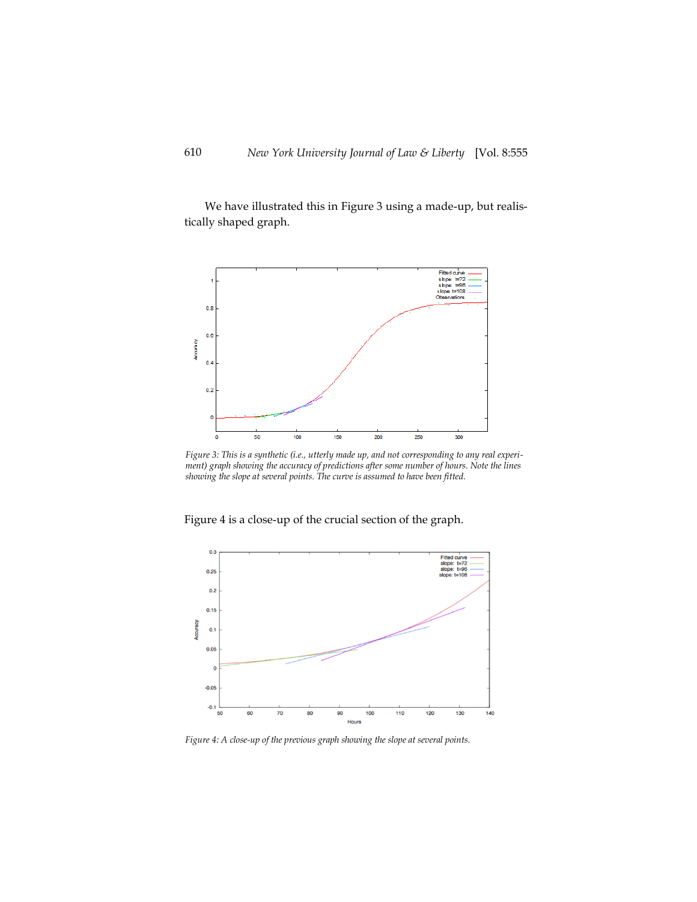We have illustrated this in Figure 3 using a made-up, but realistically shaped graph.



*Figure 3: This is a synthetic (i.e., utterly made up, and not corresponding to any real experiment) graph showing the accuracy of predictions after some number of hours. Note the lines showing the slope at several points. The curve is assumed to have been fitted.*

Figure 4 is a close-up of the crucial section of the graph.



*Figure 4: A close-up of the previous graph showing the slope at several points.*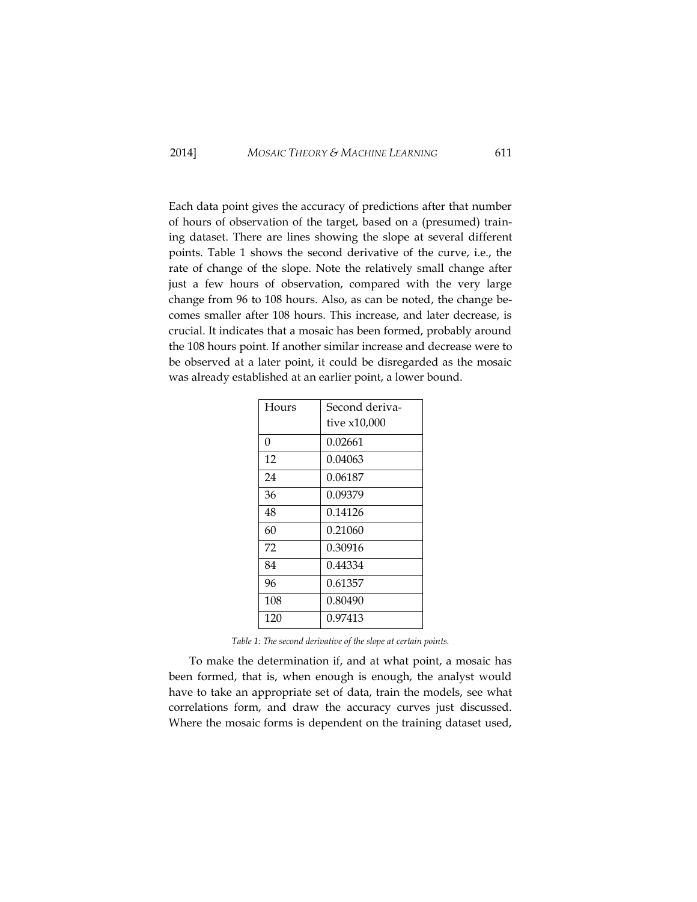Each data point gives the accuracy of predictions after that number of hours of observation of the target, based on a (presumed) training dataset. There are lines showing the slope at several different points. Table 1 shows the second derivative of the curve, i.e., the rate of change of the slope. Note the relatively small change after just a few hours of observation, compared with the very large change from 96 to 108 hours. Also, as can be noted, the change becomes smaller after 108 hours. This increase, and later decrease, is crucial. It indicates that a mosaic has been formed, probably around the 108 hours point. If another similar increase and decrease were to be observed at a later point, it could be disregarded as the mosaic was already established at an earlier point, a lower bound.

| Hours | Second deriva- |
|-------|----------------|
|       | tive x10,000   |
| 0     | 0.02661        |
| 12    | 0.04063        |
| 24    | 0.06187        |
| 36    | 0.09379        |
| 48    | 0.14126        |
| 60    | 0.21060        |
| 72    | 0.30916        |
| 84    | 0.44334        |
| 96    | 0.61357        |
| 108   | 0.80490        |
| 120   | 0.97413        |

*Table 1: The second derivative of the slope at certain points.*

To make the determination if, and at what point, a mosaic has been formed, that is, when enough is enough, the analyst would have to take an appropriate set of data, train the models, see what correlations form, and draw the accuracy curves just discussed. Where the mosaic forms is dependent on the training dataset used,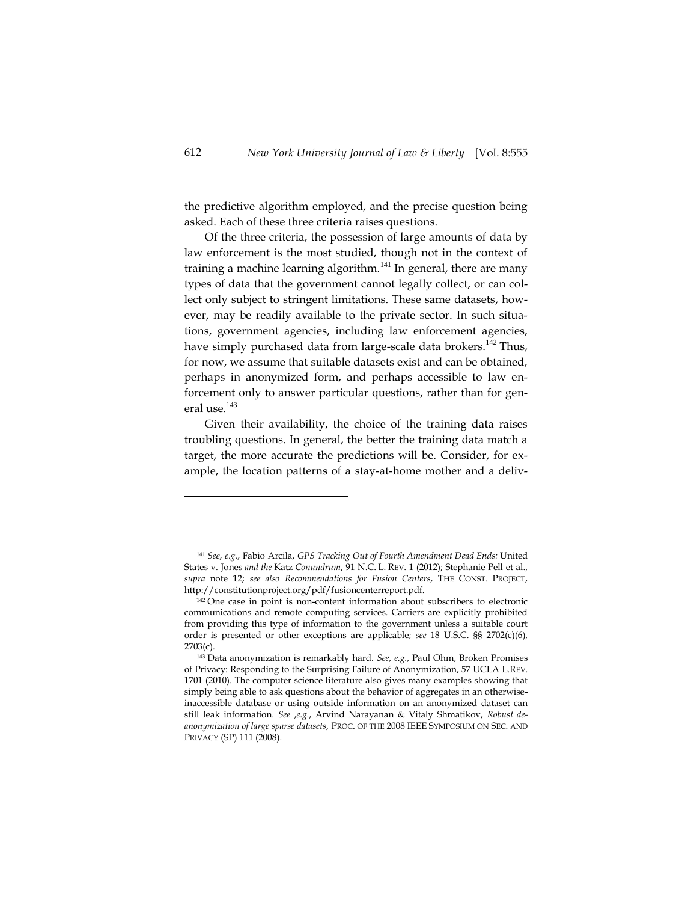the predictive algorithm employed, and the precise question being asked. Each of these three criteria raises questions.

Of the three criteria, the possession of large amounts of data by law enforcement is the most studied, though not in the context of training a machine learning algorithm.<sup>141</sup> In general, there are many types of data that the government cannot legally collect, or can collect only subject to stringent limitations. These same datasets, however, may be readily available to the private sector. In such situations, government agencies, including law enforcement agencies, have simply purchased data from large-scale data brokers.<sup>142</sup> Thus, for now, we assume that suitable datasets exist and can be obtained, perhaps in anonymized form, and perhaps accessible to law enforcement only to answer particular questions, rather than for general use.<sup>143</sup>

Given their availability, the choice of the training data raises troubling questions. In general, the better the training data match a target, the more accurate the predictions will be. Consider, for example, the location patterns of a stay-at-home mother and a deliv-

<sup>141</sup> *See*, *e.g.*, Fabio Arcila, *GPS Tracking Out of Fourth Amendment Dead Ends:* United States v. Jones *and the* Katz *Conundrum*, 91 N.C. L. REV. 1 (2012); Stephanie Pell et al., *supra* note 12; *see also Recommendations for Fusion Centers*, THE CONST. PROJECT, http://constitutionproject.org/pdf/fusioncenterreport.pdf.

<sup>142</sup> One case in point is non-content information about subscribers to electronic communications and remote computing services. Carriers are explicitly prohibited from providing this type of information to the government unless a suitable court order is presented or other exceptions are applicable; *see* 18 U.S.C. §§ 2702(c)(6), 2703(c).

<sup>143</sup> Data anonymization is remarkably hard. *See*, *e.g.*, Paul Ohm, Broken Promises of Privacy: Responding to the Surprising Failure of Anonymization, 57 UCLA L.REV. 1701 (2010). The computer science literature also gives many examples showing that simply being able to ask questions about the behavior of aggregates in an otherwiseinaccessible database or using outside information on an anonymized dataset can still leak information. *See* ,*e.g.*, Arvind Narayanan & Vitaly Shmatikov, *Robust deanonymization of large sparse datasets*, PROC. OF THE 2008 IEEE SYMPOSIUM ON SEC. AND PRIVACY (SP) 111 (2008).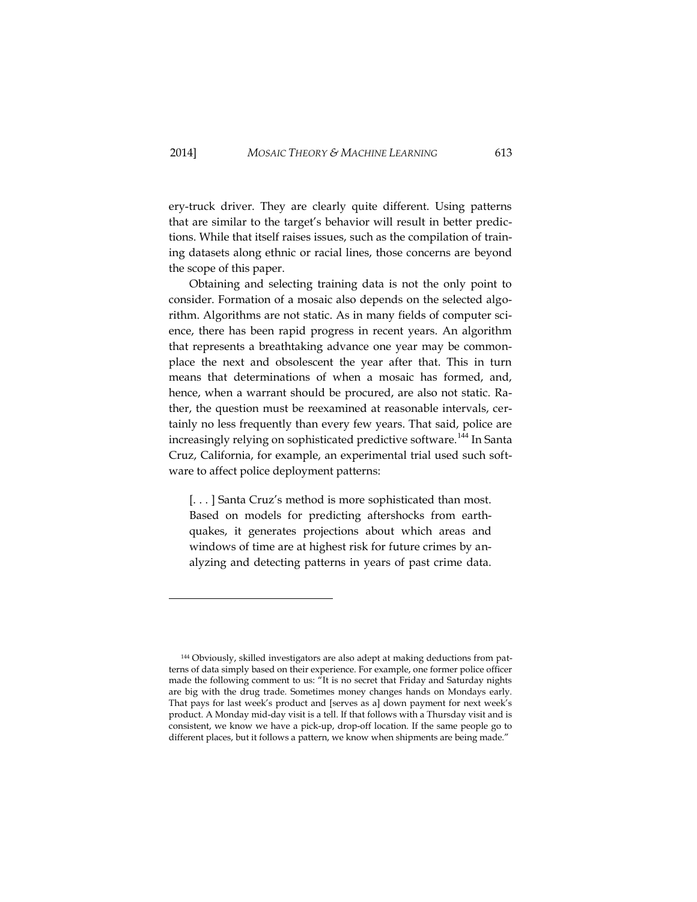ery-truck driver. They are clearly quite different. Using patterns that are similar to the target's behavior will result in better predictions. While that itself raises issues, such as the compilation of training datasets along ethnic or racial lines, those concerns are beyond the scope of this paper.

Obtaining and selecting training data is not the only point to consider. Formation of a mosaic also depends on the selected algorithm. Algorithms are not static. As in many fields of computer science, there has been rapid progress in recent years. An algorithm that represents a breathtaking advance one year may be commonplace the next and obsolescent the year after that. This in turn means that determinations of when a mosaic has formed, and, hence, when a warrant should be procured, are also not static. Rather, the question must be reexamined at reasonable intervals, certainly no less frequently than every few years. That said, police are increasingly relying on sophisticated predictive software.<sup>144</sup> In Santa Cruz, California, for example, an experimental trial used such software to affect police deployment patterns:

[. . . ] Santa Cruz's method is more sophisticated than most. Based on models for predicting aftershocks from earthquakes, it generates projections about which areas and windows of time are at highest risk for future crimes by analyzing and detecting patterns in years of past crime data.

<sup>144</sup> Obviously, skilled investigators are also adept at making deductions from patterns of data simply based on their experience. For example, one former police officer made the following comment to us: "It is no secret that Friday and Saturday nights are big with the drug trade. Sometimes money changes hands on Mondays early. That pays for last week's product and [serves as a] down payment for next week's product. A Monday mid-day visit is a tell. If that follows with a Thursday visit and is consistent, we know we have a pick-up, drop-off location. If the same people go to different places, but it follows a pattern, we know when shipments are being made."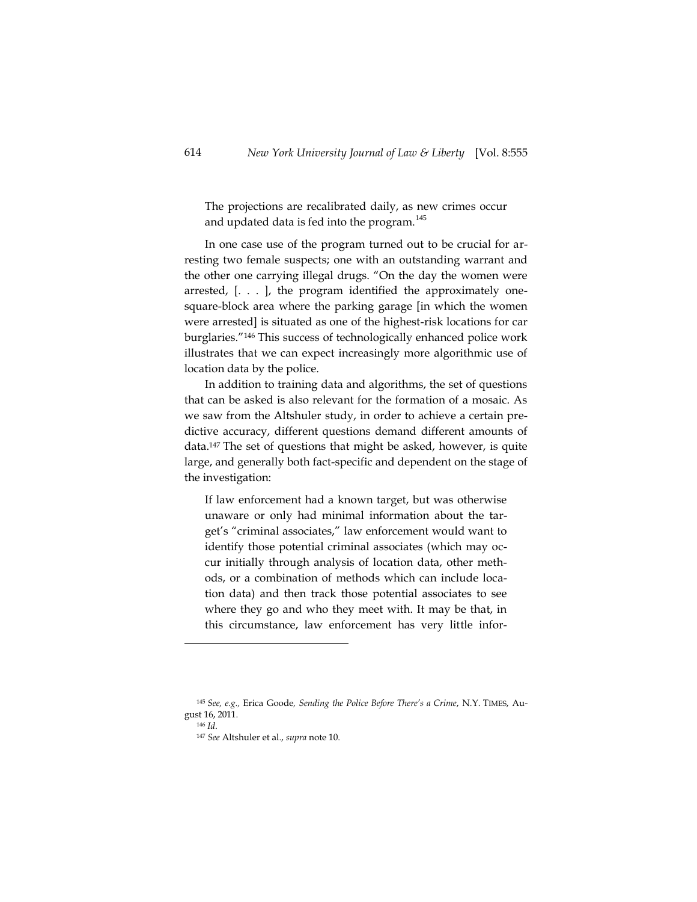The projections are recalibrated daily, as new crimes occur and updated data is fed into the program.<sup>145</sup>

In one case use of the program turned out to be crucial for arresting two female suspects; one with an outstanding warrant and the other one carrying illegal drugs. "On the day the women were arrested, [. . . ], the program identified the approximately onesquare-block area where the parking garage [in which the women were arrested] is situated as one of the highest-risk locations for car burglaries."<sup>146</sup> This success of technologically enhanced police work illustrates that we can expect increasingly more algorithmic use of location data by the police.

In addition to training data and algorithms, the set of questions that can be asked is also relevant for the formation of a mosaic. As we saw from the Altshuler study, in order to achieve a certain predictive accuracy, different questions demand different amounts of data.<sup>147</sup> The set of questions that might be asked, however, is quite large, and generally both fact-specific and dependent on the stage of the investigation:

If law enforcement had a known target, but was otherwise unaware or only had minimal information about the target's "criminal associates," law enforcement would want to identify those potential criminal associates (which may occur initially through analysis of location data, other methods, or a combination of methods which can include location data) and then track those potential associates to see where they go and who they meet with. It may be that, in this circumstance, law enforcement has very little infor-

<sup>145</sup> *See, e.g.,* Erica Goode*, Sending the Police Before There's a Crime*, N.Y. TIMES, August 16, 2011.

<sup>146</sup> *Id*.

<sup>147</sup> *See* Altshuler et al., *supra* note 10.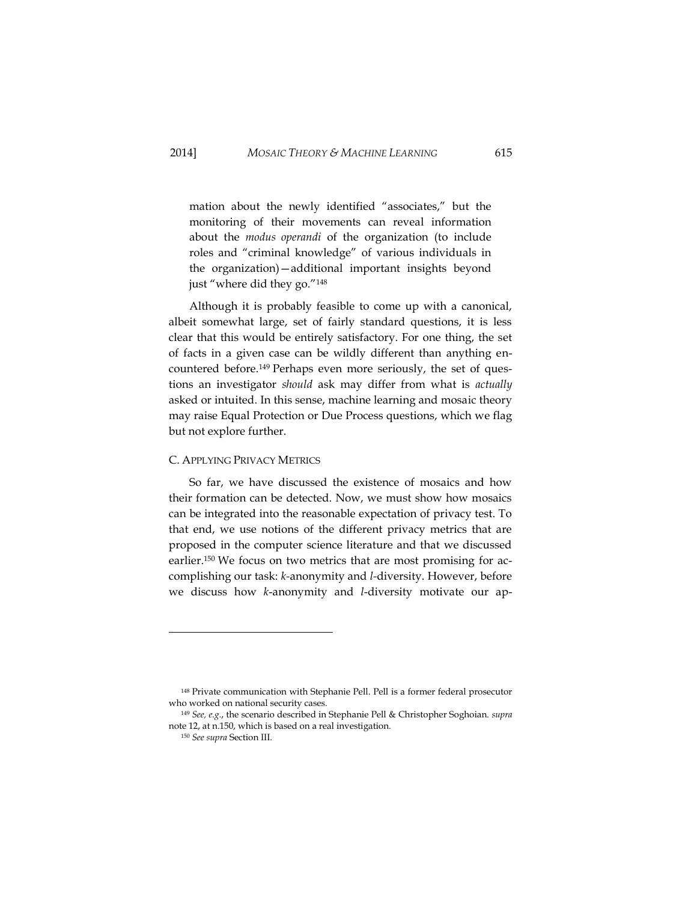mation about the newly identified "associates," but the monitoring of their movements can reveal information about the *modus operandi* of the organization (to include roles and "criminal knowledge" of various individuals in the organization)—additional important insights beyond just "where did they go."<sup>148</sup>

Although it is probably feasible to come up with a canonical, albeit somewhat large, set of fairly standard questions, it is less clear that this would be entirely satisfactory. For one thing, the set of facts in a given case can be wildly different than anything encountered before.<sup>149</sup> Perhaps even more seriously, the set of questions an investigator *should* ask may differ from what is *actually* asked or intuited. In this sense, machine learning and mosaic theory may raise Equal Protection or Due Process questions, which we flag but not explore further.

### C. APPLYING PRIVACY METRICS

So far, we have discussed the existence of mosaics and how their formation can be detected. Now, we must show how mosaics can be integrated into the reasonable expectation of privacy test. To that end, we use notions of the different privacy metrics that are proposed in the computer science literature and that we discussed earlier.<sup>150</sup> We focus on two metrics that are most promising for accomplishing our task: *k-*anonymity and *l-*diversity. However, before we discuss how *k*-anonymity and *l*-diversity motivate our ap-

<sup>148</sup> Private communication with Stephanie Pell. Pell is a former federal prosecutor who worked on national security cases.

<sup>149</sup> *See, e.g.*, the scenario described in Stephanie Pell & Christopher Soghoian. *supra*  note 12, at n.150, which is based on a real investigation.

<sup>150</sup> *See supra* Section III.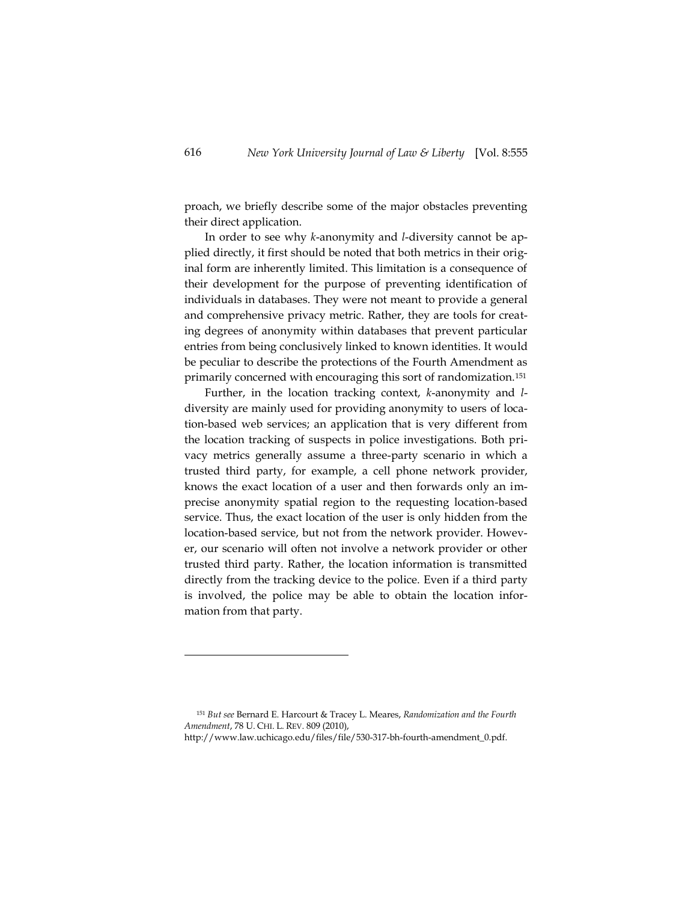proach, we briefly describe some of the major obstacles preventing their direct application.

In order to see why *k*-anonymity and *l*-diversity cannot be applied directly, it first should be noted that both metrics in their original form are inherently limited. This limitation is a consequence of their development for the purpose of preventing identification of individuals in databases. They were not meant to provide a general and comprehensive privacy metric. Rather, they are tools for creating degrees of anonymity within databases that prevent particular entries from being conclusively linked to known identities. It would be peculiar to describe the protections of the Fourth Amendment as primarily concerned with encouraging this sort of randomization.<sup>151</sup>

Further, in the location tracking context, *k*-anonymity and *l*diversity are mainly used for providing anonymity to users of location-based web services; an application that is very different from the location tracking of suspects in police investigations. Both privacy metrics generally assume a three-party scenario in which a trusted third party, for example, a cell phone network provider, knows the exact location of a user and then forwards only an imprecise anonymity spatial region to the requesting location-based service. Thus, the exact location of the user is only hidden from the location-based service, but not from the network provider. However, our scenario will often not involve a network provider or other trusted third party. Rather, the location information is transmitted directly from the tracking device to the police. Even if a third party is involved, the police may be able to obtain the location information from that party.

<sup>151</sup> *But see* Bernard E. Harcourt & Tracey L. Meares, *Randomization and the Fourth Amendment*, 78 U. CHI. L. REV. 809 (2010),

[http://www.law.uchicago.edu/f](http://www.law.uchicago.edu/)iles/file/530-317-bh-fourth-amendment\_0.pdf.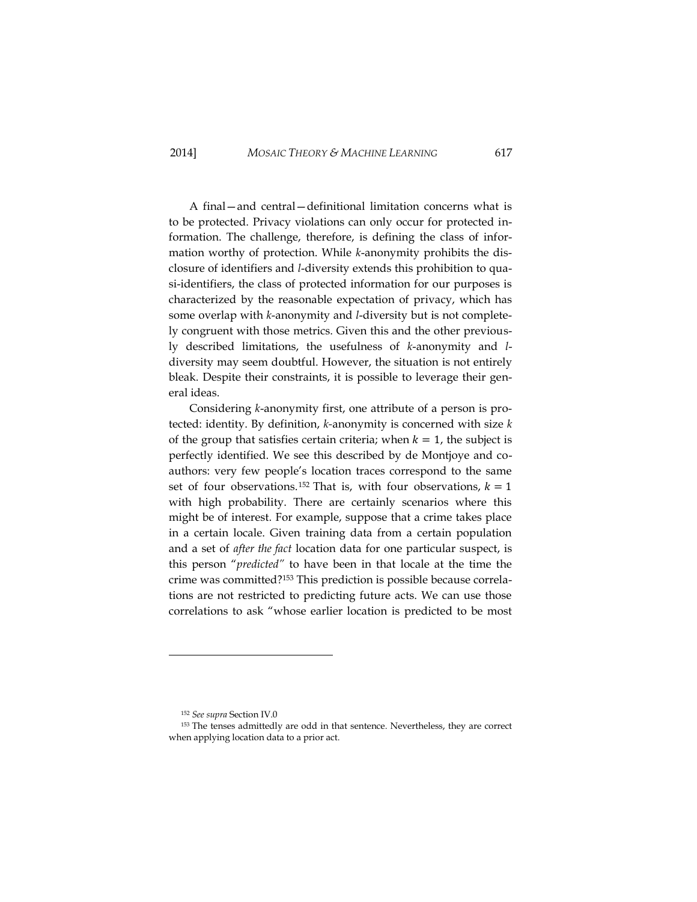A final—and central—definitional limitation concerns what is to be protected. Privacy violations can only occur for protected information. The challenge, therefore, is defining the class of information worthy of protection. While *k*-anonymity prohibits the disclosure of identifiers and *l*-diversity extends this prohibition to quasi-identifiers, the class of protected information for our purposes is characterized by the reasonable expectation of privacy, which has some overlap with *k*-anonymity and *l*-diversity but is not completely congruent with those metrics. Given this and the other previously described limitations, the usefulness of *k*-anonymity and *l*diversity may seem doubtful. However, the situation is not entirely bleak. Despite their constraints, it is possible to leverage their general ideas.

Considering *k*-anonymity first, one attribute of a person is protected: identity. By definition, *k-*anonymity is concerned with size *k*  of the group that satisfies certain criteria; when  $k = 1$ , the subject is perfectly identified. We see this described by de Montjoye and coauthors: very few people's location traces correspond to the same set of four observations.<sup>152</sup> That is, with four observations,  $k = 1$ with high probability. There are certainly scenarios where this might be of interest. For example, suppose that a crime takes place in a certain locale. Given training data from a certain population and a set of *after the fact* location data for one particular suspect, is this person "*predicted"* to have been in that locale at the time the crime was committed?<sup>153</sup> This prediction is possible because correlations are not restricted to predicting future acts. We can use those correlations to ask "whose earlier location is predicted to be most

<sup>152</sup> *See supra* Section I[V.0](#page-49-0)

<sup>&</sup>lt;sup>153</sup> The tenses admittedly are odd in that sentence. Nevertheless, they are correct when applying location data to a prior act.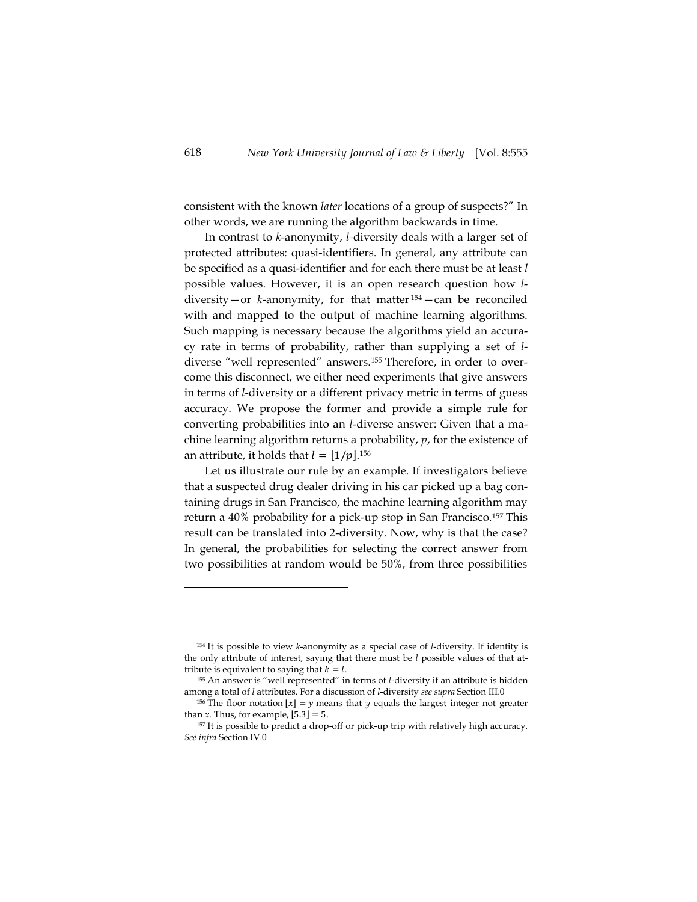consistent with the known *later* locations of a group of suspects?" In other words, we are running the algorithm backwards in time.

In contrast to *k*-anonymity, *l-*diversity deals with a larger set of protected attributes: quasi-identifiers. In general, any attribute can be specified as a quasi-identifier and for each there must be at least *l* possible values. However, it is an open research question how *l*diversity—or *k*-anonymity, for that matter <sup>154</sup>—can be reconciled with and mapped to the output of machine learning algorithms. Such mapping is necessary because the algorithms yield an accuracy rate in terms of probability, rather than supplying a set of *l*diverse "well represented" answers.<sup>155</sup> Therefore, in order to overcome this disconnect, we either need experiments that give answers in terms of *l*-diversity or a different privacy metric in terms of guess accuracy. We propose the former and provide a simple rule for converting probabilities into an *l*-diverse answer: Given that a machine learning algorithm returns a probability, *p*, for the existence of an attribute, it holds that  $l = \lfloor 1/p \rfloor$ .<sup>156</sup>

Let us illustrate our rule by an example. If investigators believe that a suspected drug dealer driving in his car picked up a bag containing drugs in San Francisco, the machine learning algorithm may return a 40% probability for a pick-up stop in San Francisco.<sup>157</sup> This result can be translated into 2-diversity. Now, why is that the case? In general, the probabilities for selecting the correct answer from two possibilities at random would be 50%, from three possibilities

<sup>154</sup> It is possible to view *k*-anonymity as a special case of *l*-diversity. If identity is the only attribute of interest, saying that there must be *l* possible values of that attribute is equivalent to saying that  $k = l$ .

<sup>155</sup> An answer is "well represented" in terms of *l*-diversity if an attribute is hidden among a total of *l* attributes. For a discussion of *l*-diversity *see supra* Section II[I.0](#page-45-0)

<sup>&</sup>lt;sup>156</sup> The floor notation  $|x| = y$  means that *y* equals the largest integer not greater than *x*. Thus, for example,  $[5.3] = 5$ .

<sup>&</sup>lt;sup>157</sup> It is possible to predict a drop-off or pick-up trip with relatively high accuracy. *See infra* Section I[V.0](#page-69-0)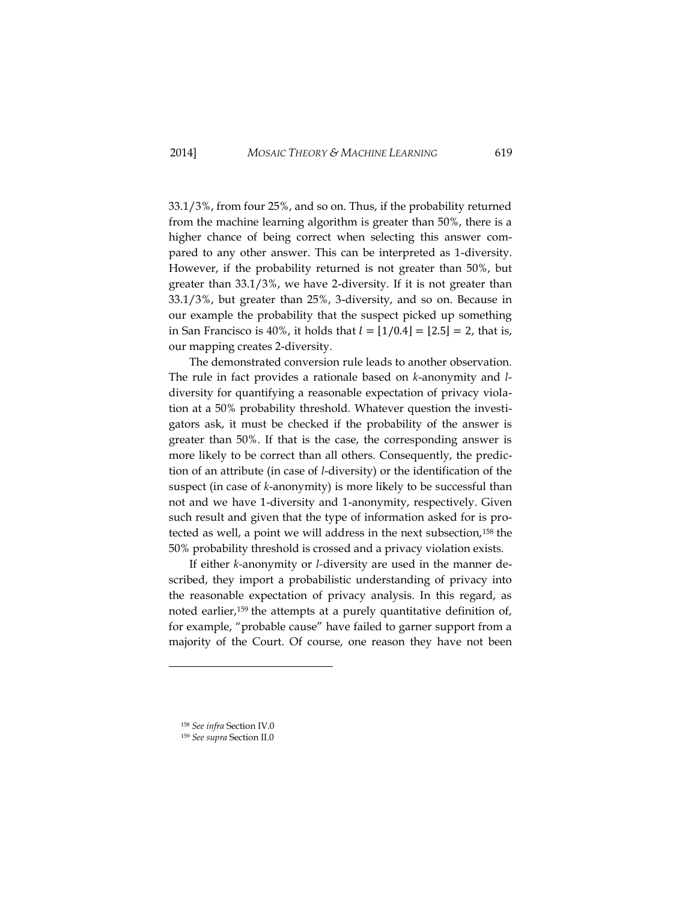33.1/3%, from four 25%, and so on. Thus, if the probability returned from the machine learning algorithm is greater than 50%, there is a higher chance of being correct when selecting this answer compared to any other answer. This can be interpreted as 1-diversity. However, if the probability returned is not greater than 50%, but greater than 33.1/3%, we have 2-diversity. If it is not greater than 33.1/3%, but greater than 25%, 3-diversity, and so on. Because in our example the probability that the suspect picked up something in San Francisco is 40%, it holds that  $l = [1/0.4] = [2.5] = 2$ , that is, our mapping creates 2-diversity.

The demonstrated conversion rule leads to another observation. The rule in fact provides a rationale based on *k*-anonymity and *l*diversity for quantifying a reasonable expectation of privacy violation at a 50% probability threshold. Whatever question the investigators ask, it must be checked if the probability of the answer is greater than 50%. If that is the case, the corresponding answer is more likely to be correct than all others. Consequently, the prediction of an attribute (in case of *l*-diversity) or the identification of the suspect (in case of *k*-anonymity) is more likely to be successful than not and we have 1-diversity and 1-anonymity, respectively. Given such result and given that the type of information asked for is protected as well, a point we will address in the next subsection,<sup>158</sup> the 50% probability threshold is crossed and a privacy violation exists.

If either *k-*anonymity or *l-*diversity are used in the manner described, they import a probabilistic understanding of privacy into the reasonable expectation of privacy analysis. In this regard, as noted earlier,<sup>159</sup> the attempts at a purely quantitative definition of, for example, "probable cause" have failed to garner support from a majority of the Court. Of course, one reason they have not been

<sup>158</sup> *See infra* Section I[V.0](#page-66-0)

<sup>159</sup> *See supra* Section I[I.0](#page-29-0)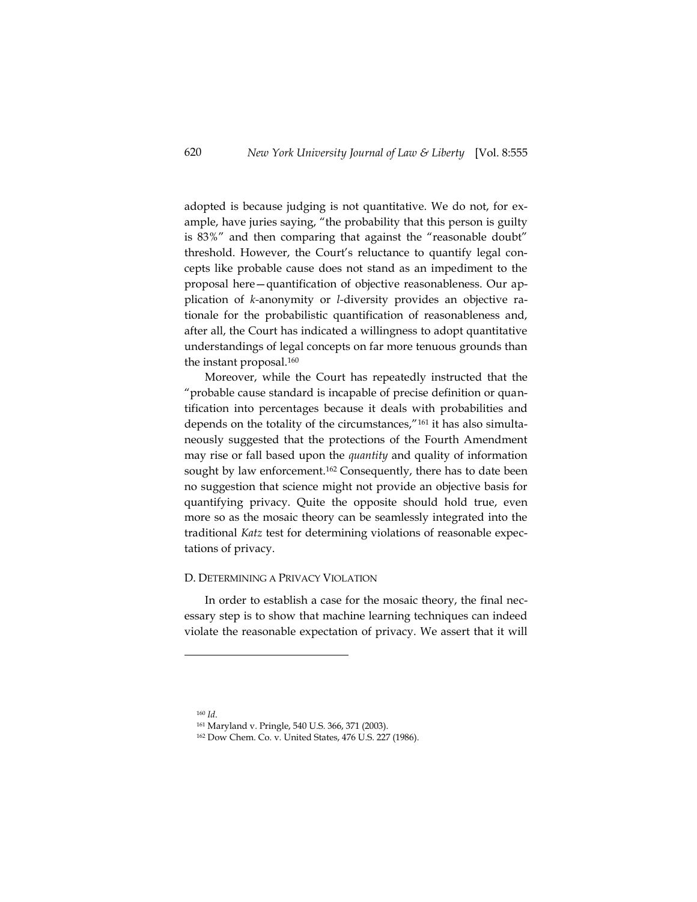adopted is because judging is not quantitative. We do not, for example, have juries saying, "the probability that this person is guilty is 83%" and then comparing that against the "reasonable doubt" threshold. However, the Court's reluctance to quantify legal concepts like probable cause does not stand as an impediment to the proposal here—quantification of objective reasonableness. Our application of *k-*anonymity or *l-*diversity provides an objective rationale for the probabilistic quantification of reasonableness and, after all, the Court has indicated a willingness to adopt quantitative understandings of legal concepts on far more tenuous grounds than the instant proposal.<sup>160</sup>

Moreover, while the Court has repeatedly instructed that the "probable cause standard is incapable of precise definition or quantification into percentages because it deals with probabilities and depends on the totality of the circumstances,"<sup>161</sup> it has also simultaneously suggested that the protections of the Fourth Amendment may rise or fall based upon the *quantity* and quality of information sought by law enforcement.<sup>162</sup> Consequently, there has to date been no suggestion that science might not provide an objective basis for quantifying privacy. Quite the opposite should hold true, even more so as the mosaic theory can be seamlessly integrated into the traditional *Katz* test for determining violations of reasonable expectations of privacy.

### <span id="page-66-0"></span>D. DETERMINING A PRIVACY VIOLATION

In order to establish a case for the mosaic theory, the final necessary step is to show that machine learning techniques can indeed violate the reasonable expectation of privacy. We assert that it will

<sup>160</sup> *Id*.

<sup>161</sup> Maryland v. Pringle, 540 U.S. 366, 371 (2003).

<sup>162</sup> Dow Chem. Co. v. United States, 476 U.S. 227 (1986).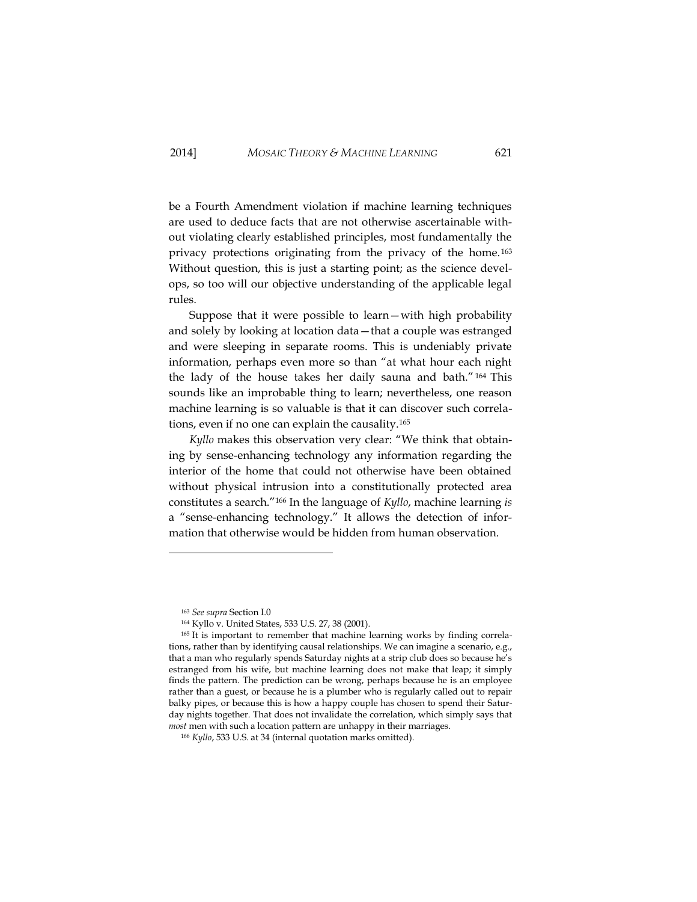be a Fourth Amendment violation if machine learning techniques are used to deduce facts that are not otherwise ascertainable without violating clearly established principles, most fundamentally the privacy protections originating from the privacy of the home. <sup>163</sup> Without question, this is just a starting point; as the science develops, so too will our objective understanding of the applicable legal rules.

Suppose that it were possible to learn—with high probability and solely by looking at location data—that a couple was estranged and were sleeping in separate rooms. This is undeniably private information, perhaps even more so than "at what hour each night the lady of the house takes her daily sauna and bath." <sup>164</sup> This sounds like an improbable thing to learn; nevertheless, one reason machine learning is so valuable is that it can discover such correlations, even if no one can explain the causality.<sup>165</sup>

*Kyllo* makes this observation very clear: "We think that obtaining by sense-enhancing technology any information regarding the interior of the home that could not otherwise have been obtained without physical intrusion into a constitutionally protected area constitutes a search."<sup>166</sup> In the language of *Kyllo*, machine learning *is* a "sense-enhancing technology." It allows the detection of information that otherwise would be hidden from human observation.

<sup>163</sup> *See supra* Section [I.0](#page-22-0)

<sup>164</sup> Kyllo v. United States, 533 U.S. 27, 38 (2001).

<sup>&</sup>lt;sup>165</sup> It is important to remember that machine learning works by finding correlations, rather than by identifying causal relationships. We can imagine a scenario, e.g., that a man who regularly spends Saturday nights at a strip club does so because he's estranged from his wife, but machine learning does not make that leap; it simply finds the pattern. The prediction can be wrong, perhaps because he is an employee rather than a guest, or because he is a plumber who is regularly called out to repair balky pipes, or because this is how a happy couple has chosen to spend their Saturday nights together. That does not invalidate the correlation, which simply says that *most* men with such a location pattern are unhappy in their marriages.

<sup>166</sup> *Kyllo*, 533 U.S. at 34 (internal quotation marks omitted).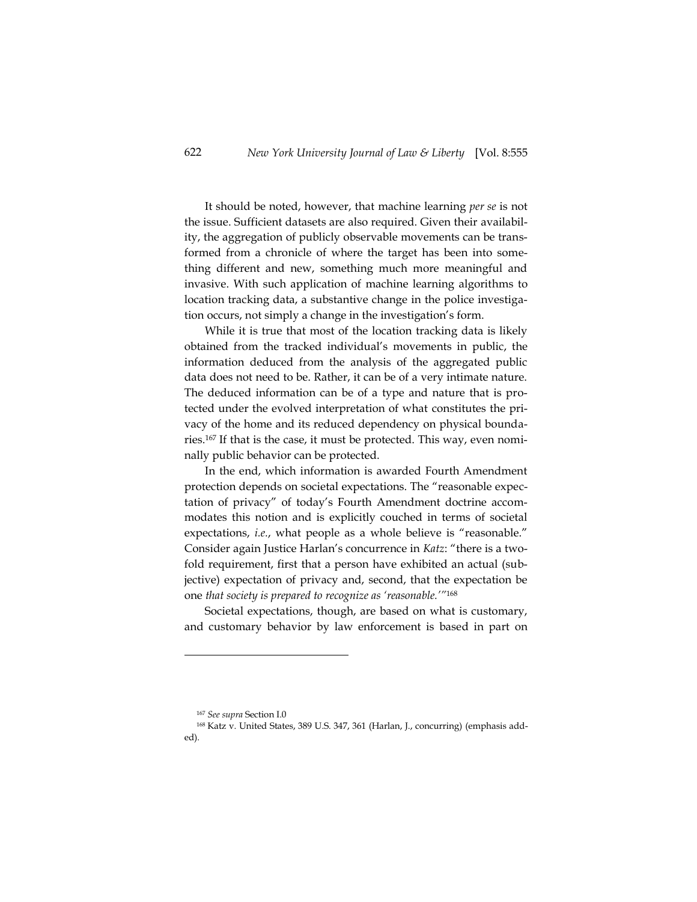It should be noted, however, that machine learning *per se* is not the issue. Sufficient datasets are also required. Given their availability, the aggregation of publicly observable movements can be transformed from a chronicle of where the target has been into something different and new, something much more meaningful and invasive. With such application of machine learning algorithms to location tracking data, a substantive change in the police investigation occurs, not simply a change in the investigation's form.

While it is true that most of the location tracking data is likely obtained from the tracked individual's movements in public, the information deduced from the analysis of the aggregated public data does not need to be. Rather, it can be of a very intimate nature. The deduced information can be of a type and nature that is protected under the evolved interpretation of what constitutes the privacy of the home and its reduced dependency on physical boundaries.<sup>167</sup> If that is the case, it must be protected. This way, even nominally public behavior can be protected.

In the end, which information is awarded Fourth Amendment protection depends on societal expectations. The "reasonable expectation of privacy" of today's Fourth Amendment doctrine accommodates this notion and is explicitly couched in terms of societal expectations, *i.e.*, what people as a whole believe is "reasonable." Consider again Justice Harlan's concurrence in *Katz*: "there is a twofold requirement, first that a person have exhibited an actual (subjective) expectation of privacy and, second, that the expectation be one *that society is prepared to recognize as 'reasonable.'"*<sup>168</sup>

Societal expectations, though, are based on what is customary, and customary behavior by law enforcement is based in part on

<sup>167</sup> *See supra* Section [I.0](#page-22-0)

<sup>168</sup> Katz v. United States, 389 U.S. 347, 361 (Harlan, J., concurring) (emphasis added).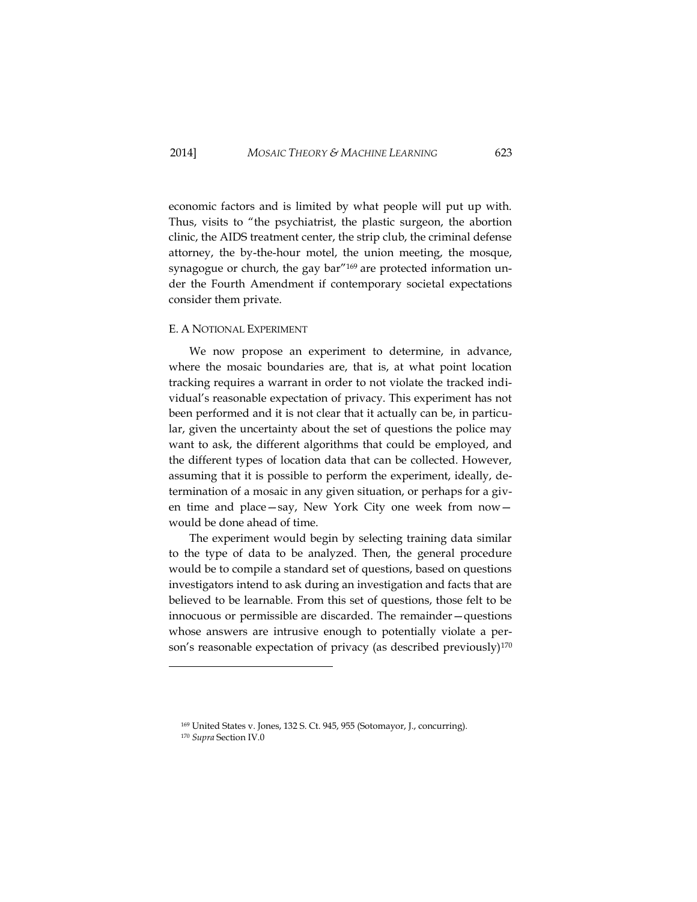economic factors and is limited by what people will put up with. Thus, visits to "the psychiatrist, the plastic surgeon, the abortion clinic, the AIDS treatment center, the strip club, the criminal defense attorney, the by-the-hour motel, the union meeting, the mosque, synagogue or church, the gay bar"<sup>169</sup> are protected information under the Fourth Amendment if contemporary societal expectations consider them private.

### <span id="page-69-0"></span>E. A NOTIONAL EXPERIMENT

We now propose an experiment to determine, in advance, where the mosaic boundaries are, that is, at what point location tracking requires a warrant in order to not violate the tracked individual's reasonable expectation of privacy. This experiment has not been performed and it is not clear that it actually can be, in particular, given the uncertainty about the set of questions the police may want to ask, the different algorithms that could be employed, and the different types of location data that can be collected. However, assuming that it is possible to perform the experiment, ideally, determination of a mosaic in any given situation, or perhaps for a given time and place—say, New York City one week from now would be done ahead of time.

The experiment would begin by selecting training data similar to the type of data to be analyzed. Then, the general procedure would be to compile a standard set of questions, based on questions investigators intend to ask during an investigation and facts that are believed to be learnable. From this set of questions, those felt to be innocuous or permissible are discarded. The remainder—questions whose answers are intrusive enough to potentially violate a person's reasonable expectation of privacy (as described previously)<sup>170</sup>

<sup>169</sup> United States v. Jones, 132 S. Ct. 945, 955 (Sotomayor, J., concurring).

<sup>170</sup> *Supra* Section I[V.0](#page-66-0)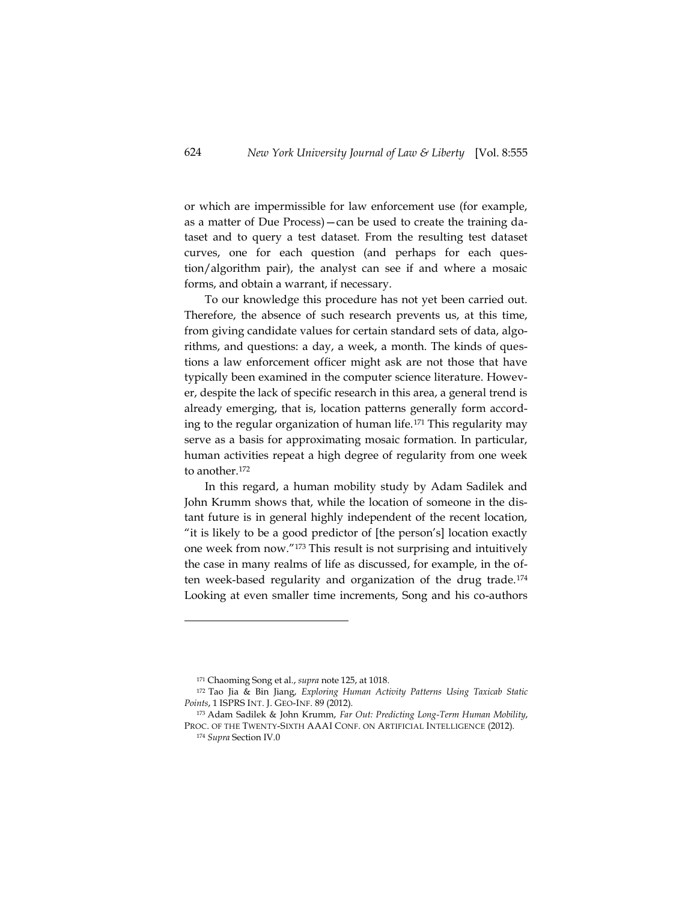or which are impermissible for law enforcement use (for example, as a matter of Due Process)—can be used to create the training dataset and to query a test dataset. From the resulting test dataset curves, one for each question (and perhaps for each question/algorithm pair), the analyst can see if and where a mosaic forms, and obtain a warrant, if necessary.

To our knowledge this procedure has not yet been carried out. Therefore, the absence of such research prevents us, at this time, from giving candidate values for certain standard sets of data, algorithms, and questions: a day, a week, a month. The kinds of questions a law enforcement officer might ask are not those that have typically been examined in the computer science literature. However, despite the lack of specific research in this area, a general trend is already emerging, that is, location patterns generally form according to the regular organization of human life.<sup>171</sup> This regularity may serve as a basis for approximating mosaic formation. In particular, human activities repeat a high degree of regularity from one week to another.<sup>172</sup>

In this regard, a human mobility study by Adam Sadilek and John Krumm shows that, while the location of someone in the distant future is in general highly independent of the recent location, "it is likely to be a good predictor of [the person's] location exactly one week from now."<sup>173</sup> This result is not surprising and intuitively the case in many realms of life as discussed, for example, in the often week-based regularity and organization of the drug trade.<sup>174</sup> Looking at even smaller time increments, Song and his co-authors

<sup>171</sup> Chaoming Song et al., *supra* note 125, at 1018.

<sup>172</sup> Tao Jia & Bin Jiang, *Exploring Human Activity Patterns Using Taxicab Static Points*, 1 ISPRS INT. J. GEO-INF. 89 (2012).

<sup>173</sup> Adam Sadilek & John Krumm, *Far Out: Predicting Long-Term Human Mobility*, PROC. OF THE TWENTY-SIXTH AAAI CONF. ON ARTIFICIAL INTELLIGENCE (2012).

<sup>174</sup> *Supra* Section I[V.0](#page-52-0)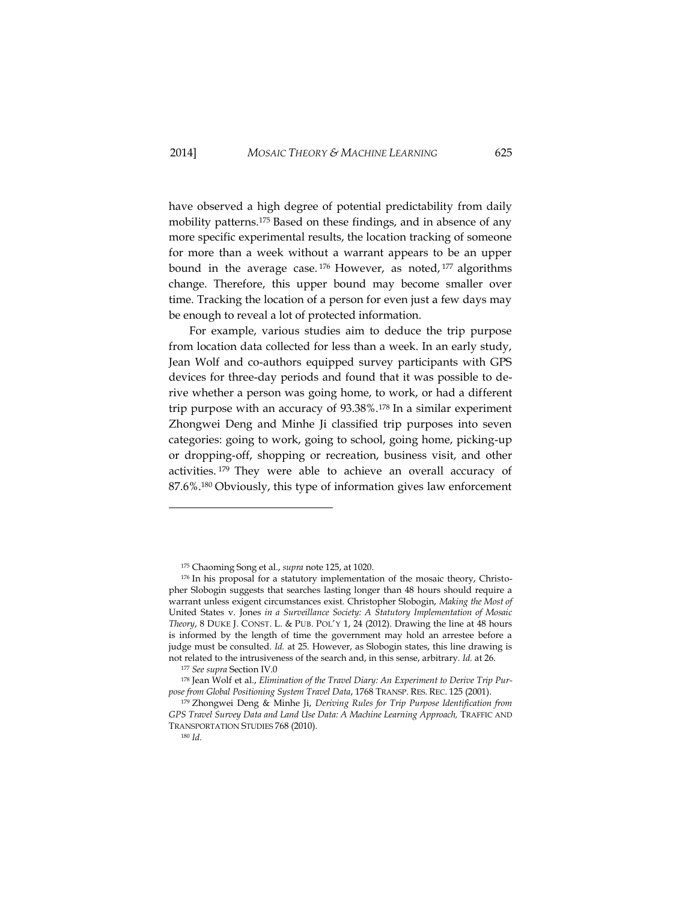have observed a high degree of potential predictability from daily mobility patterns.<sup>175</sup> Based on these findings, and in absence of any more specific experimental results, the location tracking of someone for more than a week without a warrant appears to be an upper bound in the average case. <sup>176</sup> However, as noted, <sup>177</sup> algorithms change. Therefore, this upper bound may become smaller over time. Tracking the location of a person for even just a few days may be enough to reveal a lot of protected information.

For example, various studies aim to deduce the trip purpose from location data collected for less than a week. In an early study, Jean Wolf and co-authors equipped survey participants with GPS devices for three-day periods and found that it was possible to derive whether a person was going home, to work, or had a different trip purpose with an accuracy of 93.38%.<sup>178</sup> In a similar experiment Zhongwei Deng and Minhe Ji classified trip purposes into seven categories: going to work, going to school, going home, picking-up or dropping-off, shopping or recreation, business visit, and other activities. <sup>179</sup> They were able to achieve an overall accuracy of 87.6%.<sup>180</sup> Obviously, this type of information gives law enforcement

j

<sup>175</sup> Chaoming Song et al., *supra* note 125, at 1020.

<sup>176</sup> In his proposal for a statutory implementation of the mosaic theory, Christopher Slobogin suggests that searches lasting longer than 48 hours should require a warrant unless exigent circumstances exist. Christopher Slobogin, *Making the Most of*  United States v. Jones *in a Surveillance Society: A Statutory Implementation of Mosaic Theory*, 8 DUKE J. CONST. L. & PUB. POL'Y 1, 24 (2012). Drawing the line at 48 hours is informed by the length of time the government may hold an arrestee before a judge must be consulted. *Id.* at 25. However, as Slobogin states, this line drawing is not related to the intrusiveness of the search and, in this sense, arbitrary. *Id.* at 26.

<sup>177</sup> *See supra* Section I[V.0](#page-52-0)

<sup>178</sup> Jean Wolf et al., *Elimination of the Travel Diary: An Experiment to Derive Trip Purpose from Global Positioning System Travel Data*, 1768 TRANSP. RES. REC. 125 (2001).

<sup>179</sup> Zhongwei Deng & Minhe Ji, *Deriving Rules for Trip Purpose Identification from GPS Travel Survey Data and Land Use Data: A Machine Learning Approach,* TRAFFIC AND TRANSPORTATION STUDIES 768 (2010).

<sup>180</sup> *Id.*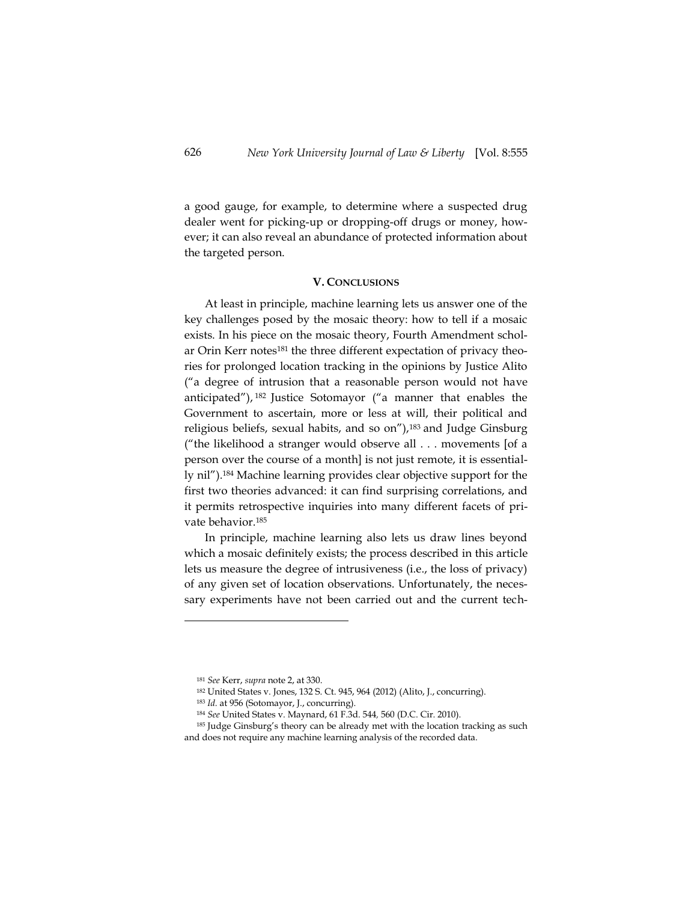a good gauge, for example, to determine where a suspected drug dealer went for picking-up or dropping-off drugs or money, however; it can also reveal an abundance of protected information about the targeted person.

## **V. CONCLUSIONS**

At least in principle, machine learning lets us answer one of the key challenges posed by the mosaic theory: how to tell if a mosaic exists. In his piece on the mosaic theory, Fourth Amendment scholar Orin Kerr notes<sup>181</sup> the three different expectation of privacy theories for prolonged location tracking in the opinions by Justice Alito ("a degree of intrusion that a reasonable person would not have anticipated"), <sup>182</sup> Justice Sotomayor ("a manner that enables the Government to ascertain, more or less at will, their political and religious beliefs, sexual habits, and so on"),<sup>183</sup> and Judge Ginsburg ("the likelihood a stranger would observe all . . . movements [of a person over the course of a month] is not just remote, it is essentially nil").<sup>184</sup> Machine learning provides clear objective support for the first two theories advanced: it can find surprising correlations, and it permits retrospective inquiries into many different facets of private behavior.<sup>185</sup>

In principle, machine learning also lets us draw lines beyond which a mosaic definitely exists; the process described in this article lets us measure the degree of intrusiveness (i.e., the loss of privacy) of any given set of location observations. Unfortunately, the necessary experiments have not been carried out and the current tech-

 $\overline{a}$ 

- <sup>182</sup> United States v. Jones, 132 S. Ct. 945, 964 (2012) (Alito, J., concurring).
- <sup>183</sup> *Id.* at 956 (Sotomayor, J., concurring).

<sup>181</sup> *See* Kerr, *supra* note 2, at 330.

<sup>184</sup> *See* United States v. Maynard, 61 F.3d. 544*,* 560 (D.C. Cir. 2010).

<sup>&</sup>lt;sup>185</sup> Judge Ginsburg's theory can be already met with the location tracking as such and does not require any machine learning analysis of the recorded data.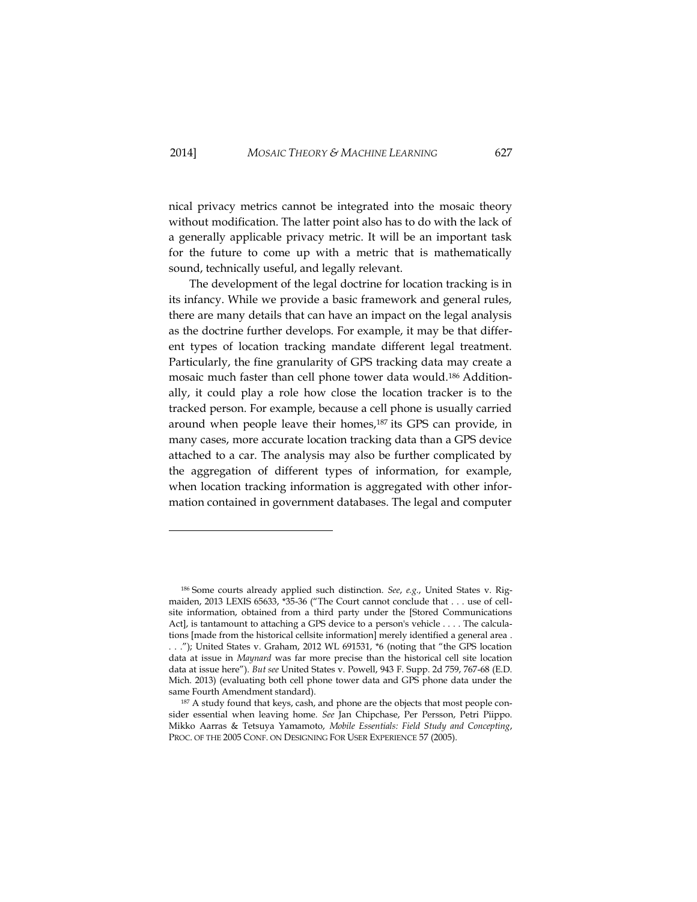nical privacy metrics cannot be integrated into the mosaic theory without modification. The latter point also has to do with the lack of a generally applicable privacy metric. It will be an important task for the future to come up with a metric that is mathematically sound, technically useful, and legally relevant.

The development of the legal doctrine for location tracking is in its infancy. While we provide a basic framework and general rules, there are many details that can have an impact on the legal analysis as the doctrine further develops. For example, it may be that different types of location tracking mandate different legal treatment. Particularly, the fine granularity of GPS tracking data may create a mosaic much faster than cell phone tower data would.<sup>186</sup> Additionally, it could play a role how close the location tracker is to the tracked person. For example, because a cell phone is usually carried around when people leave their homes,<sup>187</sup> its GPS can provide, in many cases, more accurate location tracking data than a GPS device attached to a car. The analysis may also be further complicated by the aggregation of different types of information, for example, when location tracking information is aggregated with other information contained in government databases. The legal and computer

-

<sup>186</sup> Some courts already applied such distinction. *See*, *e.g.*, United States v. Rigmaiden, 2013 LEXIS 65633, \*35-36 ("The Court cannot conclude that . . . use of cellsite information, obtained from a third party under the [Stored Communications Act], is tantamount to attaching a GPS device to a person's vehicle . . . . The calculations [made from the historical cellsite information] merely identified a general area . . . ."); United States v. Graham, 2012 WL 691531, \*6 (noting that "the GPS location data at issue in *Maynard* was far more precise than the historical cell site location data at issue here"). *But see* United States v. Powell, 943 F. Supp. 2d 759, 767-68 (E.D. Mich. 2013) (evaluating both cell phone tower data and GPS phone data under the same Fourth Amendment standard).

<sup>&</sup>lt;sup>187</sup> A study found that keys, cash, and phone are the objects that most people consider essential when leaving home. *See* Jan Chipchase, Per Persson, Petri Piippo. Mikko Aarras & Tetsuya Yamamoto, *Mobile Essentials: Field Study and Concepting*, PROC. OF THE 2005 CONF. ON DESIGNING FOR USER EXPERIENCE 57 (2005).